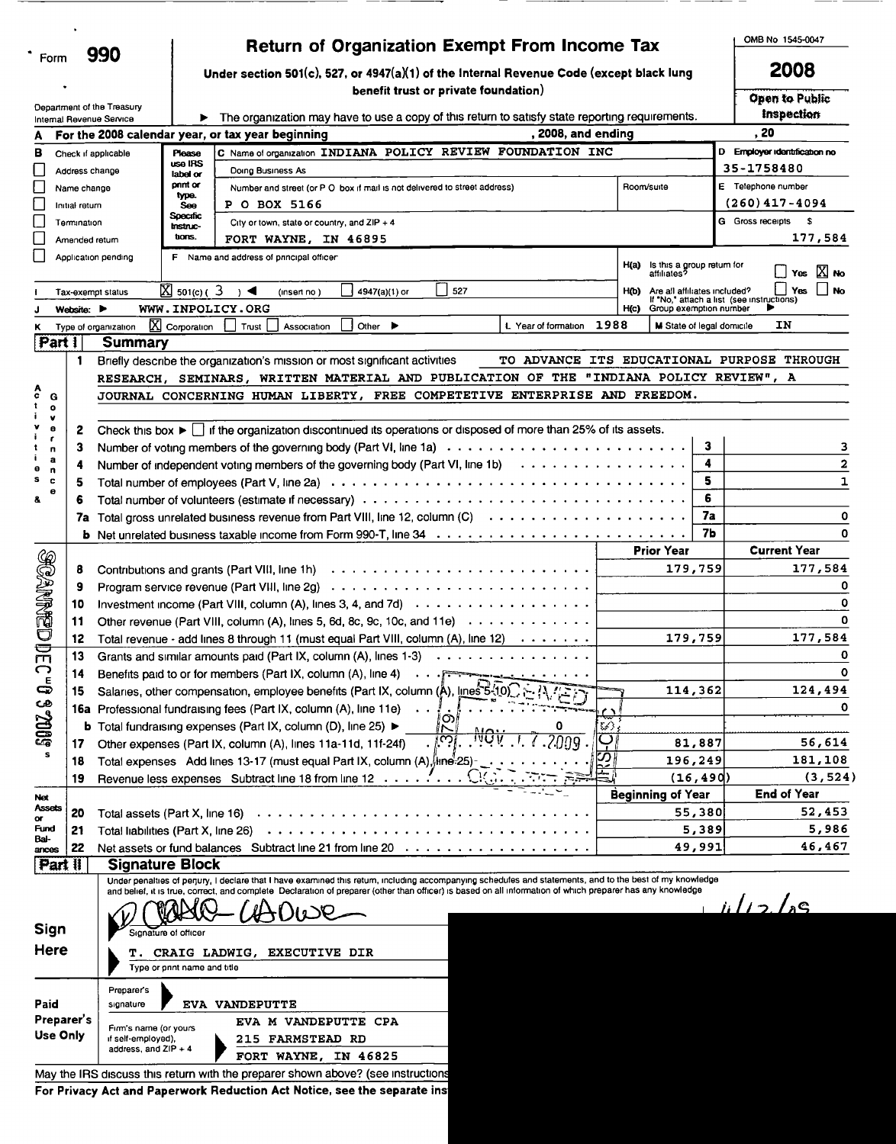| Form                     |                |                                     |                                          | Return of Organization Exempt From Income Tax                                                                                            |               |                                                                        |           |                                           | OMB No 1545-0047                           |
|--------------------------|----------------|-------------------------------------|------------------------------------------|------------------------------------------------------------------------------------------------------------------------------------------|---------------|------------------------------------------------------------------------|-----------|-------------------------------------------|--------------------------------------------|
|                          |                | 990                                 |                                          | Under section 501(c), 527, or 4947(a)(1) of the Internal Revenue Code (except black lung                                                 |               |                                                                        |           |                                           | 2008                                       |
|                          |                |                                     |                                          | benefit trust or private foundation)                                                                                                     |               |                                                                        |           |                                           | Open to Public                             |
| Internal Revenue Service |                | Department of the Treasury          | ▶                                        | The organization may have to use a copy of this return to satisfy state reporting requirements.                                          |               |                                                                        |           |                                           | Inspection                                 |
| A                        |                |                                     |                                          | , 2008, and ending<br>For the 2008 calendar year, or tax year beginning                                                                  |               |                                                                        |           |                                           | . 20                                       |
| в                        |                | Check if applicable                 | Please                                   | C Name of organization INDIANA POLICY REVIEW FOUNDATION INC                                                                              |               |                                                                        |           |                                           | D Employer identification no               |
|                          | Address change |                                     | use IRS<br>label or                      | Doing Business As                                                                                                                        |               |                                                                        |           |                                           | 35-1758480                                 |
|                          | Name change    |                                     | pnnt or<br>type.                         | Number and street (or P O box if mail is not delivered to street address)                                                                |               | Room/suite                                                             |           |                                           | E Telephone number                         |
|                          | Initial return |                                     | Soo                                      | <b>P O BOX 5166</b>                                                                                                                      |               |                                                                        |           |                                           | $(260)$ 417-4094                           |
|                          | Termination    |                                     | <b>Specific</b><br><b>Instruc-</b>       | City or town, state or country, and ZIP + 4                                                                                              |               |                                                                        |           |                                           | G Gross receipts \$                        |
|                          | Amended return |                                     | tions.                                   | FORT WAYNE, IN 46895                                                                                                                     |               |                                                                        |           |                                           | 177,584                                    |
|                          |                | Application pending                 |                                          | F Name and address of principal officer                                                                                                  |               | $H(a)$ is this a group return for affiliates?                          |           |                                           |                                            |
|                          |                |                                     |                                          |                                                                                                                                          |               |                                                                        |           |                                           | Yes $\boxed{\times}$ No<br>$\mathsf{l}$ No |
|                          |                | Tax-exempt status                   | $\overline{\mathbb{X}}$ 501(c) ( $3$ ) < | 527<br>4947(a)(1) or<br>(insert no)<br>WWW.INPOLICY.ORG                                                                                  |               | Are all affiliates included?<br>H(b)<br>Group exemption number<br>H(c) |           | If "No," attach a list (see instructions) | Yes                                        |
|                          | Website:       | Type of organization                | X Corporation                            | Other $\blacktriangleright$<br>L Year of formation<br>Trust<br>Association                                                               | 1988          |                                                                        |           | M State of legal domicile                 | IΝ                                         |
| <b>Part 1</b>            |                | <b>Summary</b>                      |                                          |                                                                                                                                          |               |                                                                        |           |                                           |                                            |
|                          | 1              |                                     |                                          | TO ADVANCE ITS EDUCATIONAL PURPOSE THROUGH<br>Briefly describe the organization's mission or most significant activities                 |               |                                                                        |           |                                           |                                            |
|                          |                |                                     |                                          | RESEARCH, SEMINARS, WRITTEN MATERIAL AND PUBLICATION OF THE "INDIANA POLICY REVIEW", A                                                   |               |                                                                        |           |                                           |                                            |
| c<br>G                   |                |                                     |                                          | JOURNAL CONCERNING HUMAN LIBERTY, FREE COMPETETIVE ENTERPRISE AND FREEDOM.                                                               |               |                                                                        |           |                                           |                                            |
| $\mathbf{o}$             |                |                                     |                                          |                                                                                                                                          |               |                                                                        |           |                                           |                                            |
| v<br>е                   | 2              |                                     |                                          | Check this box $\blacktriangleright \bigcup$ if the organization discontinued its operations or disposed of more than 25% of its assets. |               |                                                                        |           |                                           |                                            |
| r<br>n                   | 3              |                                     |                                          |                                                                                                                                          |               |                                                                        | 3         |                                           | 3                                          |
| a                        | 4              |                                     |                                          | Number of independent voting members of the governing body (Part VI, line 1b) $\cdots$                                                   |               |                                                                        | 4         |                                           | 2                                          |
| n<br>s<br>c              | 5              |                                     |                                          |                                                                                                                                          |               |                                                                        | 5         |                                           | 1                                          |
| ۰<br>å                   | 6              |                                     |                                          |                                                                                                                                          |               |                                                                        | 6         |                                           |                                            |
|                          |                |                                     |                                          |                                                                                                                                          |               |                                                                        | 7a        |                                           | 0                                          |
|                          |                |                                     |                                          | 7a Total gross unrelated business revenue from Part VIII, line 12, column (C)                                                            |               |                                                                        | 7Ь        |                                           | $\Omega$                                   |
|                          |                |                                     |                                          |                                                                                                                                          |               |                                                                        |           |                                           | <b>Current Year</b>                        |
| <b>BOANNEDDE</b>         |                |                                     |                                          |                                                                                                                                          |               | <b>Prior Year</b>                                                      |           |                                           |                                            |
|                          | 8              |                                     |                                          | Program service revenue (Part VIII, line 2g) $\ldots \ldots \ldots \ldots \ldots \ldots \ldots \ldots \ldots \ldots$                     |               | 179,759                                                                |           |                                           | 177,584                                    |
|                          | 9              |                                     |                                          |                                                                                                                                          |               |                                                                        |           |                                           |                                            |
|                          | 10             |                                     |                                          | Investment income (Part VIII, column (A), lines 3, 4, and 7d) $\cdots$                                                                   |               |                                                                        |           |                                           | 0                                          |
|                          | 11             |                                     |                                          | Other revenue (Part VIII, column (A), lines 5, 6d, 8c, 9c, 10c, and 11e) $\cdots \cdots \cdots \cdots$                                   |               |                                                                        |           |                                           | 0                                          |
|                          | 12             |                                     |                                          | Total revenue - add lines 8 through 11 (must equal Part VIII, column (A), line 12)                                                       |               |                                                                        | 179,759   |                                           | 177,584                                    |
| ⌒                        | 13             |                                     |                                          | Grants and similar amounts paid (Part IX, column (A), lines $1-3$ ) $\ldots$                                                             |               |                                                                        |           |                                           |                                            |
|                          | 14             |                                     |                                          | Benefits paid to or for members (Part IX, column (A), line 4) $\cdots$ $\cdots$ $\cdots$ $\cdots$ $\cdots$ $\cdots$                      |               |                                                                        |           |                                           | O                                          |
| ఉ                        | 15             |                                     |                                          | Salaries, other compensation, employee benefits (Part IX, column (Å), lines 5-10)                                                        |               |                                                                        | 114,362   |                                           | 124,494                                    |
|                          |                |                                     |                                          | 16a Professional fundraising fees (Part IX, column (A), line 11e)<br>ග                                                                   |               |                                                                        |           |                                           | o                                          |
| <b>SOOZ S</b>            |                |                                     |                                          | <b>b</b> Total fundraising expenses (Part IX, column (D), line 25) ▶                                                                     | G)            |                                                                        |           |                                           |                                            |
| s                        | 17             |                                     |                                          | ں 19<br>מי<br>00 Q<br>Other expenses (Part IX, column (A), lines 11a-11d, 11f-24f)                                                       | ڊ             |                                                                        | 81,887    |                                           | 56,614                                     |
|                          | 18             |                                     |                                          | Total expenses Add lines 13-17 (must equal Part IX, column (A), ine 25)                                                                  | $\frac{5}{2}$ |                                                                        | 196,249   |                                           | 181,108                                    |
|                          | 19             |                                     |                                          | Revenue less expenses Subtract line 18 from line 12                                                                                      |               |                                                                        | (16, 490) |                                           | (3, 524)                                   |
| Net                      |                |                                     |                                          |                                                                                                                                          |               | <b>Beginning of Year</b>                                               |           |                                           | <b>End of Year</b>                         |
| <b>Assets</b><br>œ       | 20             | Total assets (Part X, line 16)      |                                          |                                                                                                                                          |               |                                                                        | 55,380    |                                           | 52,453                                     |
| Fund                     | 21             | Total liabilities (Part X, line 26) |                                          | .                                                                                                                                        |               |                                                                        | 5,389     |                                           | 5,986                                      |
| Bal-<br>ances            | 22             |                                     |                                          | Net assets or fund balances Subtract line 21 from line 20<br>.                                                                           |               |                                                                        | 49,991    |                                           | 46,467                                     |
|                          | Part II        | <b>Signature Block</b>              |                                          |                                                                                                                                          |               |                                                                        |           |                                           |                                            |

 $\bullet$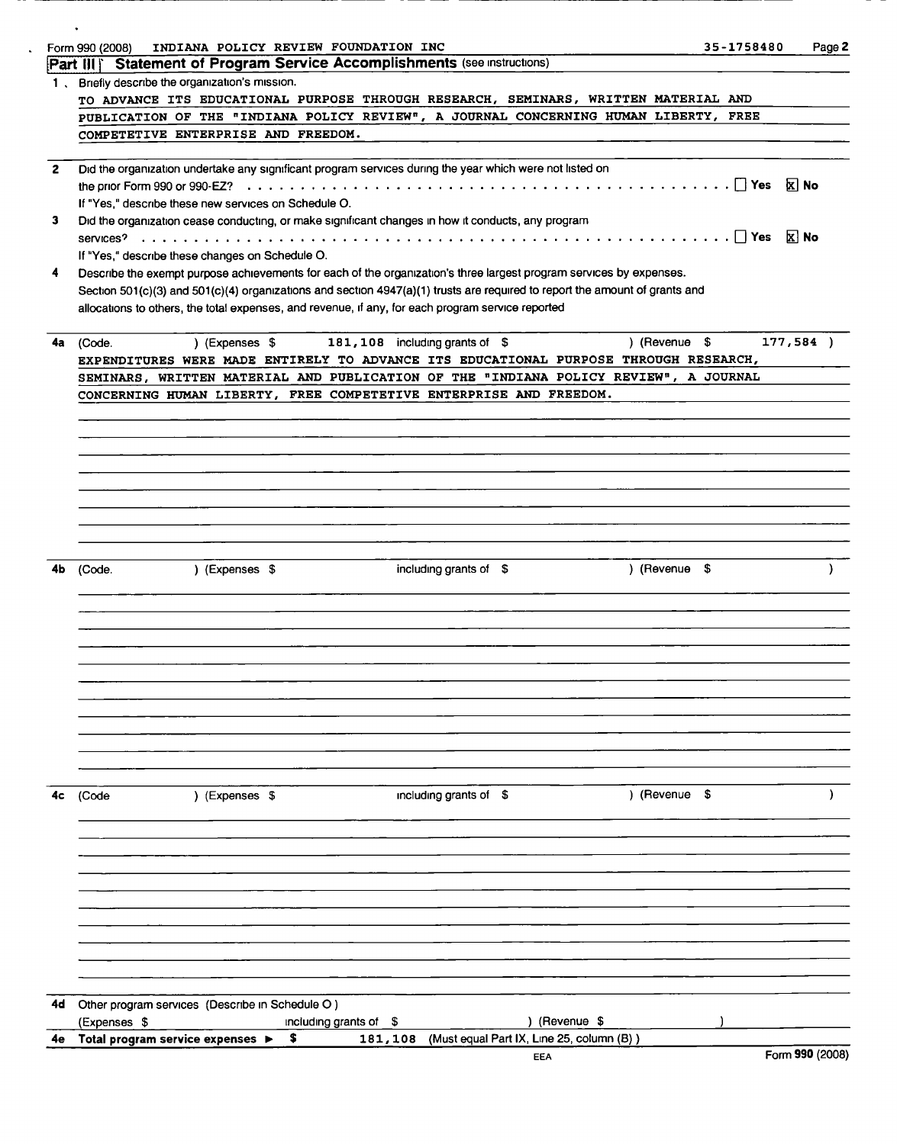| Part III Statement of Program Service Accomplishments (see instructions)<br>Briefly describe the organization's mission.<br>$1 \cdot$<br>TO ADVANCE ITS EDUCATIONAL PURPOSE THROUGH RESEARCH, SEMINARS, WRITTEN MATERIAL AND<br>PUBLICATION OF THE "INDIANA POLICY REVIEW", A JOURNAL CONCERNING HUMAN LIBERTY, FREE<br>COMPETETIVE ENTERPRISE AND FREEDOM.<br>Did the organization undertake any significant program services during the year which were not listed on<br>$\mathbf{2}$<br><b>X</b> No<br>If "Yes," describe these new services on Schedule O.<br>Did the organization cease conducting, or make significant changes in how it conducts, any program<br>3<br>If "Yes," describe these changes on Schedule O.<br>Describe the exempt purpose achievements for each of the organization's three largest program services by expenses.<br>4<br>Section 501(c)(3) and 501(c)(4) organizations and section 4947(a)(1) trusts are required to report the amount of grants and<br>allocations to others, the total expenses, and revenue, if any, for each program service reported<br>177,584)<br>) (Revenue \$<br>) (Expenses \$<br>181, 108 including grants of \$<br>(Code.<br>4а<br>EXPENDITURES WERE MADE ENTIRELY TO ADVANCE ITS EDUCATIONAL PURPOSE THROUGH RESEARCH,<br>SEMINARS, WRITTEN MATERIAL AND PUBLICATION OF THE "INDIANA POLICY REVIEW", A JOURNAL<br>CONCERNING HUMAN LIBERTY, FREE COMPETETIVE ENTERPRISE AND FREEDOM.<br>) (Revenue \$<br>) (Expenses \$<br>including grants of $$$<br>4b<br>(Code.<br>including grants of \$<br>) (Revenue \$<br>) (Expenses \$<br>4c<br>(Code<br>Other program services (Describe in Schedule O)<br>4d<br>) (Revenue \$<br>(Expenses \$<br>including grants of \$<br>\$.<br>181, 108 (Must equal Part IX, Line 25, column (B))<br>Total program service expenses ▶<br>4e<br>Form 990 (2008)<br>EEA | INDIANA POLICY REVIEW FOUNDATION INC<br>Form 990 (2008) | 35-1758480<br>Page 2 |  |  |  |  |  |  |  |  |  |  |
|---------------------------------------------------------------------------------------------------------------------------------------------------------------------------------------------------------------------------------------------------------------------------------------------------------------------------------------------------------------------------------------------------------------------------------------------------------------------------------------------------------------------------------------------------------------------------------------------------------------------------------------------------------------------------------------------------------------------------------------------------------------------------------------------------------------------------------------------------------------------------------------------------------------------------------------------------------------------------------------------------------------------------------------------------------------------------------------------------------------------------------------------------------------------------------------------------------------------------------------------------------------------------------------------------------------------------------------------------------------------------------------------------------------------------------------------------------------------------------------------------------------------------------------------------------------------------------------------------------------------------------------------------------------------------------------------------------------------------------------------------------------------------------------------------------------------------------------------------------------------|---------------------------------------------------------|----------------------|--|--|--|--|--|--|--|--|--|--|
|                                                                                                                                                                                                                                                                                                                                                                                                                                                                                                                                                                                                                                                                                                                                                                                                                                                                                                                                                                                                                                                                                                                                                                                                                                                                                                                                                                                                                                                                                                                                                                                                                                                                                                                                                                                                                                                                     |                                                         |                      |  |  |  |  |  |  |  |  |  |  |
|                                                                                                                                                                                                                                                                                                                                                                                                                                                                                                                                                                                                                                                                                                                                                                                                                                                                                                                                                                                                                                                                                                                                                                                                                                                                                                                                                                                                                                                                                                                                                                                                                                                                                                                                                                                                                                                                     |                                                         |                      |  |  |  |  |  |  |  |  |  |  |
|                                                                                                                                                                                                                                                                                                                                                                                                                                                                                                                                                                                                                                                                                                                                                                                                                                                                                                                                                                                                                                                                                                                                                                                                                                                                                                                                                                                                                                                                                                                                                                                                                                                                                                                                                                                                                                                                     |                                                         |                      |  |  |  |  |  |  |  |  |  |  |
|                                                                                                                                                                                                                                                                                                                                                                                                                                                                                                                                                                                                                                                                                                                                                                                                                                                                                                                                                                                                                                                                                                                                                                                                                                                                                                                                                                                                                                                                                                                                                                                                                                                                                                                                                                                                                                                                     |                                                         |                      |  |  |  |  |  |  |  |  |  |  |
|                                                                                                                                                                                                                                                                                                                                                                                                                                                                                                                                                                                                                                                                                                                                                                                                                                                                                                                                                                                                                                                                                                                                                                                                                                                                                                                                                                                                                                                                                                                                                                                                                                                                                                                                                                                                                                                                     |                                                         |                      |  |  |  |  |  |  |  |  |  |  |
|                                                                                                                                                                                                                                                                                                                                                                                                                                                                                                                                                                                                                                                                                                                                                                                                                                                                                                                                                                                                                                                                                                                                                                                                                                                                                                                                                                                                                                                                                                                                                                                                                                                                                                                                                                                                                                                                     |                                                         |                      |  |  |  |  |  |  |  |  |  |  |
|                                                                                                                                                                                                                                                                                                                                                                                                                                                                                                                                                                                                                                                                                                                                                                                                                                                                                                                                                                                                                                                                                                                                                                                                                                                                                                                                                                                                                                                                                                                                                                                                                                                                                                                                                                                                                                                                     |                                                         |                      |  |  |  |  |  |  |  |  |  |  |
|                                                                                                                                                                                                                                                                                                                                                                                                                                                                                                                                                                                                                                                                                                                                                                                                                                                                                                                                                                                                                                                                                                                                                                                                                                                                                                                                                                                                                                                                                                                                                                                                                                                                                                                                                                                                                                                                     |                                                         |                      |  |  |  |  |  |  |  |  |  |  |
|                                                                                                                                                                                                                                                                                                                                                                                                                                                                                                                                                                                                                                                                                                                                                                                                                                                                                                                                                                                                                                                                                                                                                                                                                                                                                                                                                                                                                                                                                                                                                                                                                                                                                                                                                                                                                                                                     |                                                         |                      |  |  |  |  |  |  |  |  |  |  |
|                                                                                                                                                                                                                                                                                                                                                                                                                                                                                                                                                                                                                                                                                                                                                                                                                                                                                                                                                                                                                                                                                                                                                                                                                                                                                                                                                                                                                                                                                                                                                                                                                                                                                                                                                                                                                                                                     |                                                         |                      |  |  |  |  |  |  |  |  |  |  |
|                                                                                                                                                                                                                                                                                                                                                                                                                                                                                                                                                                                                                                                                                                                                                                                                                                                                                                                                                                                                                                                                                                                                                                                                                                                                                                                                                                                                                                                                                                                                                                                                                                                                                                                                                                                                                                                                     |                                                         |                      |  |  |  |  |  |  |  |  |  |  |
|                                                                                                                                                                                                                                                                                                                                                                                                                                                                                                                                                                                                                                                                                                                                                                                                                                                                                                                                                                                                                                                                                                                                                                                                                                                                                                                                                                                                                                                                                                                                                                                                                                                                                                                                                                                                                                                                     |                                                         |                      |  |  |  |  |  |  |  |  |  |  |
|                                                                                                                                                                                                                                                                                                                                                                                                                                                                                                                                                                                                                                                                                                                                                                                                                                                                                                                                                                                                                                                                                                                                                                                                                                                                                                                                                                                                                                                                                                                                                                                                                                                                                                                                                                                                                                                                     |                                                         |                      |  |  |  |  |  |  |  |  |  |  |
|                                                                                                                                                                                                                                                                                                                                                                                                                                                                                                                                                                                                                                                                                                                                                                                                                                                                                                                                                                                                                                                                                                                                                                                                                                                                                                                                                                                                                                                                                                                                                                                                                                                                                                                                                                                                                                                                     |                                                         |                      |  |  |  |  |  |  |  |  |  |  |
|                                                                                                                                                                                                                                                                                                                                                                                                                                                                                                                                                                                                                                                                                                                                                                                                                                                                                                                                                                                                                                                                                                                                                                                                                                                                                                                                                                                                                                                                                                                                                                                                                                                                                                                                                                                                                                                                     |                                                         |                      |  |  |  |  |  |  |  |  |  |  |
|                                                                                                                                                                                                                                                                                                                                                                                                                                                                                                                                                                                                                                                                                                                                                                                                                                                                                                                                                                                                                                                                                                                                                                                                                                                                                                                                                                                                                                                                                                                                                                                                                                                                                                                                                                                                                                                                     |                                                         |                      |  |  |  |  |  |  |  |  |  |  |
|                                                                                                                                                                                                                                                                                                                                                                                                                                                                                                                                                                                                                                                                                                                                                                                                                                                                                                                                                                                                                                                                                                                                                                                                                                                                                                                                                                                                                                                                                                                                                                                                                                                                                                                                                                                                                                                                     |                                                         |                      |  |  |  |  |  |  |  |  |  |  |
|                                                                                                                                                                                                                                                                                                                                                                                                                                                                                                                                                                                                                                                                                                                                                                                                                                                                                                                                                                                                                                                                                                                                                                                                                                                                                                                                                                                                                                                                                                                                                                                                                                                                                                                                                                                                                                                                     |                                                         |                      |  |  |  |  |  |  |  |  |  |  |
|                                                                                                                                                                                                                                                                                                                                                                                                                                                                                                                                                                                                                                                                                                                                                                                                                                                                                                                                                                                                                                                                                                                                                                                                                                                                                                                                                                                                                                                                                                                                                                                                                                                                                                                                                                                                                                                                     |                                                         |                      |  |  |  |  |  |  |  |  |  |  |
|                                                                                                                                                                                                                                                                                                                                                                                                                                                                                                                                                                                                                                                                                                                                                                                                                                                                                                                                                                                                                                                                                                                                                                                                                                                                                                                                                                                                                                                                                                                                                                                                                                                                                                                                                                                                                                                                     |                                                         |                      |  |  |  |  |  |  |  |  |  |  |
|                                                                                                                                                                                                                                                                                                                                                                                                                                                                                                                                                                                                                                                                                                                                                                                                                                                                                                                                                                                                                                                                                                                                                                                                                                                                                                                                                                                                                                                                                                                                                                                                                                                                                                                                                                                                                                                                     |                                                         |                      |  |  |  |  |  |  |  |  |  |  |
|                                                                                                                                                                                                                                                                                                                                                                                                                                                                                                                                                                                                                                                                                                                                                                                                                                                                                                                                                                                                                                                                                                                                                                                                                                                                                                                                                                                                                                                                                                                                                                                                                                                                                                                                                                                                                                                                     |                                                         |                      |  |  |  |  |  |  |  |  |  |  |
|                                                                                                                                                                                                                                                                                                                                                                                                                                                                                                                                                                                                                                                                                                                                                                                                                                                                                                                                                                                                                                                                                                                                                                                                                                                                                                                                                                                                                                                                                                                                                                                                                                                                                                                                                                                                                                                                     |                                                         |                      |  |  |  |  |  |  |  |  |  |  |
|                                                                                                                                                                                                                                                                                                                                                                                                                                                                                                                                                                                                                                                                                                                                                                                                                                                                                                                                                                                                                                                                                                                                                                                                                                                                                                                                                                                                                                                                                                                                                                                                                                                                                                                                                                                                                                                                     |                                                         |                      |  |  |  |  |  |  |  |  |  |  |
|                                                                                                                                                                                                                                                                                                                                                                                                                                                                                                                                                                                                                                                                                                                                                                                                                                                                                                                                                                                                                                                                                                                                                                                                                                                                                                                                                                                                                                                                                                                                                                                                                                                                                                                                                                                                                                                                     |                                                         |                      |  |  |  |  |  |  |  |  |  |  |
|                                                                                                                                                                                                                                                                                                                                                                                                                                                                                                                                                                                                                                                                                                                                                                                                                                                                                                                                                                                                                                                                                                                                                                                                                                                                                                                                                                                                                                                                                                                                                                                                                                                                                                                                                                                                                                                                     |                                                         |                      |  |  |  |  |  |  |  |  |  |  |
|                                                                                                                                                                                                                                                                                                                                                                                                                                                                                                                                                                                                                                                                                                                                                                                                                                                                                                                                                                                                                                                                                                                                                                                                                                                                                                                                                                                                                                                                                                                                                                                                                                                                                                                                                                                                                                                                     |                                                         |                      |  |  |  |  |  |  |  |  |  |  |
|                                                                                                                                                                                                                                                                                                                                                                                                                                                                                                                                                                                                                                                                                                                                                                                                                                                                                                                                                                                                                                                                                                                                                                                                                                                                                                                                                                                                                                                                                                                                                                                                                                                                                                                                                                                                                                                                     |                                                         |                      |  |  |  |  |  |  |  |  |  |  |
|                                                                                                                                                                                                                                                                                                                                                                                                                                                                                                                                                                                                                                                                                                                                                                                                                                                                                                                                                                                                                                                                                                                                                                                                                                                                                                                                                                                                                                                                                                                                                                                                                                                                                                                                                                                                                                                                     |                                                         |                      |  |  |  |  |  |  |  |  |  |  |
|                                                                                                                                                                                                                                                                                                                                                                                                                                                                                                                                                                                                                                                                                                                                                                                                                                                                                                                                                                                                                                                                                                                                                                                                                                                                                                                                                                                                                                                                                                                                                                                                                                                                                                                                                                                                                                                                     |                                                         |                      |  |  |  |  |  |  |  |  |  |  |
|                                                                                                                                                                                                                                                                                                                                                                                                                                                                                                                                                                                                                                                                                                                                                                                                                                                                                                                                                                                                                                                                                                                                                                                                                                                                                                                                                                                                                                                                                                                                                                                                                                                                                                                                                                                                                                                                     |                                                         |                      |  |  |  |  |  |  |  |  |  |  |
|                                                                                                                                                                                                                                                                                                                                                                                                                                                                                                                                                                                                                                                                                                                                                                                                                                                                                                                                                                                                                                                                                                                                                                                                                                                                                                                                                                                                                                                                                                                                                                                                                                                                                                                                                                                                                                                                     |                                                         |                      |  |  |  |  |  |  |  |  |  |  |
|                                                                                                                                                                                                                                                                                                                                                                                                                                                                                                                                                                                                                                                                                                                                                                                                                                                                                                                                                                                                                                                                                                                                                                                                                                                                                                                                                                                                                                                                                                                                                                                                                                                                                                                                                                                                                                                                     |                                                         |                      |  |  |  |  |  |  |  |  |  |  |
|                                                                                                                                                                                                                                                                                                                                                                                                                                                                                                                                                                                                                                                                                                                                                                                                                                                                                                                                                                                                                                                                                                                                                                                                                                                                                                                                                                                                                                                                                                                                                                                                                                                                                                                                                                                                                                                                     |                                                         |                      |  |  |  |  |  |  |  |  |  |  |
|                                                                                                                                                                                                                                                                                                                                                                                                                                                                                                                                                                                                                                                                                                                                                                                                                                                                                                                                                                                                                                                                                                                                                                                                                                                                                                                                                                                                                                                                                                                                                                                                                                                                                                                                                                                                                                                                     |                                                         |                      |  |  |  |  |  |  |  |  |  |  |
|                                                                                                                                                                                                                                                                                                                                                                                                                                                                                                                                                                                                                                                                                                                                                                                                                                                                                                                                                                                                                                                                                                                                                                                                                                                                                                                                                                                                                                                                                                                                                                                                                                                                                                                                                                                                                                                                     |                                                         |                      |  |  |  |  |  |  |  |  |  |  |
|                                                                                                                                                                                                                                                                                                                                                                                                                                                                                                                                                                                                                                                                                                                                                                                                                                                                                                                                                                                                                                                                                                                                                                                                                                                                                                                                                                                                                                                                                                                                                                                                                                                                                                                                                                                                                                                                     |                                                         |                      |  |  |  |  |  |  |  |  |  |  |
|                                                                                                                                                                                                                                                                                                                                                                                                                                                                                                                                                                                                                                                                                                                                                                                                                                                                                                                                                                                                                                                                                                                                                                                                                                                                                                                                                                                                                                                                                                                                                                                                                                                                                                                                                                                                                                                                     |                                                         |                      |  |  |  |  |  |  |  |  |  |  |
|                                                                                                                                                                                                                                                                                                                                                                                                                                                                                                                                                                                                                                                                                                                                                                                                                                                                                                                                                                                                                                                                                                                                                                                                                                                                                                                                                                                                                                                                                                                                                                                                                                                                                                                                                                                                                                                                     |                                                         |                      |  |  |  |  |  |  |  |  |  |  |
|                                                                                                                                                                                                                                                                                                                                                                                                                                                                                                                                                                                                                                                                                                                                                                                                                                                                                                                                                                                                                                                                                                                                                                                                                                                                                                                                                                                                                                                                                                                                                                                                                                                                                                                                                                                                                                                                     |                                                         |                      |  |  |  |  |  |  |  |  |  |  |
|                                                                                                                                                                                                                                                                                                                                                                                                                                                                                                                                                                                                                                                                                                                                                                                                                                                                                                                                                                                                                                                                                                                                                                                                                                                                                                                                                                                                                                                                                                                                                                                                                                                                                                                                                                                                                                                                     |                                                         |                      |  |  |  |  |  |  |  |  |  |  |
|                                                                                                                                                                                                                                                                                                                                                                                                                                                                                                                                                                                                                                                                                                                                                                                                                                                                                                                                                                                                                                                                                                                                                                                                                                                                                                                                                                                                                                                                                                                                                                                                                                                                                                                                                                                                                                                                     |                                                         |                      |  |  |  |  |  |  |  |  |  |  |
|                                                                                                                                                                                                                                                                                                                                                                                                                                                                                                                                                                                                                                                                                                                                                                                                                                                                                                                                                                                                                                                                                                                                                                                                                                                                                                                                                                                                                                                                                                                                                                                                                                                                                                                                                                                                                                                                     |                                                         |                      |  |  |  |  |  |  |  |  |  |  |
|                                                                                                                                                                                                                                                                                                                                                                                                                                                                                                                                                                                                                                                                                                                                                                                                                                                                                                                                                                                                                                                                                                                                                                                                                                                                                                                                                                                                                                                                                                                                                                                                                                                                                                                                                                                                                                                                     |                                                         |                      |  |  |  |  |  |  |  |  |  |  |
|                                                                                                                                                                                                                                                                                                                                                                                                                                                                                                                                                                                                                                                                                                                                                                                                                                                                                                                                                                                                                                                                                                                                                                                                                                                                                                                                                                                                                                                                                                                                                                                                                                                                                                                                                                                                                                                                     |                                                         |                      |  |  |  |  |  |  |  |  |  |  |
|                                                                                                                                                                                                                                                                                                                                                                                                                                                                                                                                                                                                                                                                                                                                                                                                                                                                                                                                                                                                                                                                                                                                                                                                                                                                                                                                                                                                                                                                                                                                                                                                                                                                                                                                                                                                                                                                     |                                                         |                      |  |  |  |  |  |  |  |  |  |  |
|                                                                                                                                                                                                                                                                                                                                                                                                                                                                                                                                                                                                                                                                                                                                                                                                                                                                                                                                                                                                                                                                                                                                                                                                                                                                                                                                                                                                                                                                                                                                                                                                                                                                                                                                                                                                                                                                     |                                                         |                      |  |  |  |  |  |  |  |  |  |  |
|                                                                                                                                                                                                                                                                                                                                                                                                                                                                                                                                                                                                                                                                                                                                                                                                                                                                                                                                                                                                                                                                                                                                                                                                                                                                                                                                                                                                                                                                                                                                                                                                                                                                                                                                                                                                                                                                     |                                                         |                      |  |  |  |  |  |  |  |  |  |  |
|                                                                                                                                                                                                                                                                                                                                                                                                                                                                                                                                                                                                                                                                                                                                                                                                                                                                                                                                                                                                                                                                                                                                                                                                                                                                                                                                                                                                                                                                                                                                                                                                                                                                                                                                                                                                                                                                     |                                                         |                      |  |  |  |  |  |  |  |  |  |  |
|                                                                                                                                                                                                                                                                                                                                                                                                                                                                                                                                                                                                                                                                                                                                                                                                                                                                                                                                                                                                                                                                                                                                                                                                                                                                                                                                                                                                                                                                                                                                                                                                                                                                                                                                                                                                                                                                     |                                                         |                      |  |  |  |  |  |  |  |  |  |  |
|                                                                                                                                                                                                                                                                                                                                                                                                                                                                                                                                                                                                                                                                                                                                                                                                                                                                                                                                                                                                                                                                                                                                                                                                                                                                                                                                                                                                                                                                                                                                                                                                                                                                                                                                                                                                                                                                     |                                                         |                      |  |  |  |  |  |  |  |  |  |  |
|                                                                                                                                                                                                                                                                                                                                                                                                                                                                                                                                                                                                                                                                                                                                                                                                                                                                                                                                                                                                                                                                                                                                                                                                                                                                                                                                                                                                                                                                                                                                                                                                                                                                                                                                                                                                                                                                     |                                                         |                      |  |  |  |  |  |  |  |  |  |  |
|                                                                                                                                                                                                                                                                                                                                                                                                                                                                                                                                                                                                                                                                                                                                                                                                                                                                                                                                                                                                                                                                                                                                                                                                                                                                                                                                                                                                                                                                                                                                                                                                                                                                                                                                                                                                                                                                     |                                                         |                      |  |  |  |  |  |  |  |  |  |  |
|                                                                                                                                                                                                                                                                                                                                                                                                                                                                                                                                                                                                                                                                                                                                                                                                                                                                                                                                                                                                                                                                                                                                                                                                                                                                                                                                                                                                                                                                                                                                                                                                                                                                                                                                                                                                                                                                     |                                                         |                      |  |  |  |  |  |  |  |  |  |  |
|                                                                                                                                                                                                                                                                                                                                                                                                                                                                                                                                                                                                                                                                                                                                                                                                                                                                                                                                                                                                                                                                                                                                                                                                                                                                                                                                                                                                                                                                                                                                                                                                                                                                                                                                                                                                                                                                     |                                                         |                      |  |  |  |  |  |  |  |  |  |  |
|                                                                                                                                                                                                                                                                                                                                                                                                                                                                                                                                                                                                                                                                                                                                                                                                                                                                                                                                                                                                                                                                                                                                                                                                                                                                                                                                                                                                                                                                                                                                                                                                                                                                                                                                                                                                                                                                     |                                                         |                      |  |  |  |  |  |  |  |  |  |  |
|                                                                                                                                                                                                                                                                                                                                                                                                                                                                                                                                                                                                                                                                                                                                                                                                                                                                                                                                                                                                                                                                                                                                                                                                                                                                                                                                                                                                                                                                                                                                                                                                                                                                                                                                                                                                                                                                     |                                                         |                      |  |  |  |  |  |  |  |  |  |  |
|                                                                                                                                                                                                                                                                                                                                                                                                                                                                                                                                                                                                                                                                                                                                                                                                                                                                                                                                                                                                                                                                                                                                                                                                                                                                                                                                                                                                                                                                                                                                                                                                                                                                                                                                                                                                                                                                     |                                                         |                      |  |  |  |  |  |  |  |  |  |  |
|                                                                                                                                                                                                                                                                                                                                                                                                                                                                                                                                                                                                                                                                                                                                                                                                                                                                                                                                                                                                                                                                                                                                                                                                                                                                                                                                                                                                                                                                                                                                                                                                                                                                                                                                                                                                                                                                     |                                                         |                      |  |  |  |  |  |  |  |  |  |  |
|                                                                                                                                                                                                                                                                                                                                                                                                                                                                                                                                                                                                                                                                                                                                                                                                                                                                                                                                                                                                                                                                                                                                                                                                                                                                                                                                                                                                                                                                                                                                                                                                                                                                                                                                                                                                                                                                     |                                                         |                      |  |  |  |  |  |  |  |  |  |  |
|                                                                                                                                                                                                                                                                                                                                                                                                                                                                                                                                                                                                                                                                                                                                                                                                                                                                                                                                                                                                                                                                                                                                                                                                                                                                                                                                                                                                                                                                                                                                                                                                                                                                                                                                                                                                                                                                     |                                                         |                      |  |  |  |  |  |  |  |  |  |  |
|                                                                                                                                                                                                                                                                                                                                                                                                                                                                                                                                                                                                                                                                                                                                                                                                                                                                                                                                                                                                                                                                                                                                                                                                                                                                                                                                                                                                                                                                                                                                                                                                                                                                                                                                                                                                                                                                     |                                                         |                      |  |  |  |  |  |  |  |  |  |  |
|                                                                                                                                                                                                                                                                                                                                                                                                                                                                                                                                                                                                                                                                                                                                                                                                                                                                                                                                                                                                                                                                                                                                                                                                                                                                                                                                                                                                                                                                                                                                                                                                                                                                                                                                                                                                                                                                     |                                                         |                      |  |  |  |  |  |  |  |  |  |  |
|                                                                                                                                                                                                                                                                                                                                                                                                                                                                                                                                                                                                                                                                                                                                                                                                                                                                                                                                                                                                                                                                                                                                                                                                                                                                                                                                                                                                                                                                                                                                                                                                                                                                                                                                                                                                                                                                     |                                                         |                      |  |  |  |  |  |  |  |  |  |  |
|                                                                                                                                                                                                                                                                                                                                                                                                                                                                                                                                                                                                                                                                                                                                                                                                                                                                                                                                                                                                                                                                                                                                                                                                                                                                                                                                                                                                                                                                                                                                                                                                                                                                                                                                                                                                                                                                     |                                                         |                      |  |  |  |  |  |  |  |  |  |  |

 $\hat{\mathcal{A}}$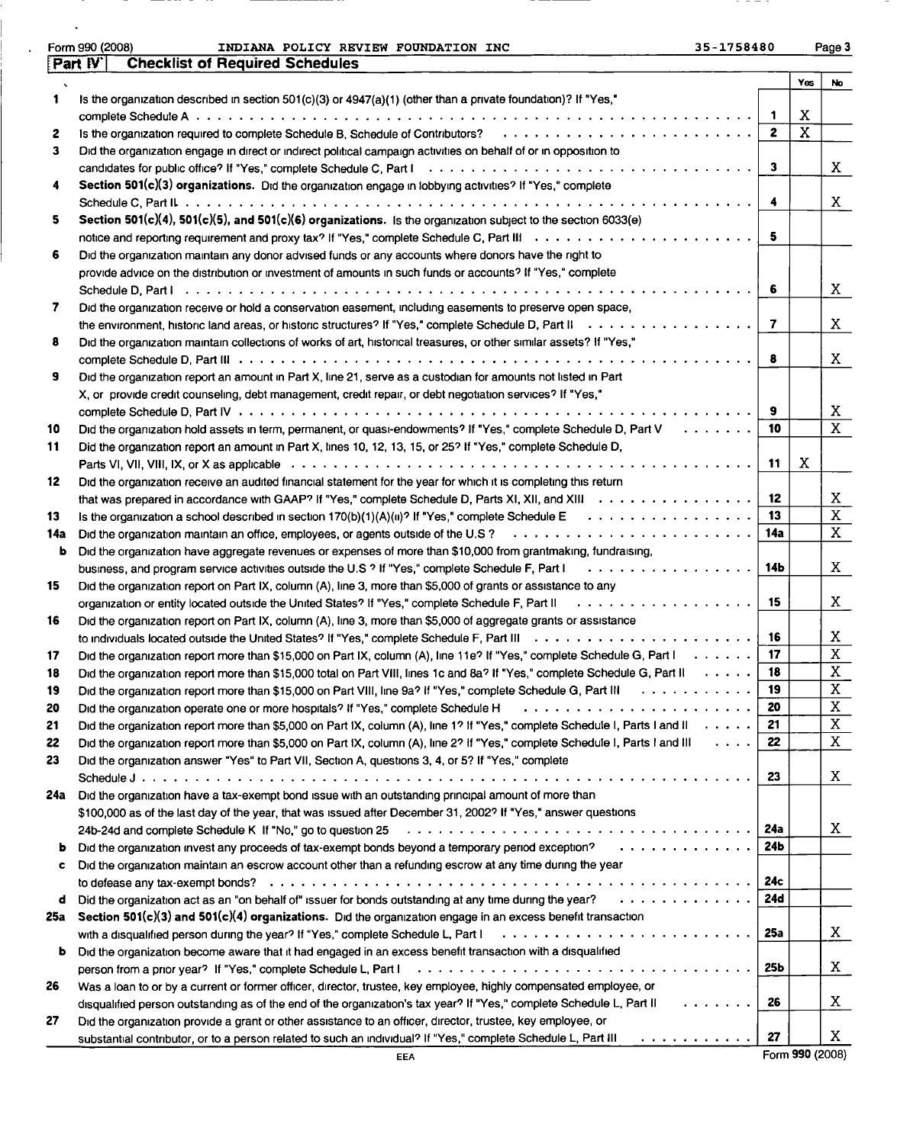|     | Form 990 (2008)<br>35-1758480<br>INDIANA POLICY REVIEW FOUNDATION INC                                                                                                                                             |                 |     | Page 3                  |
|-----|-------------------------------------------------------------------------------------------------------------------------------------------------------------------------------------------------------------------|-----------------|-----|-------------------------|
|     | <b>Checklist of Required Schedules</b><br>Part IV                                                                                                                                                                 |                 |     |                         |
|     |                                                                                                                                                                                                                   |                 | Yes | <b>No</b>               |
| 1   | Is the organization described in section $501(c)(3)$ or $4947(a)(1)$ (other than a private foundation)? If "Yes,"                                                                                                 |                 |     |                         |
|     |                                                                                                                                                                                                                   | 1               | Χ   |                         |
| 2   |                                                                                                                                                                                                                   | $\mathbf{z}$    | X   |                         |
| 3   | Did the organization engage in direct or indirect political campaign activities on behalf of or in opposition to                                                                                                  |                 |     |                         |
|     |                                                                                                                                                                                                                   | з               |     | X                       |
| 4   | Section 501(c)(3) organizations. Did the organization engage in lobbying activities? If "Yes," complete                                                                                                           |                 |     |                         |
|     |                                                                                                                                                                                                                   | 4               |     | X                       |
| 5.  | Section 501(c)(4), 501(c)(5), and 501(c)(6) organizations. Is the organization subject to the section 6033(e)                                                                                                     | 5               |     |                         |
| 6   |                                                                                                                                                                                                                   |                 |     |                         |
|     | Did the organization maintain any donor advised funds or any accounts where donors have the right to<br>provide advice on the distribution or investment of amounts in such funds or accounts? If "Yes," complete |                 |     |                         |
|     |                                                                                                                                                                                                                   | 6               |     | X                       |
| 7   | Did the organization receive or hold a conservation easement, including easements to preserve open space,                                                                                                         |                 |     |                         |
|     |                                                                                                                                                                                                                   | 7               |     | X                       |
| 8   | Did the organization maintain collections of works of art, historical treasures, or other similar assets? If "Yes,"                                                                                               |                 |     |                         |
|     |                                                                                                                                                                                                                   | 8               |     | X                       |
| 9   | Did the organization report an amount in Part X, line 21, serve as a custodian for amounts not listed in Part                                                                                                     |                 |     |                         |
|     | X, or provide credit counseling, debt management, credit repair, or debt negotiation services? If "Yes,"                                                                                                          |                 |     |                         |
|     |                                                                                                                                                                                                                   | 9               |     | X                       |
| 10  | Did the organization hold assets in term, permanent, or quasi-endowments? If "Yes," complete Schedule D, Part V                                                                                                   | 10              |     | $\overline{X}$          |
| 11  | Did the organization report an amount in Part X, lines 10, 12, 13, 15, or 25? If "Yes," complete Schedule D,                                                                                                      |                 |     |                         |
|     | .                                                                                                                                                                                                                 | 11              | X   |                         |
| 12  | Did the organization receive an audited financial statement for the year for which it is completing this return                                                                                                   |                 |     |                         |
|     | that was prepared in accordance with GAAP? If "Yes," complete Schedule D, Parts XI, XII, and XIII                                                                                                                 | 12              |     | X                       |
| 13  |                                                                                                                                                                                                                   | 13              |     | $\overline{\mathbf{x}}$ |
| 14a |                                                                                                                                                                                                                   | 14a             |     | X                       |
| b   | Did the organization have aggregate revenues or expenses of more than \$10,000 from grantmaking, fundraising,                                                                                                     |                 |     |                         |
|     | .<br>business, and program service activities outside the U.S.? If "Yes," complete Schedule F, Part I                                                                                                             | 14Ь             |     | X                       |
| 15  | Did the organization report on Part IX, column (A), line 3, more than \$5,000 of grants or assistance to any                                                                                                      |                 |     |                         |
|     |                                                                                                                                                                                                                   | 15              |     | X                       |
| 16  | Did the organization report on Part IX, column (A), line 3, more than \$5,000 of aggregate grants or assistance                                                                                                   |                 |     |                         |
|     |                                                                                                                                                                                                                   | 16              |     | X                       |
| 17  | Did the organization report more than \$15,000 on Part IX, column (A), line 11e? If "Yes," complete Schedule G, Part $\vert \ldots \ldots \rangle$                                                                | 17              |     | $\mathbf{X}$            |
| 18  | Did the organization report more than \$15,000 total on Part VIII, lines 1c and 8a? If "Yes," complete Schedule G, Part II                                                                                        | 18              |     | $\mathbf{X}$            |
| 19  | Did the organization report more than \$15,000 on Part VIII, line 9a? If "Yes," complete Schedule G, Part III                                                                                                     | 19              |     | $\overline{\mathbf{x}}$ |
| 20  | Did the organization operate one or more hospitals? If "Yes," complete Schedule H                                                                                                                                 | 20              |     | $\overline{\textbf{X}}$ |
| 21  | Did the organization report more than \$5,000 on Part IX, column (A), line 1? If "Yes," complete Schedule I, Parts I and II                                                                                       | 21              |     | X                       |
| 22  | Did the organization report more than \$5,000 on Part IX, column (A), line 2? If "Yes," complete Schedule I, Parts I and III                                                                                      | 22              |     | $\mathbf X$             |
| 23  | Did the organization answer "Yes" to Part VII, Section A, questions 3, 4, or 5? If "Yes," complete                                                                                                                | 23              |     | X                       |
| 24a | Did the organization have a tax-exempt bond issue with an outstanding principal amount of more than                                                                                                               |                 |     |                         |
|     | \$100,000 as of the last day of the year, that was issued after December 31, 2002? If "Yes," answer questions                                                                                                     |                 |     |                         |
|     |                                                                                                                                                                                                                   | 24a             |     | X.                      |
| ь   | Did the organization invest any proceeds of tax-exempt bonds beyond a temporary period exception?                                                                                                                 | 24Ь             |     |                         |
| c   | Did the organization maintain an escrow account other than a refunding escrow at any time during the year                                                                                                         |                 |     |                         |
|     |                                                                                                                                                                                                                   | 24c             |     |                         |
| đ   | Did the organization act as an "on behalf of" issuer for bonds outstanding at any time during the year?                                                                                                           | 24d             |     |                         |
| 25a | Section 501( $c$ )(3) and 501( $c$ )(4) organizations. Did the organization engage in an excess benefit transaction                                                                                               |                 |     |                         |
|     |                                                                                                                                                                                                                   | 25a             |     | X                       |
| ь   | Did the organization become aware that it had engaged in an excess benefit transaction with a disqualified                                                                                                        |                 |     |                         |
|     |                                                                                                                                                                                                                   | 25 <sub>b</sub> |     | X                       |
| 26  | Was a loan to or by a current or former officer, director, trustee, key employee, highly compensated employee, or                                                                                                 |                 |     |                         |
|     | 1.1.1.1.1.1.1<br>disqualified person outstanding as of the end of the organization's tax year? If "Yes," complete Schedule L, Part II                                                                             | 26              |     | X.                      |
| 27  | Did the organization provide a grant or other assistance to an officer, director, trustee, key employee, or                                                                                                       |                 |     |                         |
|     | substantial contributor, or to a person related to such an individual? If "Yes," complete Schedule L, Part III                                                                                                    | 27              |     | X.                      |

 $\hat{\mathbf{v}}$ 

EEA Form 990 (2008)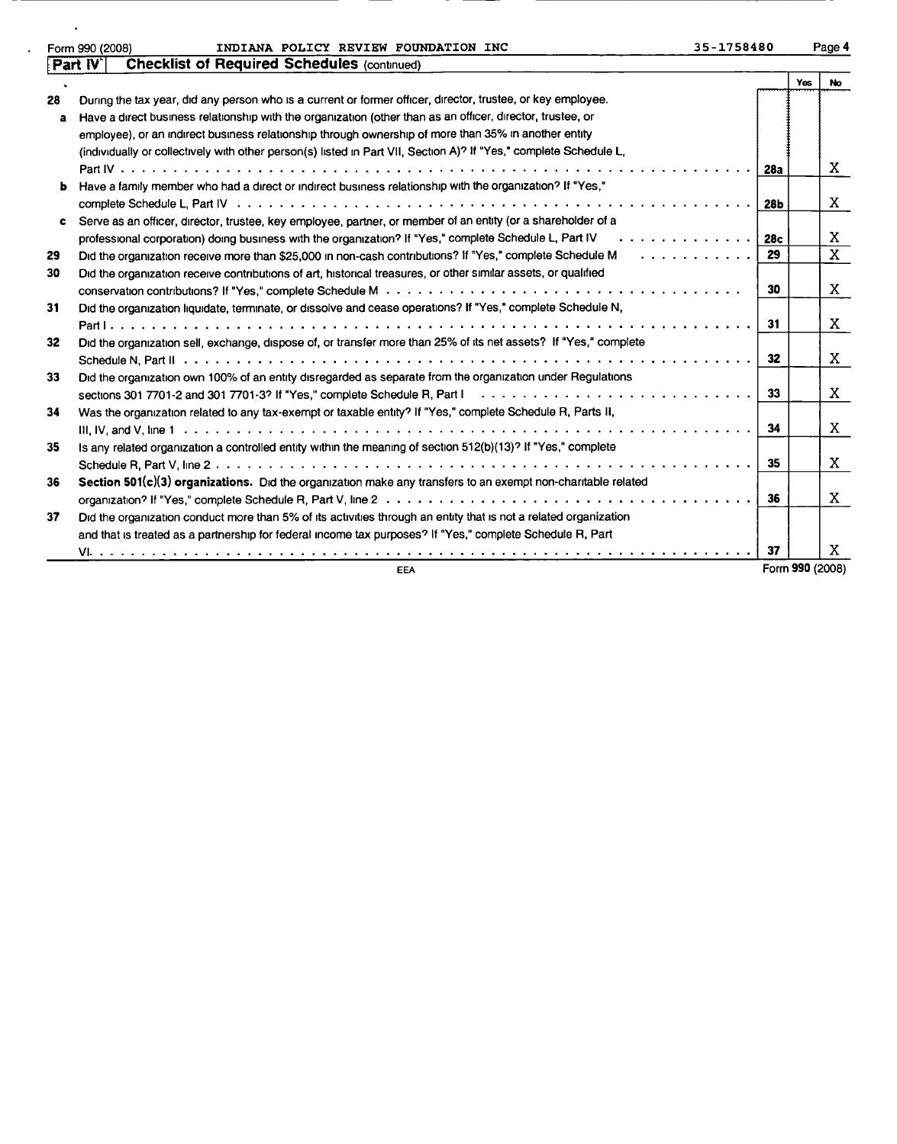|    | 35-1758480<br>INDIANA POLICY REVIEW FOUNDATION INC<br>Form 990 (2008)                                                                                                                                                          |     |     | Page 4 |
|----|--------------------------------------------------------------------------------------------------------------------------------------------------------------------------------------------------------------------------------|-----|-----|--------|
|    | <b>Checklist of Required Schedules (continued)</b><br>[Part IV`                                                                                                                                                                |     |     |        |
|    |                                                                                                                                                                                                                                |     | Yes | No.    |
| 28 | During the tax year, did any person who is a current or former officer, director, trustee, or key employee.                                                                                                                    |     |     |        |
| a  | Have a direct business relationship with the organization (other than as an officer, director, trustee, or                                                                                                                     |     |     |        |
|    | employee), or an indirect business relationship through ownership of more than 35% in another entity                                                                                                                           |     |     |        |
|    | (individually or collectively with other person(s) listed in Part VII, Section A)? If "Yes," complete Schedule L,                                                                                                              |     |     |        |
|    |                                                                                                                                                                                                                                | 28a |     | X.     |
|    | Have a family member who had a direct or indirect business relationship with the organization? If "Yes,"                                                                                                                       |     |     |        |
|    |                                                                                                                                                                                                                                | 28Ь |     | X      |
| c  | Serve as an officer, director, trustee, key employee, partner, or member of an entity (or a shareholder of a                                                                                                                   |     |     |        |
|    | .<br>professional corporation) doing business with the organization? If "Yes," complete Schedule L, Part IV                                                                                                                    | 28c |     | Χ      |
| 29 | Did the organization receive more than \$25,000 in non-cash contributions? If "Yes," complete Schedule M                                                                                                                       | 29  |     | X      |
| 30 | Did the organization receive contributions of art, historical treasures, or other similar assets, or qualified                                                                                                                 |     |     |        |
|    |                                                                                                                                                                                                                                | 30  |     | X      |
| 31 | Did the organization liquidate, terminate, or dissolve and cease operations? If "Yes," complete Schedule N,                                                                                                                    |     |     |        |
|    |                                                                                                                                                                                                                                | -31 |     | X      |
| 32 | Did the organization sell, exchange, dispose of, or transfer more than 25% of its net assets? If "Yes," complete                                                                                                               |     |     |        |
|    |                                                                                                                                                                                                                                | 32  |     | X      |
| 33 | Did the organization own 100% of an entity disregarded as separate from the organization under Regulations                                                                                                                     |     |     |        |
|    | sections 301 7701-2 and 301 7701-3? If "Yes," complete Schedule R, Part Independency on the sections 301 7701-2 and 301 7701-3? If "Yes," complete Schedule R, Part Independency on the section of the Section Part Independen | 33  |     | X      |
| 34 | Was the organization related to any tax-exempt or taxable entity? If "Yes," complete Schedule R, Parts II,                                                                                                                     |     |     |        |
|    |                                                                                                                                                                                                                                | 34  |     | X      |
| 35 | Is any related organization a controlled entity within the meaning of section 512(b)(13)? If "Yes," complete                                                                                                                   |     |     |        |
|    |                                                                                                                                                                                                                                | 35  |     | X      |
| 36 | Section 501(c)(3) organizations. Did the organization make any transfers to an exempt non-charitable related                                                                                                                   |     |     |        |
|    |                                                                                                                                                                                                                                | 36  |     | Χ      |
| 37 | Did the organization conduct more than 5% of its activities through an entity that is not a related organization                                                                                                               |     |     |        |
|    | and that is treated as a partnership for federal income tax purposes? If "Yes," complete Schedule R, Part                                                                                                                      |     |     |        |

VI. .... ... <sup>37</sup> X

EEA Form 990 (2008)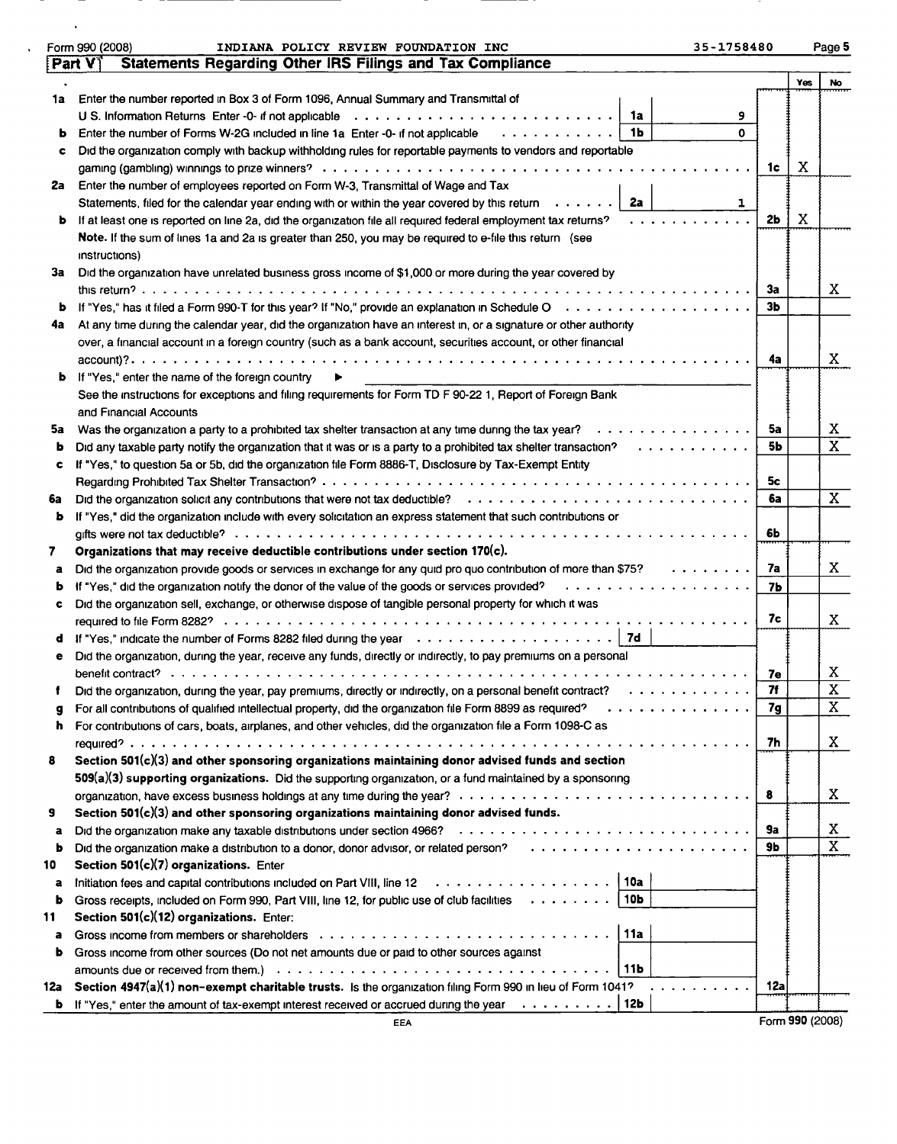|        | Form 990 (2008)<br>INDIANA POLICY REVIEW FOUNDATION INC<br>35-1758480                                                    |                |                               | Page 5         |
|--------|--------------------------------------------------------------------------------------------------------------------------|----------------|-------------------------------|----------------|
|        | <b>Statements Regarding Other IRS Filings and Tax Compliance</b><br>Part V                                               |                |                               |                |
|        |                                                                                                                          |                | Yes                           | No             |
| 1a     | Enter the number reported in Box 3 of Form 1096, Annual Summary and Transmittal of                                       |                |                               |                |
|        | 1a<br>9                                                                                                                  |                |                               |                |
| b      | 1 <sub>b</sub><br>O<br>Enter the number of Forms W-2G included in line 1a Enter -0- if not applicable                    |                |                               |                |
| c      | Did the organization comply with backup withholding rules for reportable payments to vendors and reportable              |                |                               |                |
|        |                                                                                                                          | 1c             | X                             |                |
| 2a     | Enter the number of employees reported on Form W-3, Transmittal of Wage and Tax                                          |                |                               |                |
|        | 2a<br>Statements, filed for the calendar year ending with or within the year covered by this return $\cdots \cdots$<br>1 |                |                               |                |
| ь      | If at least one is reported on line 2a, did the organization file all required federal employment tax returns?           | 2 <sub>b</sub> | Χ                             |                |
|        | Note. If the sum of lines 1a and 2a is greater than 250, you may be required to e-file this return (see                  |                |                               |                |
|        | instructions)                                                                                                            |                |                               |                |
| За     | Did the organization have unrelated business gross income of \$1,000 or more during the year covered by                  |                |                               |                |
|        |                                                                                                                          | 3a             |                               | X.             |
| b      |                                                                                                                          | Зb             |                               |                |
| 4a     | At any time during the calendar year, did the organization have an interest in, or a signature or other authority        |                |                               |                |
|        | over, a financial account in a foreign country (such as a bank account, securities account, or other financial           |                |                               |                |
|        |                                                                                                                          | 4a             |                               | X              |
| b      | If "Yes," enter the name of the foreign country                                                                          |                |                               |                |
|        | See the instructions for exceptions and filing requirements for Form TD F 90-22 1, Report of Foreign Bank                |                |                               |                |
|        | and Financial Accounts                                                                                                   |                |                               |                |
| 5a     | Was the organization a party to a prohibited tax shelter transaction at any time during the tax year?<br>.               | 5a             |                               | X.<br>X        |
| b      | Did any taxable party notify the organization that it was or is a party to a prohibited tax shelter transaction?<br>.    | 5b             |                               |                |
| c      | If "Yes," to question 5a or 5b, did the organization file Form 8886-T, Disclosure by Tax-Exempt Entity                   |                |                               |                |
|        |                                                                                                                          | 5c<br>6a       |                               | X              |
| 6a     |                                                                                                                          |                |                               |                |
| ь      | If "Yes," did the organization include with every solicitation an express statement that such contributions or           | 6Ь             |                               |                |
| 7.     | Organizations that may receive deductible contributions under section 170(c).                                            |                |                               |                |
|        | Did the organization provide goods or services in exchange for any quid pro quo contribution of more than \$75?          | 7a             |                               | X              |
| a<br>b | If "Yes," did the organization notify the donor of the value of the goods or services provided?<br>.                     | 7 <sub>b</sub> |                               |                |
| c      | Did the organization sell, exchange, or otherwise dispose of tangible personal property for which it was                 |                |                               |                |
|        |                                                                                                                          | 7с             |                               | X              |
| a      | If "Yes," indicate the number of Forms 8282 filed during the year $\cdots \cdots \cdots \cdots \cdots$                   |                |                               |                |
| е      | Did the organization, during the year, receive any funds, directly or indirectly, to pay premiums on a personal          |                |                               |                |
|        |                                                                                                                          | 7e             |                               | Χ              |
|        | Did the organization, during the year, pay premiums, directly or indirectly, on a personal benefit contract?             | 7f             |                               | X              |
|        |                                                                                                                          | 7g             |                               | $\mathbf X$    |
| ħ      | For contributions of cars, boats, airplanes, and other vehicles, did the organization file a Form 1098-C as              |                |                               |                |
|        |                                                                                                                          | 7h             |                               | X.             |
| 8      | Section 501(c)(3) and other sponsoring organizations maintaining donor advised funds and section                         |                |                               |                |
|        | $509(a)(3)$ supporting organizations. Did the supporting organization, or a fund maintained by a sponsoring              |                |                               |                |
|        |                                                                                                                          | 8              |                               | X.             |
| 9      | Section 501(c)(3) and other sponsoring organizations maintaining donor advised funds.                                    |                |                               |                |
| а      |                                                                                                                          | 9a             |                               | X              |
| b      |                                                                                                                          | 9Ь             |                               | $\overline{X}$ |
| 10     | Section 501(c)(7) organizations. Enter                                                                                   |                |                               |                |
| a      |                                                                                                                          |                |                               |                |
| b      | Gross receipts, included on Form 990, Part VIII, line 12, for public use of club facilities   10b                        |                |                               |                |
| 11     | Section 501(c)(12) organizations. Enter:                                                                                 |                |                               |                |
| a      | 11a                                                                                                                      |                |                               |                |
| b.     | Gross income from other sources (Do not net amounts due or paid to other sources against                                 |                |                               |                |
|        | 111b                                                                                                                     |                |                               |                |
| 12a    | Section 4947(a)(1) non-exempt charitable trusts. Is the organization filing Form 990 in lieu of Form 1041?               | <b>12a</b>     |                               |                |
|        | <b>b</b> If "Yes," enter the amount of tax-exempt interest received or accrued during the year $\dots \dots \dots$       |                | $F_{\text{a}} = 0.000(0.000)$ |                |
|        |                                                                                                                          |                |                               |                |

<u>т</u>

 $\sim 10^7$ 

i Ti

 $\sim 100$  km s  $^{-1}$ 

- 71 <u>— т</u>

Form 990(2008)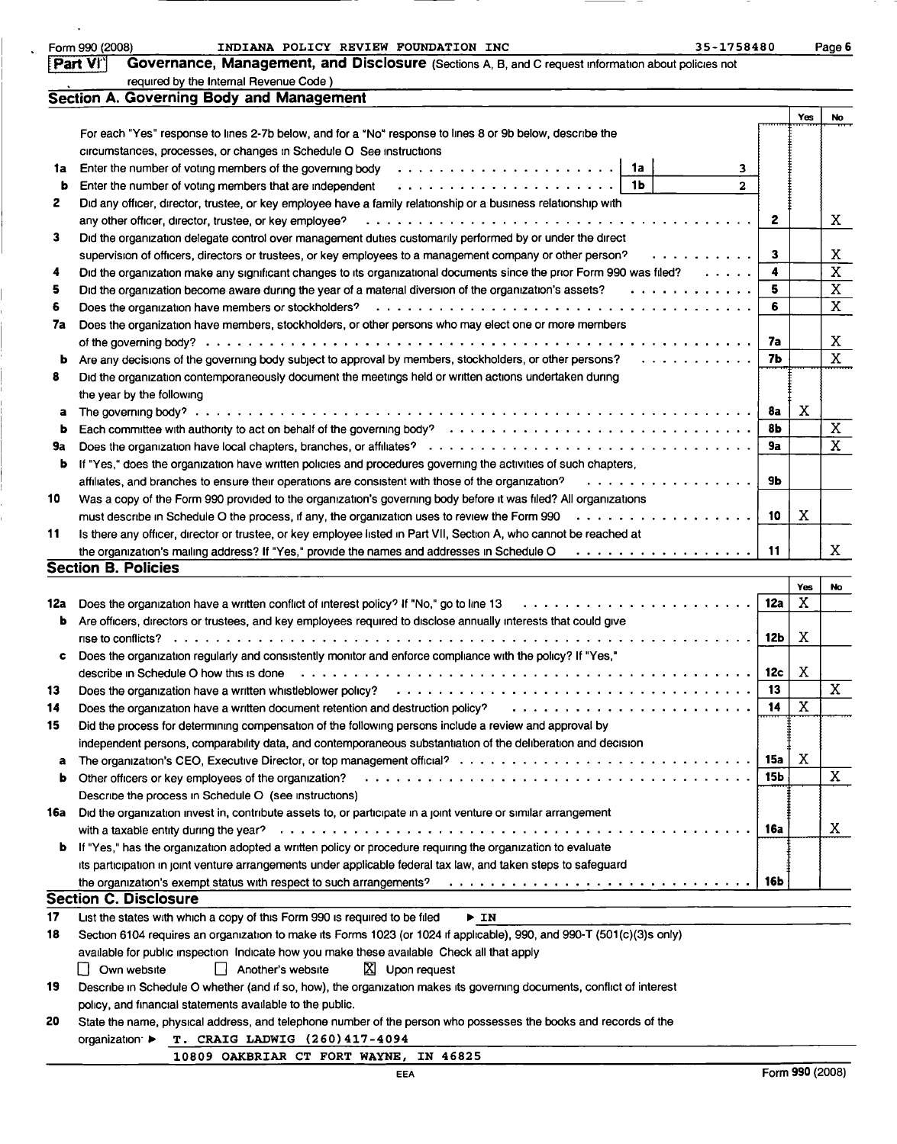| Form 990 (200 |  |
|---------------|--|
|               |  |

## Form 990 (2008) INDIANA POLICY REVIEW FOUNDATION INC 35-1758480 Page 6<br>[Part VI] Governance, Management, and Disclosure (Sections A B and C request information about policies not

|  |  | 84. | 80<br>ο |  |
|--|--|-----|---------|--|
|  |  |     |         |  |
|  |  |     |         |  |

|     | Part VI<br>Governance, Management, and Disclosure (Sections A, B, and C request information about policies not            |                |                         |                         |
|-----|---------------------------------------------------------------------------------------------------------------------------|----------------|-------------------------|-------------------------|
|     | required by the Internal Revenue Code)                                                                                    |                |                         |                         |
|     | Section A. Governing Body and Management                                                                                  |                |                         |                         |
|     |                                                                                                                           |                | Yes                     | No                      |
|     | For each "Yes" response to lines 2-7b below, and for a "No" response to lines 8 or 9b below, describe the                 |                |                         |                         |
|     | circumstances, processes, or changes in Schedule O See instructions                                                       |                |                         |                         |
| 1a  | 1a<br>з.                                                                                                                  |                |                         |                         |
| þ   | 1 <sub>b</sub><br>Enter the number of voting members that are independent<br>$\mathbf{z}$                                 |                |                         |                         |
| 2   | Did any officer, director, trustee, or key employee have a family relationship or a business relationship with            |                |                         |                         |
|     | any other officer, director, trustee, or key employee?                                                                    | $\mathbf{z}$   |                         | X                       |
| 3   | Did the organization delegate control over management duties customarily performed by or under the direct                 |                |                         |                         |
|     | supervision of officers, directors or trustees, or key employees to a management company or other person?<br>. <i>.</i> . | 3              |                         | Χ                       |
| 4   | Did the organization make any significant changes to its organizational documents since the prior Form 990 was filed?     | 4              |                         | $\overline{\mathrm{x}}$ |
| 5   | Did the organization become aware during the year of a material diversion of the organization's assets?<br>.              | 5              |                         | $\overline{\text{X}}$   |
| 6   |                                                                                                                           | 6              |                         | $\overline{\mathbf{x}}$ |
| 7a  | Does the organization have members, stockholders, or other persons who may elect one or more members                      |                |                         |                         |
|     |                                                                                                                           | 7a             |                         | X                       |
| b   | Are any decisions of the governing body subject to approval by members, stockholders, or other persons?                   | 7b             |                         | $\overline{\text{x}}$   |
| 8   | Did the organization contemporaneously document the meetings held or written actions undertaken during                    |                |                         |                         |
|     | the year by the following                                                                                                 |                |                         |                         |
| a   |                                                                                                                           | 8a             | X                       |                         |
| b   |                                                                                                                           | 8 <sub>b</sub> |                         | X                       |
| 9a  |                                                                                                                           | 9a             |                         | $\overline{\mathbf{X}}$ |
| b   | If "Yes," does the organization have written policies and procedures governing the activities of such chapters,           |                |                         |                         |
|     | affiliates, and branches to ensure their operations are consistent with those of the organization?<br>.                   | 9Ь             |                         |                         |
| 10  | Was a copy of the Form 990 provided to the organization's governing body before it was filed? All organizations           |                |                         |                         |
|     | must describe in Schedule O the process, if any, the organization uses to review the Form 990<br>.                        | 10             | Χ                       |                         |
| 11  | Is there any officer, director or trustee, or key employee listed in Part VII, Section A, who cannot be reached at        |                |                         |                         |
|     | the organization's mailing address? If "Yes," provide the names and addresses in Schedule O<br>.                          | 11             |                         | X                       |
|     | <b>Section B. Policies</b>                                                                                                |                |                         |                         |
|     |                                                                                                                           |                | Yes                     | No                      |
| 12a | Does the organization have a written conflict of interest policy? If "No," go to line 13                                  | <b>12a</b>     | X                       |                         |
| b   | Are officers, directors or trustees, and key employees required to disclose annually interests that could give            |                |                         |                         |
|     |                                                                                                                           | 12b            | Χ                       |                         |
| c   | Does the organization regularly and consistently monitor and enforce compliance with the policy? If "Yes,"                |                |                         |                         |
|     | describe in Schedule O how this is done                                                                                   | 12c            | X                       |                         |
| 13  |                                                                                                                           | 13             |                         | $\mathbf X$             |
| 14  | Does the organization have a written document retention and destruction policy?                                           | 14             | $\overline{\mathbf{x}}$ |                         |
| 15  | Did the process for determining compensation of the following persons include a review and approval by                    |                |                         |                         |
|     | independent persons, comparability data, and contemporaneous substantiation of the deliberation and decision              |                |                         |                         |
| a   |                                                                                                                           | 15a            | Χ                       |                         |
| b   | Other officers or key employees of the organization?                                                                      | <b>15b</b>     |                         | X                       |
|     | Describe the process in Schedule O (see instructions)                                                                     |                |                         |                         |
| 16a | Did the organization invest in, contribute assets to, or participate in a joint venture or similar arrangement            |                |                         |                         |
|     |                                                                                                                           | 16a            |                         | X                       |
| b   | If "Yes," has the organization adopted a written policy or procedure requiring the organization to evaluate               |                |                         |                         |
|     | its participation in joint venture arrangements under applicable federal tax law, and taken steps to safeguard            |                |                         |                         |
|     | the organization's exempt status with respect to such arrangements?                                                       | 16b            |                         |                         |
|     | <b>Section C. Disclosure</b>                                                                                              |                |                         |                         |
| 17  | List the states with which a copy of this Form 990 is required to be filed<br>▶ IN                                        |                |                         |                         |
| 18  | Section 6104 requires an organization to make its Forms 1023 (or 1024 if applicable), 990, and 990-T (501(c)(3)s only)    |                |                         |                         |
|     | available for public inspection Indicate how you make these available Check all that apply                                |                |                         |                         |
|     | $\mathbb{X}$ Upon request<br>Own website<br>Another's website<br>L L                                                      |                |                         |                         |
| 19  | Describe in Schedule O whether (and if so, how), the organization makes its governing documents, conflict of interest     |                |                         |                         |
|     | policy, and financial statements available to the public.                                                                 |                |                         |                         |
| 20  | State the name, physical address, and telephone number of the person who possesses the books and records of the           |                |                         |                         |
|     | T. CRAIG LADWIG (260)417-4094<br>organization: ▶                                                                          |                |                         |                         |

10809 OAKBRIAR CT FORT WAYNE, IN 46825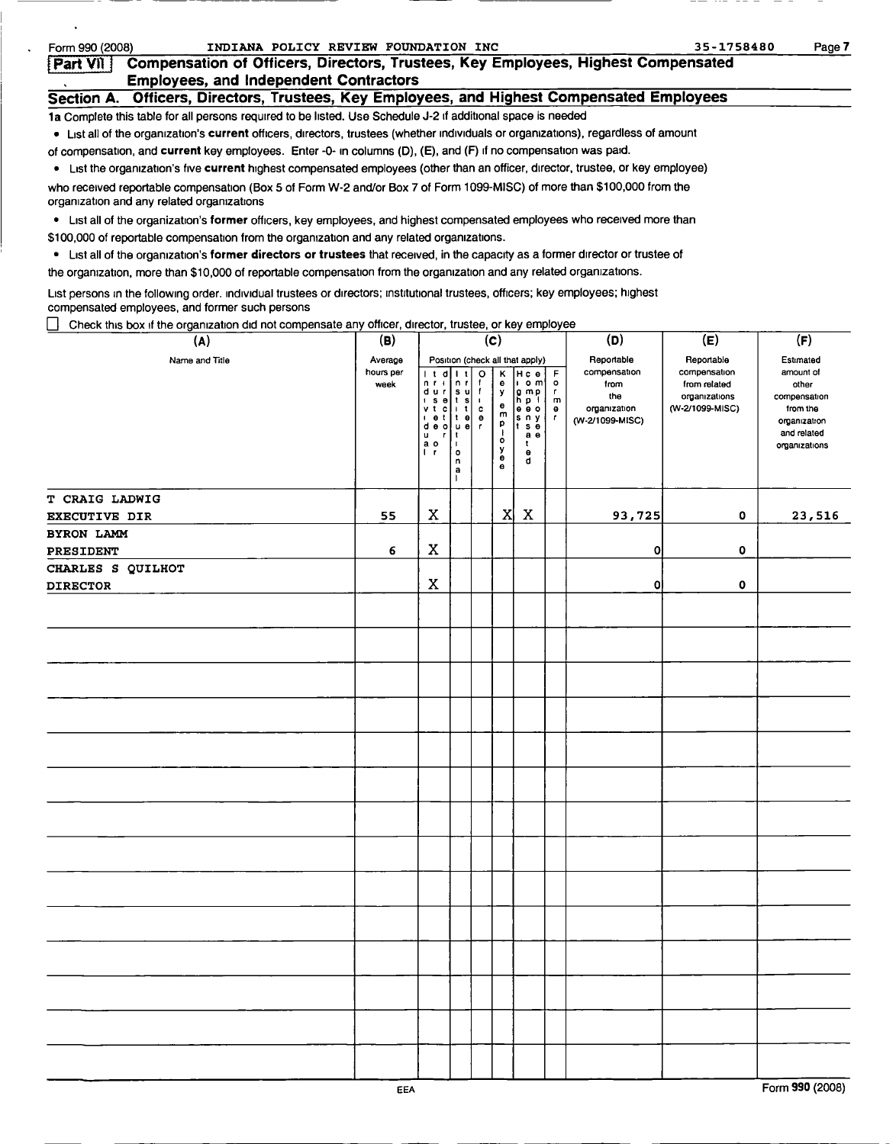| Form 990 (2008) |                                                                                           | INDIANA POLICY REVIEW FOUNDATION INC                                                                                                | 35-1758480                                                                                 | Page 7 |
|-----------------|-------------------------------------------------------------------------------------------|-------------------------------------------------------------------------------------------------------------------------------------|--------------------------------------------------------------------------------------------|--------|
| <b>Part VII</b> |                                                                                           |                                                                                                                                     | <b>Compensation of Officers, Directors, Trustees, Key Employees, Highest Compensated</b>   |        |
|                 | <b>Employees, and Independent Contractors</b>                                             |                                                                                                                                     |                                                                                            |        |
|                 |                                                                                           |                                                                                                                                     | Section A. Officers, Directors, Trustees, Key Employees, and Highest Compensated Employees |        |
|                 |                                                                                           | 1a Complete this table for all persons required to be listed. Use Schedule J-2 if additional space is needed                        |                                                                                            |        |
|                 |                                                                                           | • List all of the organization's current officers, directors, trustees (whether individuals or organizations), regardless of amount |                                                                                            |        |
|                 |                                                                                           | of compensation, and <b>current</b> key employees. Enter -0- in columns (D), (E), and (F) if no compensation was paid.              |                                                                                            |        |
|                 |                                                                                           | • List the organization's five current highest compensated employees (other than an officer, director, trustee, or key employee)    |                                                                                            |        |
|                 | organization and any related organizations                                                | who received reportable compensation (Box 5 of Form W-2 and/or Box 7 of Form 1099-MISC) of more than \$100,000 from the             |                                                                                            |        |
|                 |                                                                                           | List all of the organization's former officers, key employees, and highest compensated employees who received more than             |                                                                                            |        |
|                 | \$100,000 of reportable compensation from the organization and any related organizations. |                                                                                                                                     |                                                                                            |        |
|                 |                                                                                           | List all of the organization's former directors or trustees that received, in the capacity as a former director or trustee of       |                                                                                            |        |
|                 |                                                                                           | the organization, more than \$10,000 of reportable compensation from the organization and any related organizations.                |                                                                                            |        |

List persons in the following order. Individual trustees or directors; institutional trustees, officers; key employees; highest compensated employees, and former such persons

 $\Box$  Check this box if the organization did not compensate any officer, director, trustee, or key employee

 $\ddot{\phantom{a}}$ 

 $\ddot{\phantom{0}}$ 

| Shoot this box if the organization are not componed to<br>(A) | (B)                          |                                                                                                                                                                                                                                                            |                                                                               |                                                                                | (c)                                                                                                      | $\cdots$                                                                                                                       |                                                      | (D)                                                                          | (E)                                                                            | (F)                                                                                                         |
|---------------------------------------------------------------|------------------------------|------------------------------------------------------------------------------------------------------------------------------------------------------------------------------------------------------------------------------------------------------------|-------------------------------------------------------------------------------|--------------------------------------------------------------------------------|----------------------------------------------------------------------------------------------------------|--------------------------------------------------------------------------------------------------------------------------------|------------------------------------------------------|------------------------------------------------------------------------------|--------------------------------------------------------------------------------|-------------------------------------------------------------------------------------------------------------|
| Name and Title                                                | Average<br>hours per<br>week | t d <br>$n + 1$<br>$\begin{array}{c c c c c} \hline \mathbf{d} & \mathbf{u} & \mathbf{r} & \mathbf{s} \\ \hline \mathbf{i} & \mathbf{s} & \mathbf{e} & \mathbf{t} & \mathbf{s} \end{array}$<br>vtc<br>1 0 1<br>de o   u e <br>u<br>$\mathbf r$<br>ao<br>Ir | n r<br>li t<br>∣t el<br>$\vert$ 1<br>$\blacksquare$<br>$\circ$<br>n<br>а<br>п | $\circ$<br>$\mathbf{f}$<br>$\mathbf{f}$<br>$\mathbf{I}$<br>c<br>$\bullet$<br>r | Κ<br>e<br>y<br>$\bullet$<br>m<br>p<br>$\mathbf{r}$<br>$\bullet$<br>у<br>$\ddot{\mathbf{e}}$<br>$\bullet$ | Position (check all that apply)<br>Hce<br> ⊧om'<br>g mp<br>h p i<br>e e o<br>ls n y<br>∣t se<br>a <sub>e</sub><br>t.<br>۰<br>d | F<br>$\circ$<br>$\mathbf{r}$<br>m<br>$\bullet$<br>T. | Reportable<br>compensation<br>from<br>the<br>organization<br>(W-2/1099-MISC) | Reportable<br>compensation<br>from related<br>organizations<br>(W-2/1099-MISC) | Estimated<br>amount of<br>other<br>compensation<br>from the<br>organization<br>and related<br>organizations |
| T CRAIG LADWIG                                                |                              |                                                                                                                                                                                                                                                            |                                                                               |                                                                                |                                                                                                          |                                                                                                                                |                                                      |                                                                              |                                                                                |                                                                                                             |
| <b>EXECUTIVE DIR</b>                                          | 55                           | $\mathbf X$                                                                                                                                                                                                                                                |                                                                               |                                                                                | X                                                                                                        | $\boldsymbol{\mathrm{X}}$                                                                                                      |                                                      | 93,725                                                                       | 0                                                                              | 23,516                                                                                                      |
| <b>BYRON LAMM</b>                                             |                              |                                                                                                                                                                                                                                                            |                                                                               |                                                                                |                                                                                                          |                                                                                                                                |                                                      |                                                                              |                                                                                |                                                                                                             |
| PRESIDENT                                                     | 6                            | $\mathbf x$                                                                                                                                                                                                                                                |                                                                               |                                                                                |                                                                                                          |                                                                                                                                |                                                      | $\overline{0}$                                                               | $\mathbf 0$                                                                    |                                                                                                             |
| CHARLES S QUILHOT                                             |                              | $\mathbf X$                                                                                                                                                                                                                                                |                                                                               |                                                                                |                                                                                                          |                                                                                                                                |                                                      | 0I                                                                           | $\mathbf 0$                                                                    |                                                                                                             |
| <b>DIRECTOR</b>                                               |                              |                                                                                                                                                                                                                                                            |                                                                               |                                                                                |                                                                                                          |                                                                                                                                |                                                      |                                                                              |                                                                                |                                                                                                             |
|                                                               |                              |                                                                                                                                                                                                                                                            |                                                                               |                                                                                |                                                                                                          |                                                                                                                                |                                                      |                                                                              |                                                                                |                                                                                                             |
|                                                               |                              |                                                                                                                                                                                                                                                            |                                                                               |                                                                                |                                                                                                          |                                                                                                                                |                                                      |                                                                              |                                                                                |                                                                                                             |
|                                                               |                              |                                                                                                                                                                                                                                                            |                                                                               |                                                                                |                                                                                                          |                                                                                                                                |                                                      |                                                                              |                                                                                |                                                                                                             |
|                                                               |                              |                                                                                                                                                                                                                                                            |                                                                               |                                                                                |                                                                                                          |                                                                                                                                |                                                      |                                                                              |                                                                                |                                                                                                             |
|                                                               |                              |                                                                                                                                                                                                                                                            |                                                                               |                                                                                |                                                                                                          |                                                                                                                                |                                                      |                                                                              |                                                                                |                                                                                                             |
|                                                               |                              |                                                                                                                                                                                                                                                            |                                                                               |                                                                                |                                                                                                          |                                                                                                                                |                                                      |                                                                              |                                                                                |                                                                                                             |
|                                                               |                              |                                                                                                                                                                                                                                                            |                                                                               |                                                                                |                                                                                                          |                                                                                                                                |                                                      |                                                                              |                                                                                |                                                                                                             |
|                                                               |                              |                                                                                                                                                                                                                                                            |                                                                               |                                                                                |                                                                                                          |                                                                                                                                |                                                      |                                                                              |                                                                                |                                                                                                             |
|                                                               |                              |                                                                                                                                                                                                                                                            |                                                                               |                                                                                |                                                                                                          |                                                                                                                                |                                                      |                                                                              |                                                                                |                                                                                                             |
|                                                               |                              |                                                                                                                                                                                                                                                            |                                                                               |                                                                                |                                                                                                          |                                                                                                                                |                                                      |                                                                              |                                                                                |                                                                                                             |
|                                                               |                              |                                                                                                                                                                                                                                                            |                                                                               |                                                                                |                                                                                                          |                                                                                                                                |                                                      |                                                                              |                                                                                |                                                                                                             |
|                                                               |                              |                                                                                                                                                                                                                                                            |                                                                               |                                                                                |                                                                                                          |                                                                                                                                |                                                      |                                                                              |                                                                                |                                                                                                             |
|                                                               |                              |                                                                                                                                                                                                                                                            |                                                                               |                                                                                |                                                                                                          |                                                                                                                                |                                                      |                                                                              |                                                                                |                                                                                                             |
|                                                               | EEA                          |                                                                                                                                                                                                                                                            |                                                                               |                                                                                |                                                                                                          |                                                                                                                                |                                                      |                                                                              |                                                                                | Form 990 (2008)                                                                                             |

 $- - -- -$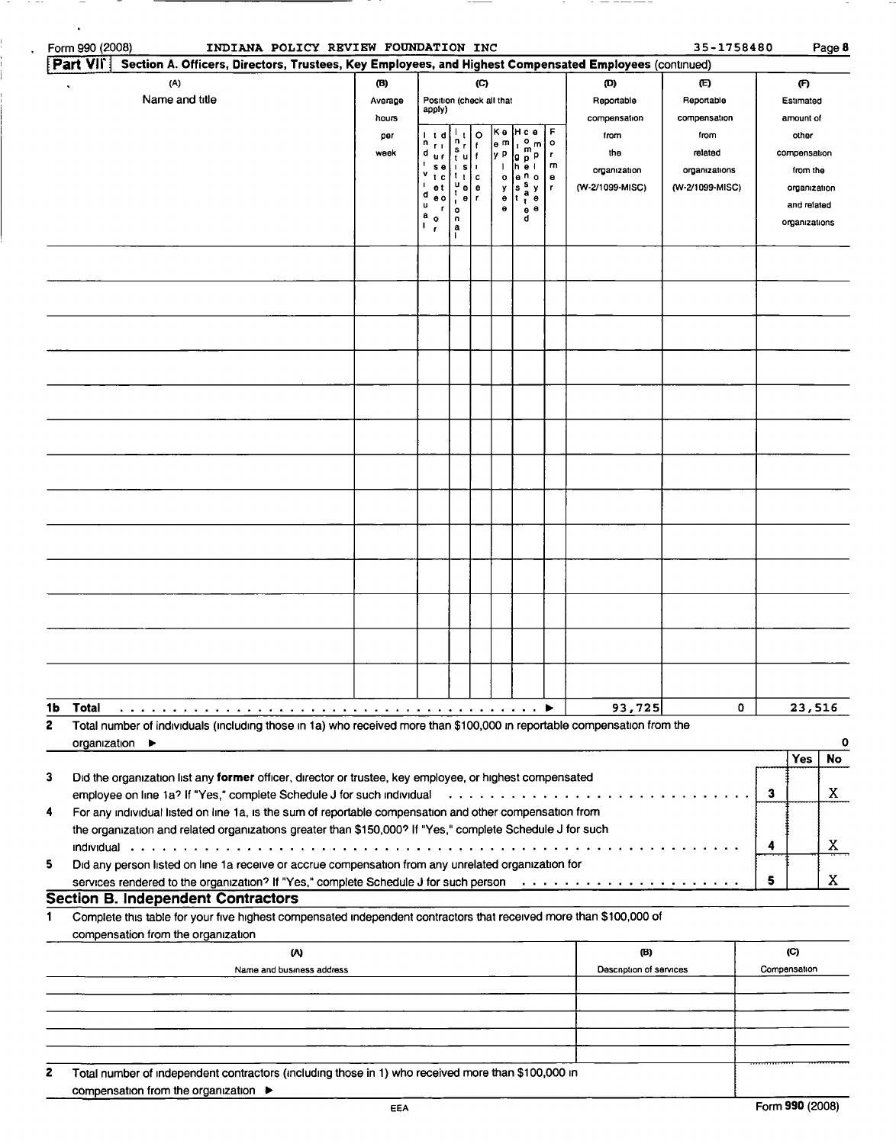| Form 990 (2008)  | INDIANA POLICY REVIEW FOUNDATION INC                                                                                                                                              |                         |                                                                |                                       |                                           |                                     |                                                                               |                                        |                                   | 35-1758480                                 |   |                                              | Page 8    |
|------------------|-----------------------------------------------------------------------------------------------------------------------------------------------------------------------------------|-------------------------|----------------------------------------------------------------|---------------------------------------|-------------------------------------------|-------------------------------------|-------------------------------------------------------------------------------|----------------------------------------|-----------------------------------|--------------------------------------------|---|----------------------------------------------|-----------|
| Part VII         | Section A. Officers, Directors, Trustees, Key Employees, and Highest Compensated Employees (continued)                                                                            |                         |                                                                |                                       |                                           |                                     |                                                                               |                                        |                                   |                                            |   |                                              |           |
|                  | (A)<br>Name and title                                                                                                                                                             | (B)<br>Average<br>hours | Position (check all that<br>apply)                             |                                       | (C)                                       |                                     |                                                                               |                                        | (D)<br>Reportable<br>compensation | $\mathbf{E}$<br>Reportable<br>compensation |   | (F)<br>Estimated<br>amount of                |           |
|                  |                                                                                                                                                                                   | per<br>week             | n<br>$F$ 1<br>d<br>u r<br>$s_{\theta}$<br>٧                    | n<br>s<br>'tu∐f<br> S                 | o<br>$\mathbf{f}$                         | Κe<br> e m∣<br>ly P<br>$\mathbf{I}$ | Hc e<br>$\circ$<br>$\mathsf{m}$<br>$\mathbf{I}$<br>m<br> g p P<br> h e l      | F<br>$\mathbf{o}$<br>$\mathbf{r}$<br>m | from<br>the<br>organization       | from<br>related<br>organizations           |   | other<br>compensation<br>from the            |           |
|                  |                                                                                                                                                                                   |                         | $\mathbf{r}$<br>e t<br>d<br>e o<br>u<br>r<br>а<br>$\mathbf{o}$ | $t_{t}$<br>u<br>0<br>θ<br>٠<br>۰<br>u | $\mathbf c$<br>$\mathbf e$<br>$\mathbf r$ | $\mathbf{o}$<br>у<br>۰<br>۰         | e <sup>n</sup> o<br> s <br>y<br>a<br>t<br>$\bullet$<br>ŧ<br>$e^{\theta}$<br>d | $\bullet$<br>r                         | (W-2/1099-MISC)                   | (W-2/1099-MISC)                            |   | organization<br>and related<br>organizations |           |
|                  |                                                                                                                                                                                   |                         | r                                                              | a                                     |                                           |                                     |                                                                               |                                        |                                   |                                            |   |                                              |           |
|                  |                                                                                                                                                                                   |                         |                                                                |                                       |                                           |                                     |                                                                               |                                        |                                   |                                            |   |                                              |           |
|                  |                                                                                                                                                                                   |                         |                                                                |                                       |                                           |                                     |                                                                               |                                        |                                   |                                            |   |                                              |           |
|                  |                                                                                                                                                                                   |                         |                                                                |                                       |                                           |                                     |                                                                               |                                        |                                   |                                            |   |                                              |           |
|                  |                                                                                                                                                                                   |                         |                                                                |                                       |                                           |                                     |                                                                               |                                        |                                   |                                            |   |                                              |           |
|                  |                                                                                                                                                                                   |                         |                                                                |                                       |                                           |                                     |                                                                               |                                        |                                   |                                            |   |                                              |           |
|                  |                                                                                                                                                                                   |                         |                                                                |                                       |                                           |                                     |                                                                               |                                        |                                   |                                            |   |                                              |           |
|                  |                                                                                                                                                                                   |                         |                                                                |                                       |                                           |                                     |                                                                               |                                        |                                   |                                            |   |                                              |           |
|                  |                                                                                                                                                                                   |                         |                                                                |                                       |                                           |                                     |                                                                               |                                        |                                   |                                            |   |                                              |           |
|                  |                                                                                                                                                                                   |                         |                                                                |                                       |                                           |                                     |                                                                               |                                        |                                   |                                            |   |                                              |           |
|                  |                                                                                                                                                                                   |                         |                                                                |                                       |                                           |                                     |                                                                               |                                        |                                   |                                            |   |                                              |           |
| 1b<br>Total<br>2 | Total number of individuals (including those in 1a) who received more than \$100,000 in reportable compensation from the                                                          |                         |                                                                |                                       |                                           |                                     |                                                                               |                                        | 93,725                            | 0                                          |   | 23,516                                       |           |
|                  | organization $\blacktriangleright$                                                                                                                                                |                         |                                                                |                                       |                                           |                                     |                                                                               |                                        |                                   |                                            |   |                                              | 0         |
| 3                | Did the organization list any former officer, director or trustee, key employee, or highest compensated                                                                           |                         |                                                                |                                       |                                           |                                     |                                                                               |                                        |                                   |                                            |   | <b>Yes</b>                                   | <b>No</b> |
| 4                | employee on line 1a? If "Yes," complete Schedule J for such individual<br>For any individual listed on line 1a, is the sum of reportable compensation and other compensation from |                         |                                                                |                                       |                                           |                                     |                                                                               |                                        |                                   |                                            | 3 |                                              | X         |
|                  | the organization and related organizations greater than \$150,000? If "Yes," complete Schedule J for such                                                                         |                         |                                                                |                                       |                                           |                                     |                                                                               |                                        |                                   |                                            | 4 |                                              | X         |
| 5                | Did any person listed on line 1a receive or accrue compensation from any unrelated organization for                                                                               |                         |                                                                |                                       |                                           |                                     |                                                                               |                                        |                                   |                                            | 5 |                                              | X.        |
|                  | <b>Section B. Independent Contractors</b>                                                                                                                                         |                         |                                                                |                                       |                                           |                                     |                                                                               |                                        |                                   |                                            |   |                                              |           |
| 1                | Complete this table for your five highest compensated independent contractors that received more than \$100,000 of<br>compensation from the organization                          |                         |                                                                |                                       |                                           |                                     |                                                                               |                                        |                                   |                                            |   |                                              |           |
|                  | (A)<br>Name and business address                                                                                                                                                  |                         |                                                                |                                       |                                           |                                     |                                                                               |                                        | (B)<br>Description of services    |                                            |   | $\mathcal{C}$<br>Compensation                |           |
|                  |                                                                                                                                                                                   |                         |                                                                |                                       |                                           |                                     |                                                                               |                                        |                                   |                                            |   |                                              |           |
|                  |                                                                                                                                                                                   |                         |                                                                |                                       |                                           |                                     |                                                                               |                                        |                                   |                                            |   |                                              |           |
| 2                | Total number of independent contractors (including those in 1) who received more than \$100,000 in                                                                                |                         |                                                                |                                       |                                           |                                     |                                                                               |                                        |                                   |                                            |   |                                              |           |

\_\_\_\_\_

compensation from the organization ►

 $\ddot{\phantom{a}}$ 

 $\ddot{\phantom{0}}$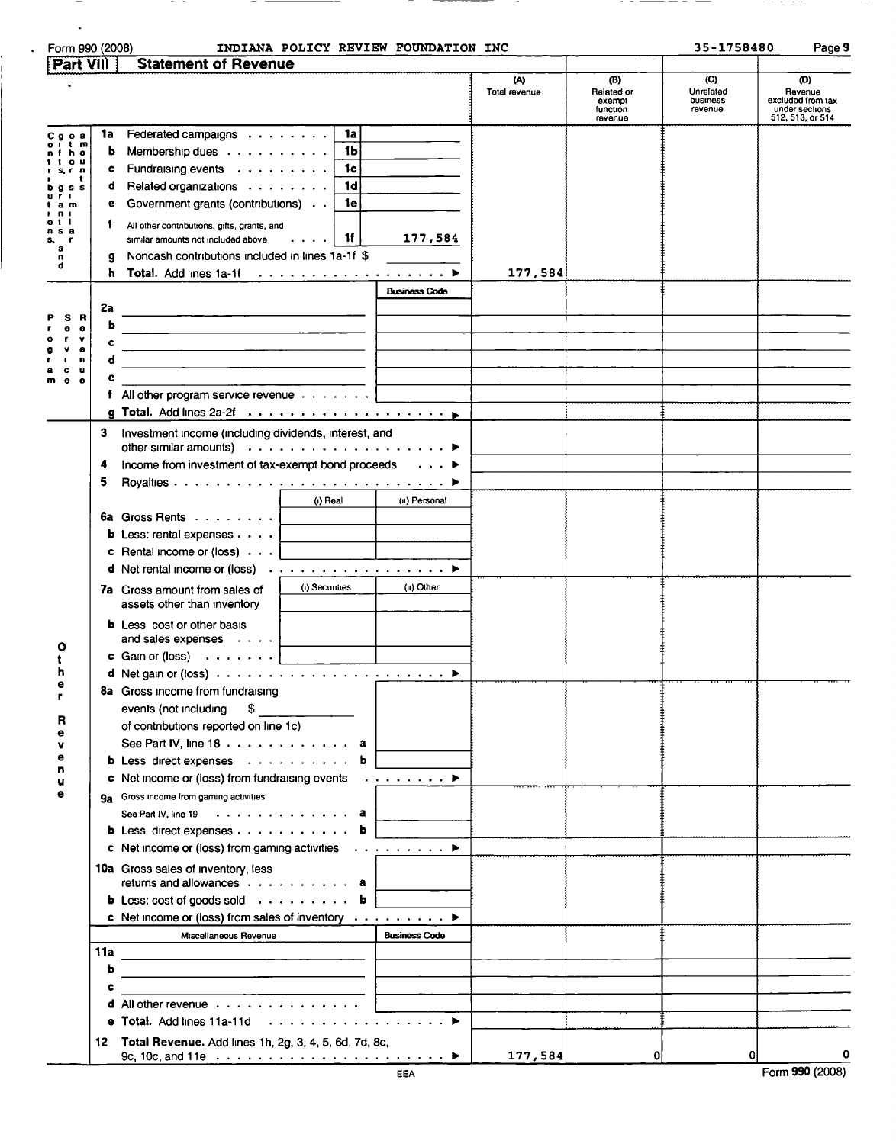| Part VIII                                                                                            |                              |                                                                                                                                                                                                                               |                      |                    |                                                    |                                         |                                                                           |
|------------------------------------------------------------------------------------------------------|------------------------------|-------------------------------------------------------------------------------------------------------------------------------------------------------------------------------------------------------------------------------|----------------------|--------------------|----------------------------------------------------|-----------------------------------------|---------------------------------------------------------------------------|
|                                                                                                      |                              | <b>Statement of Revenue</b>                                                                                                                                                                                                   |                      |                    |                                                    |                                         |                                                                           |
|                                                                                                      |                              |                                                                                                                                                                                                                               |                      | w<br>Total revenue | (B)<br>Related or<br>exempt<br>function<br>revenue | (C)<br>Unrelated<br>business<br>revenue | (ወ)<br>Revenue<br>excluded from tax<br>under sections<br>512, 513, or 514 |
| Cooa<br>t m<br>h o<br>e <sub>u</sub><br>s.rn<br>$Q$ S S<br>u r<br>$\blacksquare$<br>аm<br>n 1<br>otl | 1a<br>b<br>c<br>d<br>е<br>T. | Federated campaigns  <br>1a<br>1b<br>Membership dues $\dots \dots \dots$<br>Fundraising events<br>1c<br>1d<br>Related organizations<br>Government grants (contributions)<br>1e<br>All other contributions, gifts, grants, and |                      |                    |                                                    |                                         |                                                                           |
| n s a<br>а<br>n<br>d                                                                                 | h                            | <b>1f</b><br>$\sim$ $\sim$ $\sim$ $\sim$ $\sim$<br>similar amounts not included above<br>Noncash contributions included in lines 1a-1f \$<br>Total. Add lines 1a-1f                                                           | 177,584              | 177,584            |                                                    |                                         |                                                                           |
|                                                                                                      |                              |                                                                                                                                                                                                                               | <b>Business Code</b> |                    |                                                    |                                         |                                                                           |
|                                                                                                      | 2a                           |                                                                                                                                                                                                                               |                      |                    |                                                    |                                         |                                                                           |
| <b>B</b><br>s<br>۰<br>$\bullet$                                                                      | b                            |                                                                                                                                                                                                                               |                      |                    |                                                    |                                         |                                                                           |
| v                                                                                                    | c                            | <u> 2000 - Jan Jan Jawa Barat, masjid a shekara ta 1980 haɗa 2001 ta 2001 ta 2001 ta 2001 ta 2001 ta 2001 ta 200</u>                                                                                                          |                      |                    |                                                    |                                         |                                                                           |
| θ<br>u                                                                                               | d                            | <u> 2000 - Jan Barnett, mars et al. (b. 1989)</u>                                                                                                                                                                             |                      |                    |                                                    |                                         |                                                                           |
| u<br>c<br>$\bullet$<br>$\bullet$<br>m                                                                | е                            |                                                                                                                                                                                                                               |                      |                    |                                                    |                                         |                                                                           |
|                                                                                                      |                              | f All other program service revenue $\ldots \ldots$                                                                                                                                                                           |                      |                    |                                                    |                                         |                                                                           |
|                                                                                                      |                              |                                                                                                                                                                                                                               |                      |                    |                                                    |                                         |                                                                           |
|                                                                                                      | 3                            | Investment income (including dividends, interest, and                                                                                                                                                                         |                      |                    |                                                    |                                         |                                                                           |
|                                                                                                      | 4                            | Income from investment of tax-exempt bond proceeds                                                                                                                                                                            |                      |                    |                                                    |                                         |                                                                           |
|                                                                                                      | 5                            |                                                                                                                                                                                                                               |                      |                    |                                                    |                                         |                                                                           |
|                                                                                                      |                              | (i) Real                                                                                                                                                                                                                      | (ii) Personal        |                    |                                                    |                                         |                                                                           |
|                                                                                                      |                              | 6a Gross Rents                                                                                                                                                                                                                |                      |                    |                                                    |                                         |                                                                           |
|                                                                                                      |                              | <b>b</b> Less: rental expenses $\cdots$                                                                                                                                                                                       |                      |                    |                                                    |                                         |                                                                           |
|                                                                                                      |                              | <b>c</b> Rental income or (loss) $\cdot \cdot \cdot$                                                                                                                                                                          |                      |                    |                                                    |                                         |                                                                           |
|                                                                                                      |                              |                                                                                                                                                                                                                               |                      |                    |                                                    |                                         |                                                                           |
|                                                                                                      |                              | (i) Securities<br>7a Gross amount from sales of<br>assets other than inventory                                                                                                                                                | (ii) Other           |                    |                                                    |                                         |                                                                           |
|                                                                                                      |                              | <b>b</b> Less cost or other basis<br>and sales expenses $\cdots$                                                                                                                                                              |                      |                    |                                                    |                                         |                                                                           |
|                                                                                                      |                              | c Gain or (loss) $\ldots$<br><u> 1980 - Jan Barbara Barat, prima popular popular popular popular popular popular popular popular popular popula</u>                                                                           |                      |                    |                                                    |                                         |                                                                           |
| е                                                                                                    |                              |                                                                                                                                                                                                                               |                      |                    |                                                    |                                         |                                                                           |
| r                                                                                                    |                              | 8a Gross income from fundraising                                                                                                                                                                                              |                      |                    |                                                    |                                         |                                                                           |
|                                                                                                      |                              | events (not including<br>\$                                                                                                                                                                                                   |                      |                    |                                                    |                                         |                                                                           |
|                                                                                                      |                              | of contributions reported on line 1c)                                                                                                                                                                                         |                      |                    |                                                    |                                         |                                                                           |
|                                                                                                      |                              | See Part IV, line $18 \cdot \cdot \cdot \cdot \cdot \cdot \cdot \cdot \cdot \cdot$ . a                                                                                                                                        |                      |                    |                                                    |                                         |                                                                           |
| e<br>n                                                                                               |                              | b Less direct expenses b                                                                                                                                                                                                      |                      |                    |                                                    |                                         |                                                                           |
| u                                                                                                    |                              | c Net income or (loss) from fundraising events $\cdots \cdots$                                                                                                                                                                |                      |                    |                                                    |                                         |                                                                           |
| е                                                                                                    |                              | 9a Gross income from gaming activities                                                                                                                                                                                        |                      |                    |                                                    |                                         |                                                                           |
|                                                                                                      |                              | See Part IV, line 19 a                                                                                                                                                                                                        |                      |                    |                                                    |                                         |                                                                           |
|                                                                                                      |                              | b Less direct expenses b                                                                                                                                                                                                      |                      |                    |                                                    |                                         |                                                                           |
|                                                                                                      |                              | c Net income or (loss) from gaming activities $\cdots \cdots \cdots$                                                                                                                                                          |                      |                    |                                                    |                                         |                                                                           |
|                                                                                                      |                              | 10a Gross sales of inventory, less<br>returns and allowances a                                                                                                                                                                |                      |                    |                                                    |                                         |                                                                           |
|                                                                                                      |                              | <b>b</b> Less: cost of goods sold <b>b</b>                                                                                                                                                                                    |                      |                    |                                                    |                                         |                                                                           |
|                                                                                                      |                              | c Net income or (loss) from sales of inventory $\dots \dots \dots$                                                                                                                                                            |                      |                    |                                                    |                                         |                                                                           |
|                                                                                                      |                              | Miscellaneous Revenue                                                                                                                                                                                                         | <b>Business Code</b> |                    |                                                    |                                         |                                                                           |
|                                                                                                      | 11a                          |                                                                                                                                                                                                                               |                      |                    |                                                    |                                         |                                                                           |
|                                                                                                      | b                            | the contract of the contract of the contract of the contract of the contract of the contract of the contract of                                                                                                               |                      |                    |                                                    |                                         |                                                                           |
|                                                                                                      | c                            | <u> 1989 - Johann Barnett, mars et al. 1989 - Anna anno 1989 - Anna anno 1989 - Anna anno 1989 - Anna anno 1989 - </u>                                                                                                        |                      |                    |                                                    |                                         |                                                                           |
|                                                                                                      |                              | d All other revenue                                                                                                                                                                                                           |                      |                    |                                                    |                                         |                                                                           |
|                                                                                                      |                              | e Total. Add lines 11a-11d ▶                                                                                                                                                                                                  |                      |                    |                                                    |                                         |                                                                           |
|                                                                                                      |                              | 12 Total Revenue. Add lines 1h, 2g, 3, 4, 5, 6d, 7d, 8c,                                                                                                                                                                      |                      |                    |                                                    |                                         |                                                                           |
|                                                                                                      |                              |                                                                                                                                                                                                                               |                      | 177,584            | O                                                  |                                         |                                                                           |

 $\langle \cdot \rangle$ 

- - - - -

 $\overline{\phantom{a}}$ 

 $-$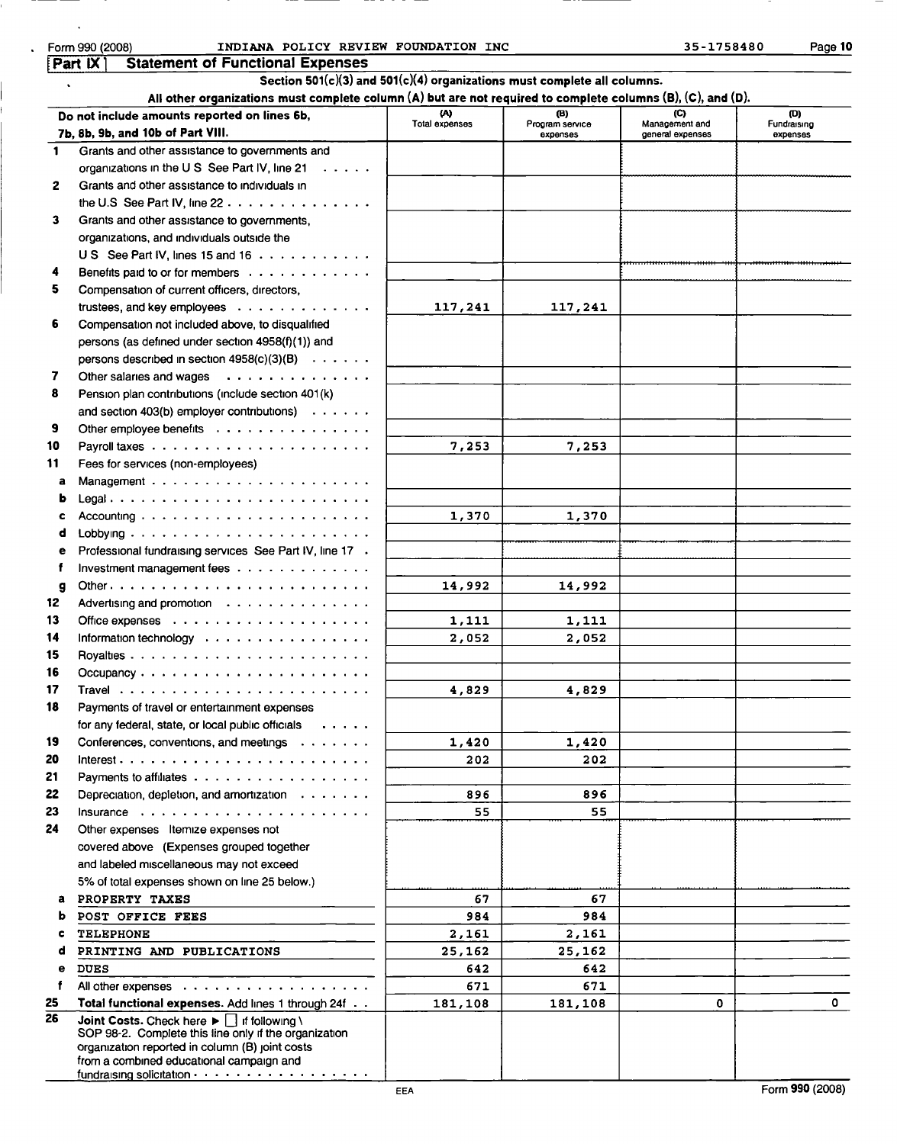| IMA<br>- 1 |  |
|------------|--|
|------------|--|

| $\bullet$    | Section 501( $c$ )(3) and 501( $c$ )(4) organizations must complete all columns.                             |                     |                        |                       |                    |
|--------------|--------------------------------------------------------------------------------------------------------------|---------------------|------------------------|-----------------------|--------------------|
|              | All other organizations must complete column (A) but are not required to complete columns (B), (C), and (D). |                     |                        |                       |                    |
|              | Do not include amounts reported on lines 6b,                                                                 | w<br>Total expenses | (B)<br>Program service | (C)<br>Management and | (D)<br>Fundraising |
|              | 7b, 8b, 9b, and 10b of Part VIII.                                                                            |                     | expenses               | general expenses      | expenses           |
| 1            | Grants and other assistance to governments and                                                               |                     |                        |                       |                    |
|              | organizations in the U.S. See Part IV, line 21<br>$\cdots$                                                   |                     |                        |                       |                    |
| $\mathbf{2}$ | Grants and other assistance to individuals in                                                                |                     |                        |                       |                    |
|              | the U.S See Part IV, line $22$                                                                               |                     |                        |                       |                    |
| 3            | Grants and other assistance to governments,                                                                  |                     |                        |                       |                    |
|              | organizations, and individuals outside the                                                                   |                     |                        |                       |                    |
|              | US See Part IV, lines 15 and 16                                                                              |                     |                        |                       |                    |
| 4            | Benefits paid to or for members                                                                              |                     |                        |                       |                    |
| 5.           | Compensation of current officers, directors,                                                                 |                     |                        |                       |                    |
|              | trustees, and key employees $\dots \dots \dots \dots$                                                        | 117,241             | 117,241                |                       |                    |
| 6            | Compensation not included above, to disqualified                                                             |                     |                        |                       |                    |
|              | persons (as defined under section 4958(f)(1)) and                                                            |                     |                        |                       |                    |
|              | persons described in section $4958(c)(3)(B) \cdot \cdot \cdot \cdot \cdot$                                   |                     |                        |                       |                    |
| 7            | Other salaries and wages                                                                                     |                     |                        |                       |                    |
| 8            | Pension plan contributions (include section 401(k)                                                           |                     |                        |                       |                    |
|              | and section 403(b) employer contributions) $\cdots$                                                          |                     |                        |                       |                    |
| 9            | Other employee benefits                                                                                      |                     |                        |                       |                    |
| 10           |                                                                                                              | 7,253               | 7,253                  |                       |                    |
| 11           | Fees for services (non-employees)                                                                            |                     |                        |                       |                    |
| a            |                                                                                                              |                     |                        |                       |                    |
| ь            | Legal                                                                                                        |                     |                        |                       |                    |
| c            | Accounting $\ldots \ldots \ldots \ldots \ldots \ldots \ldots$                                                | 1,370               | 1,370                  |                       |                    |
| d            |                                                                                                              |                     |                        |                       |                    |
| е            | Professional fundraising services See Part IV, line 17 .                                                     |                     |                        |                       |                    |
| f            | Investment management fees                                                                                   |                     |                        |                       |                    |
| g            |                                                                                                              | 14,992              | 14,992                 |                       |                    |
| 12           | Advertising and promotion                                                                                    |                     |                        |                       |                    |
| 13           |                                                                                                              | 1,111               | 1,111                  |                       |                    |
| 14           | Information technology                                                                                       | 2,052               | 2,052                  |                       |                    |
| 15           |                                                                                                              |                     |                        |                       |                    |
| 16           |                                                                                                              |                     |                        |                       |                    |
| 17           |                                                                                                              | 4,829               | 4,829                  |                       |                    |
| 18           | Payments of travel or entertainment expenses                                                                 |                     |                        |                       |                    |
|              | for any federal, state, or local public officials                                                            |                     |                        |                       |                    |
| 19           | Conferences, conventions, and meetings                                                                       | 1,420               | 1,420                  |                       |                    |
| 20           |                                                                                                              | 202                 | 202                    |                       |                    |
| 21           | Payments to affiliates                                                                                       |                     |                        |                       |                    |
| 22           | Depreciation, depletion, and amortization $\cdots$                                                           | 896                 | 896                    |                       |                    |
| 23           |                                                                                                              | 55                  | 55                     |                       |                    |
| 24           | Other expenses Itemize expenses not                                                                          |                     |                        |                       |                    |
|              | covered above (Expenses grouped together                                                                     |                     |                        |                       |                    |
|              | and labeled miscellaneous may not exceed                                                                     |                     |                        |                       |                    |
|              | 5% of total expenses shown on line 25 below.)                                                                |                     |                        |                       |                    |
| a            | PROPERTY TAXES                                                                                               | 67                  | 67                     |                       |                    |
|              | POST OFFICE FEES                                                                                             | 984                 | 984                    |                       |                    |
|              | <b>TELEPHONE</b>                                                                                             | 2,161               | 2,161                  |                       |                    |
| d            | PRINTING AND PUBLICATIONS                                                                                    | 25,162              | 25,162                 |                       |                    |
| е            | <b>DUES</b>                                                                                                  | 642                 | 642                    |                       |                    |
| f            | All other expenses                                                                                           | 671                 | 671                    |                       |                    |
| 25           | Total functional expenses. Add lines 1 through 24f                                                           | 181,108             | 181,108                | 0                     | $\mathbf{0}$       |
| 26           | Joint Costs. Check here $\blacktriangleright \blacksquare$ if following \                                    |                     |                        |                       |                    |
|              | SOP 98-2. Complete this line only if the organization<br>organization reported in column (B) joint costs     |                     |                        |                       |                    |
|              | from a combined educational campaign and                                                                     |                     |                        |                       |                    |
|              |                                                                                                              |                     |                        |                       |                    |

EEA Form 990 (2008)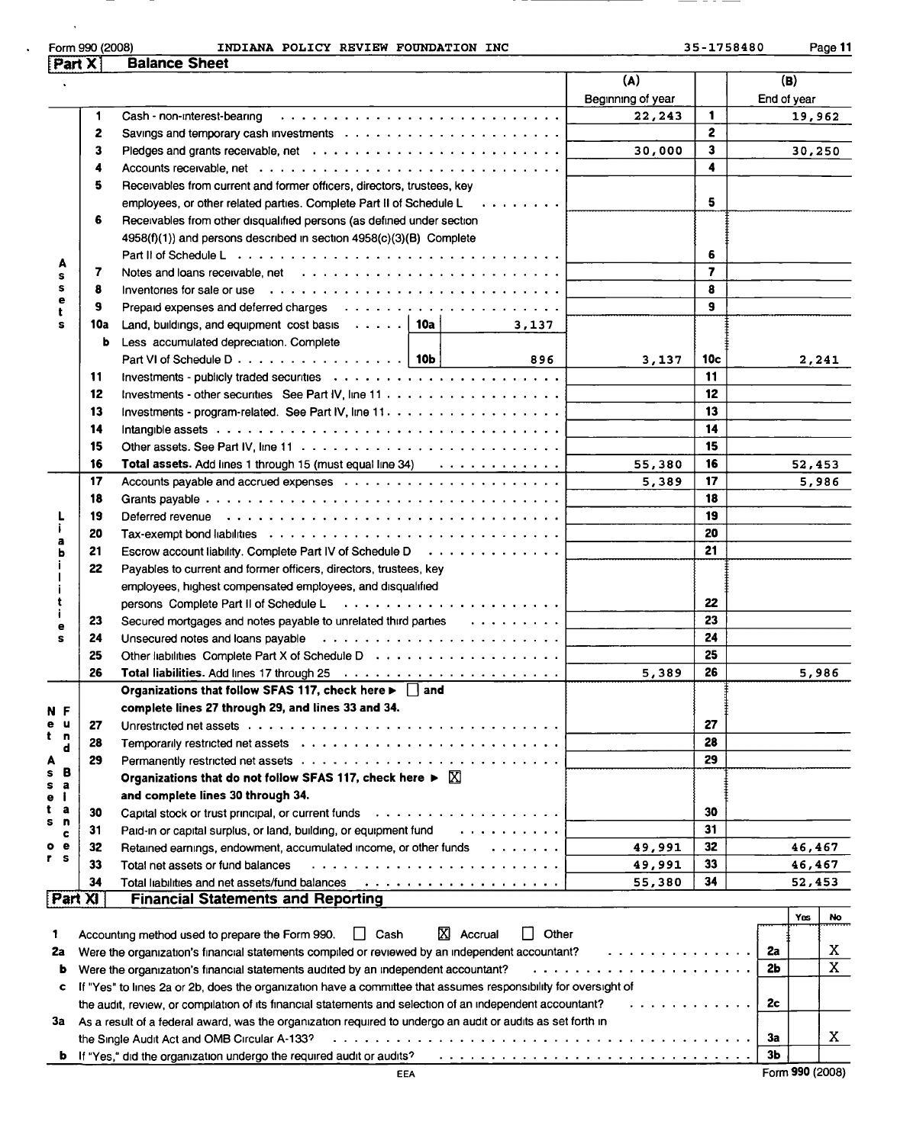|                                                                                                                                                                                                                                                                                                                                                                                                                                                                                                                                                                                                            | INDIANA POLICY REVIEW FOUNDATION INC<br><b>Balance Sheet</b>                                                                                                                                                                   |                   | 35-1758480              | Page 11     |
|------------------------------------------------------------------------------------------------------------------------------------------------------------------------------------------------------------------------------------------------------------------------------------------------------------------------------------------------------------------------------------------------------------------------------------------------------------------------------------------------------------------------------------------------------------------------------------------------------------|--------------------------------------------------------------------------------------------------------------------------------------------------------------------------------------------------------------------------------|-------------------|-------------------------|-------------|
|                                                                                                                                                                                                                                                                                                                                                                                                                                                                                                                                                                                                            |                                                                                                                                                                                                                                | (A)               |                         | (B)         |
|                                                                                                                                                                                                                                                                                                                                                                                                                                                                                                                                                                                                            |                                                                                                                                                                                                                                | Beginning of year |                         | End of year |
|                                                                                                                                                                                                                                                                                                                                                                                                                                                                                                                                                                                                            |                                                                                                                                                                                                                                | 22,243            | $\mathbf{1}$            | 19,962      |
|                                                                                                                                                                                                                                                                                                                                                                                                                                                                                                                                                                                                            | Savings and temporary cash investments $\ldots \ldots \ldots \ldots \ldots \ldots \ldots \ldots$                                                                                                                               |                   | $\mathbf{2}$            |             |
|                                                                                                                                                                                                                                                                                                                                                                                                                                                                                                                                                                                                            | Pledges and grants receivable, net readed by respectively respectively.                                                                                                                                                        | 30,000            | $\mathbf{3}$            | 30,250      |
|                                                                                                                                                                                                                                                                                                                                                                                                                                                                                                                                                                                                            |                                                                                                                                                                                                                                |                   | 4                       |             |
|                                                                                                                                                                                                                                                                                                                                                                                                                                                                                                                                                                                                            | Receivables from current and former officers, directors, trustees, key                                                                                                                                                         |                   |                         |             |
|                                                                                                                                                                                                                                                                                                                                                                                                                                                                                                                                                                                                            | employees, or other related parties. Complete Part II of Schedule $L \ldots \ldots$                                                                                                                                            |                   | 5                       |             |
|                                                                                                                                                                                                                                                                                                                                                                                                                                                                                                                                                                                                            | Receivables from other disqualified persons (as defined under section                                                                                                                                                          |                   |                         |             |
|                                                                                                                                                                                                                                                                                                                                                                                                                                                                                                                                                                                                            | 4958(f)(1)) and persons described in section 4958(c)(3)(B) Complete                                                                                                                                                            |                   |                         |             |
|                                                                                                                                                                                                                                                                                                                                                                                                                                                                                                                                                                                                            |                                                                                                                                                                                                                                |                   | 6                       |             |
| A                                                                                                                                                                                                                                                                                                                                                                                                                                                                                                                                                                                                          |                                                                                                                                                                                                                                |                   | $\overline{\mathbf{z}}$ |             |
|                                                                                                                                                                                                                                                                                                                                                                                                                                                                                                                                                                                                            | Inventories for sale or use contact of the contact of the contact of the contact of the contact of the contact of the contact of the contact of the contact of the contact of the contact of the contact of the contact of the |                   | 8                       |             |
| е                                                                                                                                                                                                                                                                                                                                                                                                                                                                                                                                                                                                          |                                                                                                                                                                                                                                |                   | 9                       |             |
|                                                                                                                                                                                                                                                                                                                                                                                                                                                                                                                                                                                                            |                                                                                                                                                                                                                                |                   |                         |             |
|                                                                                                                                                                                                                                                                                                                                                                                                                                                                                                                                                                                                            | Land, buildings, and equipment cost basis $\dots$ . $\mid$ 10a<br>3,137                                                                                                                                                        |                   |                         |             |
|                                                                                                                                                                                                                                                                                                                                                                                                                                                                                                                                                                                                            | Less accumulated depreciation. Complete                                                                                                                                                                                        |                   |                         |             |
|                                                                                                                                                                                                                                                                                                                                                                                                                                                                                                                                                                                                            | Part VI of Schedule D $\ldots$ $\ldots$ $\ldots$ $\ldots$ $\ldots$ $\ldots$   10b<br>896                                                                                                                                       | 3,137             | 10c                     | 2,241       |
| Form 990 (2008)<br>Part X<br>2<br>3<br>4<br>5<br>6<br>7<br>s<br>s<br>8<br>9<br>10a<br>s<br>b<br>11<br>12<br>13<br>14<br>15<br>16<br>17<br>18<br>19<br>20<br>21<br>22<br>23<br>24<br>25<br>26<br>u<br>27<br>n<br>28<br>d<br>29<br>в<br>a<br>j.<br>а<br>30<br>n<br>31<br>c<br>32<br>e<br>33<br>34<br>Part XI                                                                                                                                                                                                                                                                                                 |                                                                                                                                                                                                                                |                   | 11                      |             |
|                                                                                                                                                                                                                                                                                                                                                                                                                                                                                                                                                                                                            |                                                                                                                                                                                                                                |                   | 12                      |             |
|                                                                                                                                                                                                                                                                                                                                                                                                                                                                                                                                                                                                            |                                                                                                                                                                                                                                |                   | 13                      |             |
|                                                                                                                                                                                                                                                                                                                                                                                                                                                                                                                                                                                                            |                                                                                                                                                                                                                                |                   | 14                      |             |
| Intangible assets $\ldots \ldots \ldots \ldots \ldots \ldots \ldots \ldots \ldots \ldots \ldots \ldots$<br>Total assets. Add lines 1 through 15 (must equal line 34)<br>Deferred revenue et al., where it is a state of the contract of the contract of the contract of the contract of the contract of the contract of the contract of the contract of the contract of the contract of the contract o<br>а<br>Escrow account liability. Complete Part IV of Schedule D<br>Payables to current and former officers, directors, trustees, key<br>employees, highest compensated employees, and disqualified |                                                                                                                                                                                                                                | 15                |                         |             |
|                                                                                                                                                                                                                                                                                                                                                                                                                                                                                                                                                                                                            |                                                                                                                                                                                                                                | 55,380            | 16                      | 52,453      |
|                                                                                                                                                                                                                                                                                                                                                                                                                                                                                                                                                                                                            |                                                                                                                                                                                                                                | 5,389             | 17                      | 5,986       |
|                                                                                                                                                                                                                                                                                                                                                                                                                                                                                                                                                                                                            |                                                                                                                                                                                                                                |                   | 18                      |             |
|                                                                                                                                                                                                                                                                                                                                                                                                                                                                                                                                                                                                            |                                                                                                                                                                                                                                |                   | 19                      |             |
|                                                                                                                                                                                                                                                                                                                                                                                                                                                                                                                                                                                                            |                                                                                                                                                                                                                                |                   | 20                      |             |
|                                                                                                                                                                                                                                                                                                                                                                                                                                                                                                                                                                                                            |                                                                                                                                                                                                                                |                   | 21                      |             |
|                                                                                                                                                                                                                                                                                                                                                                                                                                                                                                                                                                                                            |                                                                                                                                                                                                                                |                   |                         |             |
|                                                                                                                                                                                                                                                                                                                                                                                                                                                                                                                                                                                                            |                                                                                                                                                                                                                                |                   |                         |             |
|                                                                                                                                                                                                                                                                                                                                                                                                                                                                                                                                                                                                            |                                                                                                                                                                                                                                |                   | 22                      |             |
| е                                                                                                                                                                                                                                                                                                                                                                                                                                                                                                                                                                                                          | Secured mortgages and notes payable to unrelated third parties $\cdots \cdots \cdots$                                                                                                                                          |                   | 23                      |             |
|                                                                                                                                                                                                                                                                                                                                                                                                                                                                                                                                                                                                            |                                                                                                                                                                                                                                |                   | 24                      |             |
|                                                                                                                                                                                                                                                                                                                                                                                                                                                                                                                                                                                                            |                                                                                                                                                                                                                                |                   | 25                      |             |
|                                                                                                                                                                                                                                                                                                                                                                                                                                                                                                                                                                                                            |                                                                                                                                                                                                                                | 5,389             | 26                      | 5,986       |
|                                                                                                                                                                                                                                                                                                                                                                                                                                                                                                                                                                                                            | Organizations that follow SFAS 117, check here D and                                                                                                                                                                           |                   |                         |             |
| N F                                                                                                                                                                                                                                                                                                                                                                                                                                                                                                                                                                                                        | complete lines 27 through 29, and lines 33 and 34.                                                                                                                                                                             |                   |                         |             |
|                                                                                                                                                                                                                                                                                                                                                                                                                                                                                                                                                                                                            |                                                                                                                                                                                                                                |                   | 27                      |             |
|                                                                                                                                                                                                                                                                                                                                                                                                                                                                                                                                                                                                            |                                                                                                                                                                                                                                |                   | 28                      |             |
|                                                                                                                                                                                                                                                                                                                                                                                                                                                                                                                                                                                                            |                                                                                                                                                                                                                                |                   | 29                      |             |
| s                                                                                                                                                                                                                                                                                                                                                                                                                                                                                                                                                                                                          | Organizations that do not follow SFAS 117, check here $\blacktriangleright \boxtimes$                                                                                                                                          |                   |                         |             |
|                                                                                                                                                                                                                                                                                                                                                                                                                                                                                                                                                                                                            | and complete lines 30 through 34.                                                                                                                                                                                              |                   |                         |             |
|                                                                                                                                                                                                                                                                                                                                                                                                                                                                                                                                                                                                            |                                                                                                                                                                                                                                |                   | 30                      |             |
|                                                                                                                                                                                                                                                                                                                                                                                                                                                                                                                                                                                                            | Paid-in or capital surplus, or land, building, or equipment fund<br>.                                                                                                                                                          |                   | 31                      |             |
| ۰                                                                                                                                                                                                                                                                                                                                                                                                                                                                                                                                                                                                          | Retained earnings, endowment, accumulated income, or other funds                                                                                                                                                               | 49,991            | 32                      | 46,467      |
| r s                                                                                                                                                                                                                                                                                                                                                                                                                                                                                                                                                                                                        | Total net assets or fund balances                                                                                                                                                                                              | 49,991            | 33                      | 46,467      |
|                                                                                                                                                                                                                                                                                                                                                                                                                                                                                                                                                                                                            |                                                                                                                                                                                                                                | 55,380            | 34                      | 52,453      |
|                                                                                                                                                                                                                                                                                                                                                                                                                                                                                                                                                                                                            | <b>Financial Statements and Reporting</b>                                                                                                                                                                                      |                   |                         |             |
|                                                                                                                                                                                                                                                                                                                                                                                                                                                                                                                                                                                                            |                                                                                                                                                                                                                                |                   |                         | Yes         |
|                                                                                                                                                                                                                                                                                                                                                                                                                                                                                                                                                                                                            |                                                                                                                                                                                                                                |                   |                         |             |
|                                                                                                                                                                                                                                                                                                                                                                                                                                                                                                                                                                                                            | $\overline{X}$ Accrual<br>Other<br>II Cash<br>Accounting method used to prepare the Form 990.                                                                                                                                  |                   |                         |             |
|                                                                                                                                                                                                                                                                                                                                                                                                                                                                                                                                                                                                            | Were the organization's financial statements compiled or reviewed by an independent accountant?                                                                                                                                | .                 |                         | 2a          |
| ь                                                                                                                                                                                                                                                                                                                                                                                                                                                                                                                                                                                                          | Were the organization's financial statements audited by an independent accountant?                                                                                                                                             | .                 |                         | 2b          |
| c                                                                                                                                                                                                                                                                                                                                                                                                                                                                                                                                                                                                          | If "Yes" to lines 2a or 2b, does the organization have a committee that assumes responsibility for oversight of                                                                                                                |                   |                         |             |
| 1<br>2a                                                                                                                                                                                                                                                                                                                                                                                                                                                                                                                                                                                                    | the audit, review, or compilation of its financial statements and selection of an independent accountant?                                                                                                                      | .                 |                         | 2c          |
| 3a                                                                                                                                                                                                                                                                                                                                                                                                                                                                                                                                                                                                         | As a result of a federal award, was the organization required to undergo an audit or audits as set forth in                                                                                                                    |                   |                         |             |
|                                                                                                                                                                                                                                                                                                                                                                                                                                                                                                                                                                                                            | the Single Audit Act and OMB Circular A-133?                                                                                                                                                                                   |                   |                         | 3a          |

=

 $\mathcal{A}^{\pm}$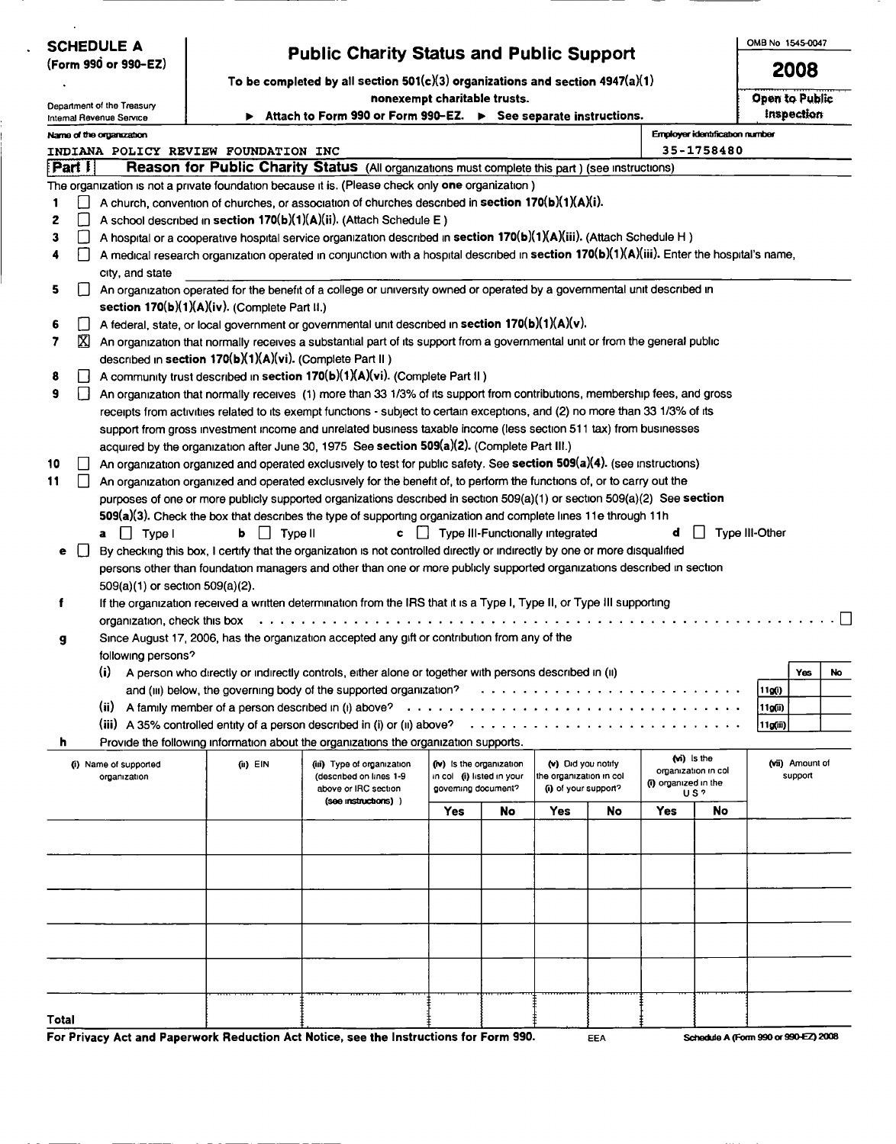| <b>SCHEDULE A</b>                                      |                              |                                                                                                                                                                                                                                            | <b>Public Charity Status and Public Support</b>                                                                                                                                                                                                                     |                                                       |    |                                               |     |                      |                                | OMB No 1545-0047 |                                      |  |  |
|--------------------------------------------------------|------------------------------|--------------------------------------------------------------------------------------------------------------------------------------------------------------------------------------------------------------------------------------------|---------------------------------------------------------------------------------------------------------------------------------------------------------------------------------------------------------------------------------------------------------------------|-------------------------------------------------------|----|-----------------------------------------------|-----|----------------------|--------------------------------|------------------|--------------------------------------|--|--|
| (Form 990 or 990-EZ)                                   |                              |                                                                                                                                                                                                                                            |                                                                                                                                                                                                                                                                     |                                                       |    |                                               |     |                      |                                |                  | 2008                                 |  |  |
|                                                        |                              |                                                                                                                                                                                                                                            | To be completed by all section $501(c)(3)$ organizations and section $4947(a)(1)$<br>nonexempt charitable trusts.                                                                                                                                                   |                                                       |    |                                               |     |                      |                                |                  | Open to Public                       |  |  |
| Department of the Treasury<br>Internal Revenue Service |                              |                                                                                                                                                                                                                                            | Attach to Form 990 or Form 990-EZ. ▶ See separate instructions.                                                                                                                                                                                                     |                                                       |    |                                               |     |                      |                                | Inspection       |                                      |  |  |
| Name of the organization                               |                              |                                                                                                                                                                                                                                            |                                                                                                                                                                                                                                                                     |                                                       |    |                                               |     |                      | Employer identification number |                  |                                      |  |  |
| INDIANA POLICY REVIEW FOUNDATION INC                   |                              |                                                                                                                                                                                                                                            |                                                                                                                                                                                                                                                                     |                                                       |    |                                               |     |                      | 35-1758480                     |                  |                                      |  |  |
| Part I                                                 |                              |                                                                                                                                                                                                                                            | Reason for Public Charity Status (All organizations must complete this part) (see instructions)                                                                                                                                                                     |                                                       |    |                                               |     |                      |                                |                  |                                      |  |  |
|                                                        |                              |                                                                                                                                                                                                                                            | The organization is not a private foundation because it is. (Please check only one organization)                                                                                                                                                                    |                                                       |    |                                               |     |                      |                                |                  |                                      |  |  |
|                                                        |                              |                                                                                                                                                                                                                                            | A church, convention of churches, or association of churches described in section $170(b)(1)(A)(i)$ .                                                                                                                                                               |                                                       |    |                                               |     |                      |                                |                  |                                      |  |  |
| 2                                                      |                              |                                                                                                                                                                                                                                            | A school described in section 170(b)(1)(A)(ii). (Attach Schedule E)                                                                                                                                                                                                 |                                                       |    |                                               |     |                      |                                |                  |                                      |  |  |
| 3<br>$\mathsf{L}$                                      |                              |                                                                                                                                                                                                                                            | A hospital or a cooperative hospital service organization described in section 170(b)(1)(A)(iii). (Attach Schedule H)<br>A medical research organization operated in conjunction with a hospital described in section 170(b)(1)(A)(iii). Enter the hospital's name, |                                                       |    |                                               |     |                      |                                |                  |                                      |  |  |
| city, and state                                        |                              |                                                                                                                                                                                                                                            |                                                                                                                                                                                                                                                                     |                                                       |    |                                               |     |                      |                                |                  |                                      |  |  |
| 5.                                                     |                              |                                                                                                                                                                                                                                            | An organization operated for the benefit of a college or university owned or operated by a governmental unit described in                                                                                                                                           |                                                       |    |                                               |     |                      |                                |                  |                                      |  |  |
|                                                        |                              | section 170(b)(1)(A)(iv). (Complete Part II.)                                                                                                                                                                                              |                                                                                                                                                                                                                                                                     |                                                       |    |                                               |     |                      |                                |                  |                                      |  |  |
| 6<br>$\perp$                                           |                              |                                                                                                                                                                                                                                            | A federal, state, or local government or governmental unit described in section 170(b)(1)(A)(v).                                                                                                                                                                    |                                                       |    |                                               |     |                      |                                |                  |                                      |  |  |
| ⊠<br>7                                                 |                              | described in section 170(b)(1)(A)(vi). (Complete Part II)                                                                                                                                                                                  | An organization that normally receives a substantial part of its support from a governmental unit or from the general public                                                                                                                                        |                                                       |    |                                               |     |                      |                                |                  |                                      |  |  |
| 8<br>H                                                 |                              |                                                                                                                                                                                                                                            | A community trust described in section 170(b)(1)(A)(vi). (Complete Part II)                                                                                                                                                                                         |                                                       |    |                                               |     |                      |                                |                  |                                      |  |  |
| 9<br>$\mathbf{I}$                                      |                              |                                                                                                                                                                                                                                            | An organization that normally receives (1) more than 33 1/3% of its support from contributions, membership fees, and gross                                                                                                                                          |                                                       |    |                                               |     |                      |                                |                  |                                      |  |  |
|                                                        |                              |                                                                                                                                                                                                                                            | receipts from activities related to its exempt functions - subject to certain exceptions, and (2) no more than 33 1/3% of its                                                                                                                                       |                                                       |    |                                               |     |                      |                                |                  |                                      |  |  |
|                                                        |                              |                                                                                                                                                                                                                                            | support from gross investment income and unrelated business taxable income (less section 511 tax) from businesses                                                                                                                                                   |                                                       |    |                                               |     |                      |                                |                  |                                      |  |  |
|                                                        |                              |                                                                                                                                                                                                                                            | acquired by the organization after June 30, 1975 See section 509(a)(2). (Complete Part III.)                                                                                                                                                                        |                                                       |    |                                               |     |                      |                                |                  |                                      |  |  |
| 10                                                     |                              |                                                                                                                                                                                                                                            | An organization organized and operated exclusively to test for public safety. See section 509(a)(4). (see instructions)                                                                                                                                             |                                                       |    |                                               |     |                      |                                |                  |                                      |  |  |
| 11<br>$\mathsf{L}$                                     |                              | An organization organized and operated exclusively for the benefit of, to perform the functions of, or to carry out the                                                                                                                    |                                                                                                                                                                                                                                                                     |                                                       |    |                                               |     |                      |                                |                  |                                      |  |  |
|                                                        |                              | purposes of one or more publicly supported organizations described in section 509(a)(1) or section 509(a)(2) See section<br>509(a)(3). Check the box that describes the type of supporting organization and complete lines 11e through 11h |                                                                                                                                                                                                                                                                     |                                                       |    |                                               |     |                      |                                |                  |                                      |  |  |
| $a \mid$ Type I                                        |                              | $\mathsf{b}$ $\Box$ Type II                                                                                                                                                                                                                |                                                                                                                                                                                                                                                                     |                                                       |    | c   Type III-Functionally integrated          |     | đ                    |                                | Type III-Other   |                                      |  |  |
| ιı<br>е                                                |                              |                                                                                                                                                                                                                                            | By checking this box, I certify that the organization is not controlled directly or indirectly by one or more disqualified                                                                                                                                          |                                                       |    |                                               |     |                      |                                |                  |                                      |  |  |
|                                                        |                              |                                                                                                                                                                                                                                            | persons other than foundation managers and other than one or more publicly supported organizations described in section                                                                                                                                             |                                                       |    |                                               |     |                      |                                |                  |                                      |  |  |
|                                                        |                              | 509(a)(1) or section 509(a)(2).                                                                                                                                                                                                            |                                                                                                                                                                                                                                                                     |                                                       |    |                                               |     |                      |                                |                  |                                      |  |  |
| f                                                      |                              |                                                                                                                                                                                                                                            | If the organization received a written determination from the IRS that it is a Type I, Type II, or Type III supporting                                                                                                                                              |                                                       |    |                                               |     |                      |                                |                  |                                      |  |  |
| g                                                      | organization, check this box |                                                                                                                                                                                                                                            | Since August 17, 2006, has the organization accepted any gift or contribution from any of the                                                                                                                                                                       |                                                       |    |                                               |     |                      |                                |                  |                                      |  |  |
| following persons?                                     |                              |                                                                                                                                                                                                                                            |                                                                                                                                                                                                                                                                     |                                                       |    |                                               |     |                      |                                |                  |                                      |  |  |
|                                                        |                              |                                                                                                                                                                                                                                            | (i) A person who directly or indirectly controls, either alone or together with persons described in (ii)                                                                                                                                                           |                                                       |    |                                               |     |                      |                                |                  | Yes<br>NO                            |  |  |
|                                                        |                              |                                                                                                                                                                                                                                            | and (iii) below, the governing body of the supported organization?                                                                                                                                                                                                  |                                                       |    |                                               |     |                      |                                | 11g(i)           |                                      |  |  |
|                                                        |                              |                                                                                                                                                                                                                                            |                                                                                                                                                                                                                                                                     |                                                       |    |                                               |     |                      |                                | 11g(ii)          |                                      |  |  |
|                                                        |                              |                                                                                                                                                                                                                                            |                                                                                                                                                                                                                                                                     |                                                       |    |                                               |     |                      |                                | 11g(ii)          |                                      |  |  |
| h                                                      |                              |                                                                                                                                                                                                                                            | Provide the following information about the organizations the organization supports.                                                                                                                                                                                |                                                       |    |                                               |     | (wi) is the          |                                |                  |                                      |  |  |
| (i) Name of supported<br>organization                  |                              | $(u)$ $EIN$                                                                                                                                                                                                                                | (iii) Type of organization<br>(described on lines 1-9                                                                                                                                                                                                               | (iv) Is the organization<br>in col (i) listed in your |    | (v) Did you notify<br>the organization in col |     | organization in col  |                                |                  | (vii) Amount of<br>support           |  |  |
|                                                        |                              |                                                                                                                                                                                                                                            | above or IRC section                                                                                                                                                                                                                                                | governing document?                                   |    | (i) of your support?                          |     | (i) organized in the | <b>US</b> ?                    |                  |                                      |  |  |
|                                                        |                              |                                                                                                                                                                                                                                            | (see instructions) )                                                                                                                                                                                                                                                | Yes                                                   | No | Yes                                           | No  | Yes                  | No                             |                  |                                      |  |  |
|                                                        |                              |                                                                                                                                                                                                                                            |                                                                                                                                                                                                                                                                     |                                                       |    |                                               |     |                      |                                |                  |                                      |  |  |
|                                                        |                              |                                                                                                                                                                                                                                            |                                                                                                                                                                                                                                                                     |                                                       |    |                                               |     |                      |                                |                  |                                      |  |  |
|                                                        |                              |                                                                                                                                                                                                                                            |                                                                                                                                                                                                                                                                     |                                                       |    |                                               |     |                      |                                |                  |                                      |  |  |
|                                                        |                              |                                                                                                                                                                                                                                            |                                                                                                                                                                                                                                                                     |                                                       |    |                                               |     |                      |                                |                  |                                      |  |  |
|                                                        |                              |                                                                                                                                                                                                                                            |                                                                                                                                                                                                                                                                     |                                                       |    |                                               |     |                      |                                |                  |                                      |  |  |
|                                                        |                              |                                                                                                                                                                                                                                            |                                                                                                                                                                                                                                                                     |                                                       |    |                                               |     |                      |                                |                  |                                      |  |  |
|                                                        |                              |                                                                                                                                                                                                                                            |                                                                                                                                                                                                                                                                     |                                                       |    |                                               |     |                      |                                |                  |                                      |  |  |
|                                                        |                              |                                                                                                                                                                                                                                            |                                                                                                                                                                                                                                                                     |                                                       |    |                                               |     |                      |                                |                  |                                      |  |  |
| Total                                                  |                              |                                                                                                                                                                                                                                            |                                                                                                                                                                                                                                                                     |                                                       |    |                                               |     |                      |                                |                  |                                      |  |  |
|                                                        |                              |                                                                                                                                                                                                                                            | For Privacy Act and Paperwork Reduction Act Notice, see the Instructions for Form 990.                                                                                                                                                                              |                                                       |    |                                               | EEA |                      |                                |                  | Schedule A (Form 990 or 990-EZ) 2008 |  |  |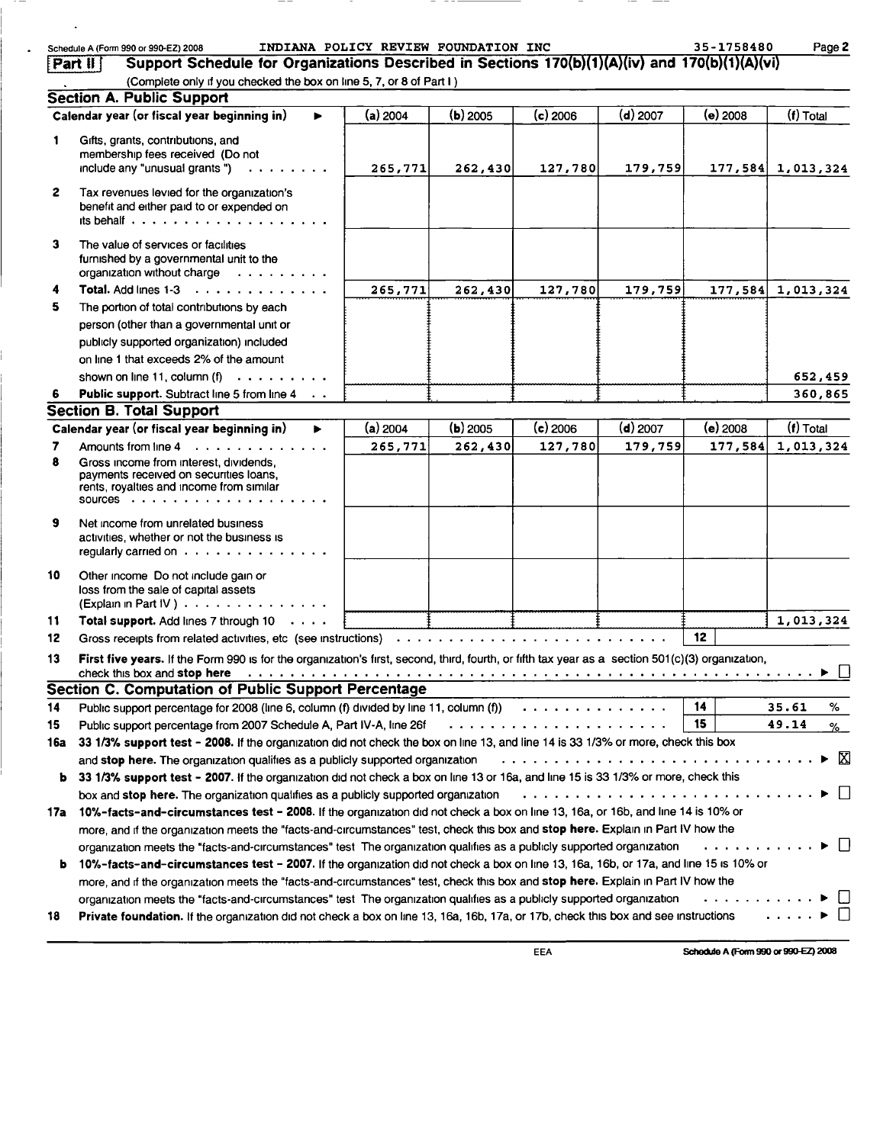|              | Schedule A (Form 990 or 990-EZ) 2008                                                                                                                                                                                                                                                                                                                                                              | INDIANA POLICY REVIEW FOUNDATION INC |            |            |            | 35-1758480 | Page 2                                |
|--------------|---------------------------------------------------------------------------------------------------------------------------------------------------------------------------------------------------------------------------------------------------------------------------------------------------------------------------------------------------------------------------------------------------|--------------------------------------|------------|------------|------------|------------|---------------------------------------|
| Part II      | Support Schedule for Organizations Described in Sections 170(b)(1)(A)(iv) and 170(b)(1)(A)(vi)                                                                                                                                                                                                                                                                                                    |                                      |            |            |            |            |                                       |
|              | (Complete only if you checked the box on line 5, 7, or 8 of Part I)                                                                                                                                                                                                                                                                                                                               |                                      |            |            |            |            |                                       |
|              | <b>Section A. Public Support</b>                                                                                                                                                                                                                                                                                                                                                                  |                                      |            |            |            |            |                                       |
|              | Calendar year (or fiscal year beginning in)<br>ь                                                                                                                                                                                                                                                                                                                                                  | $(a)$ 2004                           | $(b)$ 2005 | $(c)$ 2006 | (d) 2007   | (e) 2008   | (f) Total                             |
| 1            | Gifts, grants, contributions, and<br>membership fees received (Do not<br>include any "unusual grants")<br>.                                                                                                                                                                                                                                                                                       | 265,771                              | 262, 430   | 127,780    | 179,759    |            | $177,584$ 1,013,324                   |
| $\mathbf{2}$ | Tax revenues levied for the organization's<br>benefit and either paid to or expended on<br>its behalf $\cdots$ $\cdots$ $\cdots$ $\cdots$ $\cdots$ $\cdots$ $\cdots$ $\cdots$                                                                                                                                                                                                                     |                                      |            |            |            |            |                                       |
| 3            | The value of services or facilities<br>furnished by a governmental unit to the<br>organization without charge                                                                                                                                                                                                                                                                                     |                                      |            |            |            |            |                                       |
| 4            | Total. Add lines 1-3                                                                                                                                                                                                                                                                                                                                                                              | 265,771                              | 262,430    | 127,780    | 179,759    | 177,584    | 1,013,324                             |
| 5            | The portion of total contributions by each                                                                                                                                                                                                                                                                                                                                                        |                                      |            |            |            |            |                                       |
|              | person (other than a governmental unit or                                                                                                                                                                                                                                                                                                                                                         |                                      |            |            |            |            |                                       |
|              | publicly supported organization) included<br>on line 1 that exceeds 2% of the amount                                                                                                                                                                                                                                                                                                              |                                      |            |            |            |            |                                       |
|              | shown on line 11, column $(f)$                                                                                                                                                                                                                                                                                                                                                                    |                                      |            |            |            |            | 652,459                               |
|              | Public support. Subtract line 5 from line 4                                                                                                                                                                                                                                                                                                                                                       |                                      |            |            |            |            | 360,865                               |
|              | Section B. Total Support                                                                                                                                                                                                                                                                                                                                                                          |                                      |            |            |            |            |                                       |
|              | Calendar year (or fiscal year beginning in)<br>ь                                                                                                                                                                                                                                                                                                                                                  | $(a)$ 2004                           | $(b)$ 2005 | $(c)$ 2006 | $(d)$ 2007 | $(e)$ 2008 | $(f)$ Total                           |
| 7            | Amounts from line 4                                                                                                                                                                                                                                                                                                                                                                               | 265,771                              | 262,430    | 127,780    | 179,759    | 177,584    | 1,013,324                             |
| 8            | Gross income from interest, dividends,<br>payments received on securities loans,<br>rents, royalties and income from similar                                                                                                                                                                                                                                                                      |                                      |            |            |            |            |                                       |
| 9            | Net income from unrelated business<br>activities, whether or not the business is<br>regularly carried on $\cdots$ , $\cdots$ , $\cdots$ , $\cdots$ , $\cdots$                                                                                                                                                                                                                                     |                                      |            |            |            |            |                                       |
| 10           | Other income Do not include gain or<br>loss from the sale of capital assets<br>(Explain in Part IV)                                                                                                                                                                                                                                                                                               |                                      |            |            |            |            |                                       |
| 11           | Total support. Add lines 7 through 10                                                                                                                                                                                                                                                                                                                                                             |                                      |            |            |            |            | 1,013,324                             |
| 12           |                                                                                                                                                                                                                                                                                                                                                                                                   |                                      |            |            |            | 12         |                                       |
| 13           | First five years. If the Form 990 is for the organization's first, second, third, fourth, or fifth tax year as a section 501(c)(3) organization,                                                                                                                                                                                                                                                  |                                      |            |            |            |            |                                       |
|              | Section C. Computation of Public Support Percentage                                                                                                                                                                                                                                                                                                                                               |                                      |            |            |            | 14         |                                       |
| 14           | Public support percentage for 2008 (line 6, column (f) divided by line 11, column (f) $\cdots$                                                                                                                                                                                                                                                                                                    |                                      |            |            |            | 15         | 35.61<br>%                            |
| 15<br>16a    | Public support percentage from 2007 Schedule A, Part IV-A, line 26f contained and contained a contained and all<br>33 1/3% support test - 2008. If the organization did not check the box on line 13, and line 14 is 33 1/3% or more, check this box                                                                                                                                              |                                      |            |            |            |            | 49.14<br>%_                           |
|              | and stop here. The organization qualifies as a publicly supported organization<br>b 33 1/3% support test - 2007. If the organization did not check a box on line 13 or 16a, and line 15 is 33 1/3% or more, check this<br>box and stop here. The organization qualifies as a publicly supported organization                                                                                      |                                      |            |            |            |            | X<br>▶<br>$\Box$                      |
|              | 17a 10%-facts-and-circumstances test - 2008. If the organization did not check a box on line 13, 16a, or 16b, and line 14 is 10% or<br>more, and if the organization meets the "facts-and-circumstances" test, check this box and stop here. Explain in Part IV how the<br>organization meets the "facts-and-circumstances" test The organization qualifies as a publicly supported organization  |                                      |            |            |            | . <i>.</i> | $\blacktriangleright$ $\vert \ \vert$ |
| b.           | 10%-facts-and-circumstances test - 2007. If the organization did not check a box on line 13, 16a, 16b, or 17a, and line 15 is 10% or<br>more, and if the organization meets the "facts-and-circumstances" test, check this box and stop here. Explain in Part IV how the<br>organization meets the "facts-and-circumstances" test The organization qualifies as a publicly supported organization |                                      |            |            |            | . <i>.</i> | $\perp$                               |
| 18           | Private foundation. If the organization did not check a box on line 13, 16a, 16b, 17a, or 17b, check this box and see instructions                                                                                                                                                                                                                                                                |                                      |            |            |            |            | $\cdot$<br>$\perp$                    |

 $\sim$  .

 $\mathcal{L}_{\bullet}$ 

EEA Schedule A (Form 990 or 990-EZ) 2008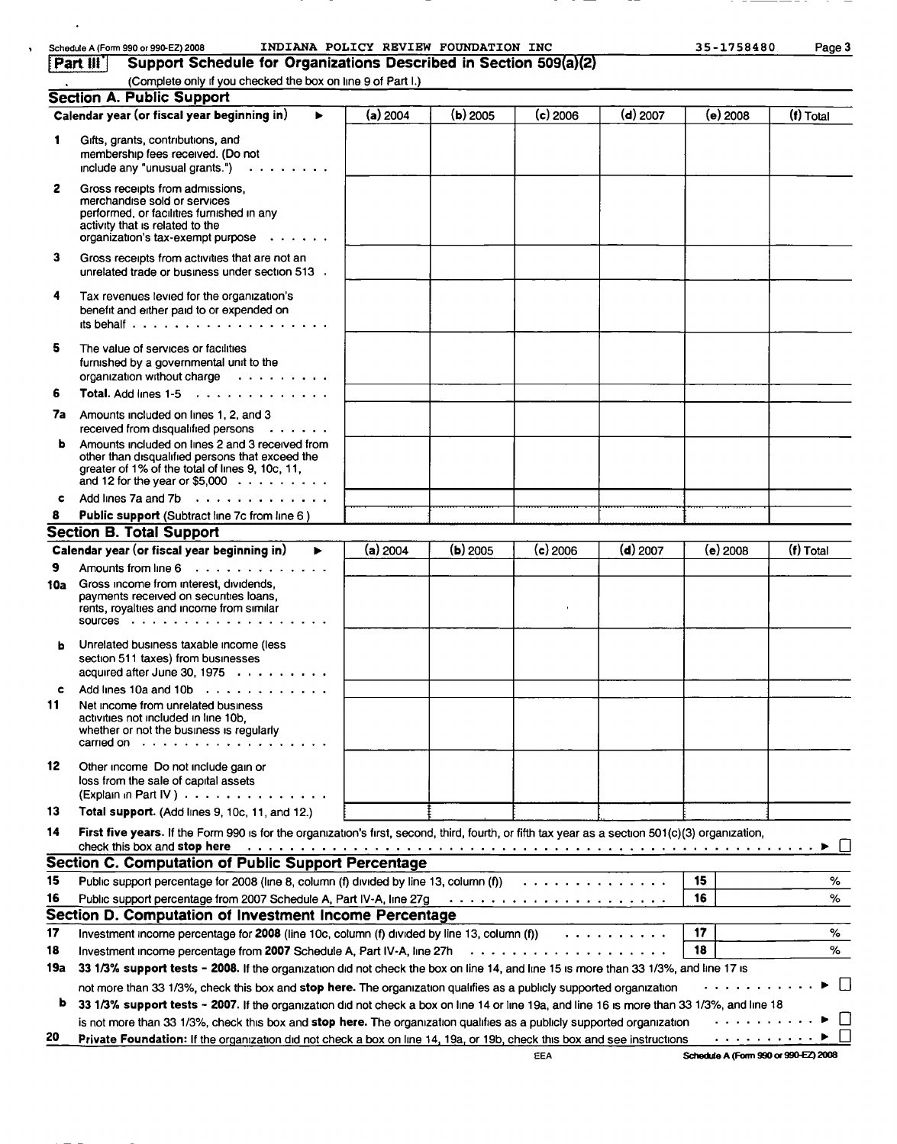|     | INDIANA POLICY REVIEW FOUNDATION INC<br>Schedule A (Form 990 or 990-EZ) 2008                                                                                                                                                                                        |            |            |            |            | 35-1758480       | Page 3    |
|-----|---------------------------------------------------------------------------------------------------------------------------------------------------------------------------------------------------------------------------------------------------------------------|------------|------------|------------|------------|------------------|-----------|
|     | Part III<br>Support Schedule for Organizations Described in Section 509(a)(2)                                                                                                                                                                                       |            |            |            |            |                  |           |
|     | (Complete only if you checked the box on line 9 of Part I.)                                                                                                                                                                                                         |            |            |            |            |                  |           |
|     | <b>Section A. Public Support</b>                                                                                                                                                                                                                                    |            |            |            |            |                  |           |
|     | Calendar year (or fiscal year beginning in)                                                                                                                                                                                                                         | (a) 2004   | $(b)$ 2005 | $(c)$ 2006 | (d) 2007   | (e) 2008         | (f) Total |
| 1   | Gifts, grants, contributions, and<br>membership fees received. (Do not<br>include any "unusual grants.")                                                                                                                                                            |            |            |            |            |                  |           |
| 2   | Gross receipts from admissions.<br>merchandise sold or services<br>performed, or facilities furnished in any<br>activity that is related to the<br>organization's tax-exempt purpose $\cdots$                                                                       |            |            |            |            |                  |           |
| 3   | Gross receipts from activities that are not an<br>unrelated trade or business under section 513 .                                                                                                                                                                   |            |            |            |            |                  |           |
| 4   | Tax revenues levied for the organization's<br>benefit and either paid to or expended on                                                                                                                                                                             |            |            |            |            |                  |           |
| 5   | The value of services or facilities<br>furnished by a governmental unit to the<br>organization without charge                                                                                                                                                       |            |            |            |            |                  |           |
| 6   | Total. Add lines $1-5$                                                                                                                                                                                                                                              |            |            |            |            |                  |           |
| 7а  | Amounts included on lines 1, 2, and 3<br>received from disqualified persons $\cdots$                                                                                                                                                                                |            |            |            |            |                  |           |
| ы   | Amounts included on lines 2 and 3 received from<br>other than disqualified persons that exceed the<br>greater of 1% of the total of lines 9, 10c, 11,<br>and 12 for the year or \$5,000 $\ldots \ldots \ldots$                                                      |            |            |            |            |                  |           |
| c   | Add lines 7a and 7b                                                                                                                                                                                                                                                 |            |            |            |            |                  |           |
|     | Public support (Subtract line 7c from line 6)                                                                                                                                                                                                                       |            |            |            |            |                  |           |
|     | <b>Section B. Total Support</b>                                                                                                                                                                                                                                     |            |            |            |            |                  |           |
|     | Calendar year (or fiscal year beginning in)<br>ь                                                                                                                                                                                                                    | $(a)$ 2004 | $(b)$ 2005 | $(c)$ 2006 | $(d)$ 2007 | (e) 2008         | (f) Total |
| 9   | Amounts from line $6 \ldots$ ,                                                                                                                                                                                                                                      |            |            |            |            |                  |           |
| 10a | Gross income from interest, dividends,<br>payments received on securities loans,<br>rents, royalties and income from similar                                                                                                                                        |            |            |            |            |                  |           |
| ь   | Unrelated business taxable income (less<br>section 511 taxes) from businesses<br>acquired after June 30, 1975 $\ldots$                                                                                                                                              |            |            |            |            |                  |           |
| c   | Add lines 10a and 10b                                                                                                                                                                                                                                               |            |            |            |            |                  |           |
| 11  | Net income from unrelated business<br>activities not included in line 10b.<br>whether or not the business is regularly<br>carried on $\cdots$                                                                                                                       |            |            |            |            |                  |           |
| 12  | Other income Do not include gain or<br>loss from the sale of capital assets<br>(Explain in Part IV)                                                                                                                                                                 |            |            |            |            |                  |           |
| 13  | Total support. (Add lines 9, 10c, 11, and 12.)                                                                                                                                                                                                                      |            |            |            |            |                  |           |
| 14  | First five years. If the Form 990 is for the organization's first, second, third, fourth, or fifth tax year as a section 501(c)(3) organization,<br>check this box and stop here                                                                                    |            |            |            |            |                  |           |
|     | <b>Section C. Computation of Public Support Percentage</b>                                                                                                                                                                                                          |            |            |            |            |                  |           |
| 15  | Public support percentage for 2008 (line 8, column (f) divided by line 13, column (f) $\cdots \cdots \cdots \cdots$                                                                                                                                                 |            |            |            |            | 15               | %         |
| 16  |                                                                                                                                                                                                                                                                     |            |            |            |            | 16               | ℅         |
|     | Section D. Computation of Investment Income Percentage                                                                                                                                                                                                              |            |            |            |            |                  |           |
| 17  | Investment income percentage for 2008 (line 10c, column (f) divided by line 13, column (f))                                                                                                                                                                         |            |            |            |            | 17               | %         |
| 18  |                                                                                                                                                                                                                                                                     |            |            |            |            | 18               | %         |
| 19a | 33 1/3% support tests - 2008. If the organization did not check the box on line 14, and line 15 is more than 33 1/3%, and line 17 is                                                                                                                                |            |            |            |            |                  |           |
| b   | not more than 33 1/3%, check this box and stop here. The organization qualifies as a publicly supported organization<br>33 1/3% support tests - 2007. If the organization did not check a box on line 14 or line 19a, and line 16 is more than 33 1/3%, and line 18 |            |            |            |            |                  | $\perp$   |
|     | is not more than 33 1/3%, check this box and stop here. The organization qualifies as a publicly supported organization                                                                                                                                             |            |            |            |            | . <b>.</b>       |           |
| 20  | Private Foundation: If the organization did not check a box on line 14, 19a, or 19b, check this box and see instructions                                                                                                                                            |            |            |            |            | a a shekarar a M |           |

 $\sim 100$ 

 $\hat{\mathbf{r}}$ 

EEA Schedule A (Form 990 or 990-EZ) 2008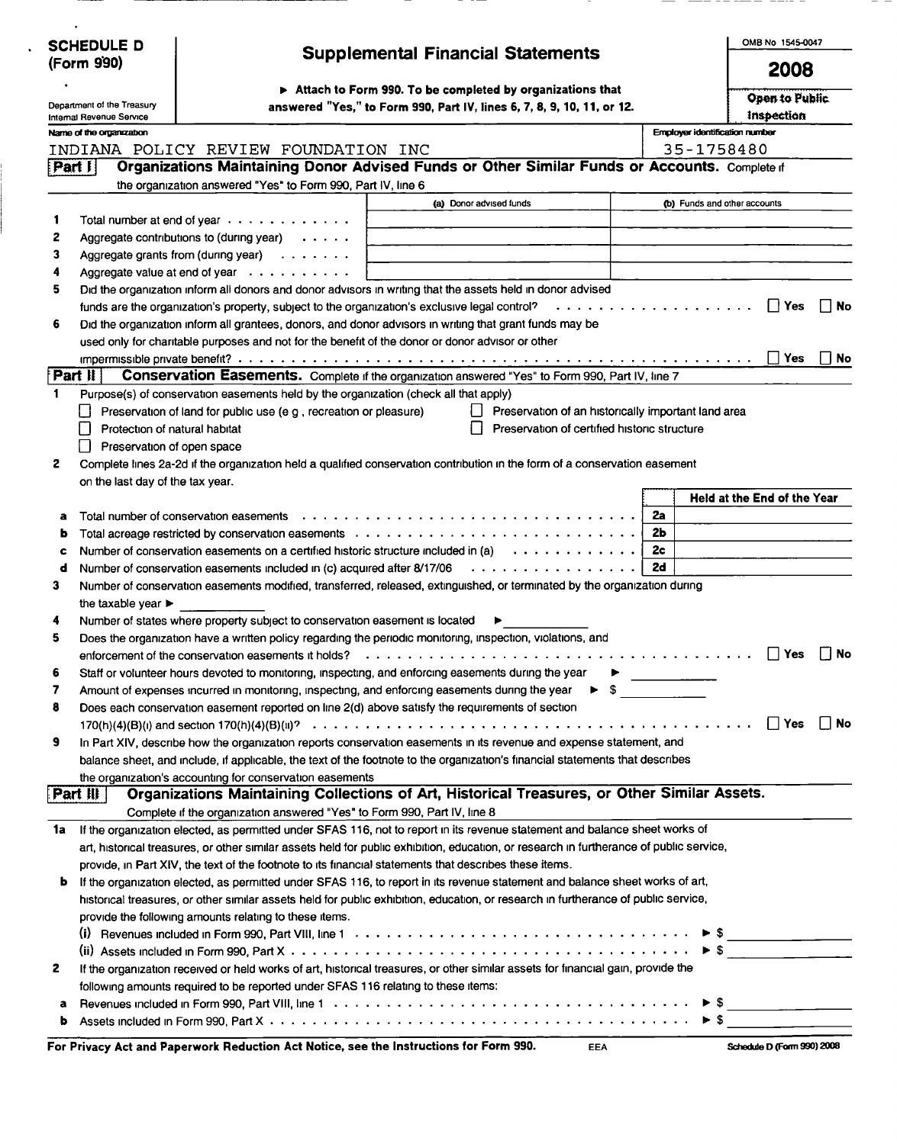| <b>SCHEDULE D</b>                                      |                                                                                                                                                                                                                                        |    | OMB No 1545-0047                      |
|--------------------------------------------------------|----------------------------------------------------------------------------------------------------------------------------------------------------------------------------------------------------------------------------------------|----|---------------------------------------|
| (Form 990)                                             | <b>Supplemental Financial Statements</b>                                                                                                                                                                                               |    | 2008                                  |
|                                                        | Attach to Form 990. To be completed by organizations that                                                                                                                                                                              |    | Open to Public                        |
| Department of the Treasury<br>Internal Revenue Service | answered "Yes," to Form 990, Part IV, lines 6, 7, 8, 9, 10, 11, or 12.                                                                                                                                                                 |    | inspection                            |
| Name of the organization                               |                                                                                                                                                                                                                                        |    | <b>Employer identification number</b> |
|                                                        | INDIANA POLICY REVIEW FOUNDATION INC                                                                                                                                                                                                   |    | 35-1758480                            |
| Part 月                                                 | Organizations Maintaining Donor Advised Funds or Other Similar Funds or Accounts. Complete if                                                                                                                                          |    |                                       |
|                                                        | the organization answered "Yes" to Form 990, Part IV, line 6                                                                                                                                                                           |    |                                       |
|                                                        | (a) Donor advised funds                                                                                                                                                                                                                |    | (b) Funds and other accounts          |
| 1                                                      | Total number at end of year $\cdots$                                                                                                                                                                                                   |    |                                       |
| 2                                                      | Aggregate contributions to (during year) $\cdots$ .                                                                                                                                                                                    |    |                                       |
| 3                                                      | Aggregate grants from (during year) $\ldots \ldots$                                                                                                                                                                                    |    |                                       |
| 4                                                      | Aggregate value at end of year $\cdots$                                                                                                                                                                                                |    |                                       |
| 5                                                      | Did the organization inform all donors and donor advisors in writing that the assets held in donor advised                                                                                                                             |    |                                       |
|                                                        | funds are the organization's property, subject to the organization's exclusive legal control?<br>. <i>.</i>                                                                                                                            |    | Γ   Yes<br>No                         |
| 6                                                      | Did the organization inform all grantees, donors, and donor advisors in writing that grant funds may be                                                                                                                                |    |                                       |
|                                                        | used only for charitable purposes and not for the benefit of the donor or donor advisor or other                                                                                                                                       |    |                                       |
|                                                        |                                                                                                                                                                                                                                        |    | ∣∣Yes<br>l i No                       |
| <b>Part II</b>                                         | Conservation Easements. Complete if the organization answered "Yes" to Form 990, Part IV, line 7                                                                                                                                       |    |                                       |
| $\mathbf{1}$                                           | Purpose(s) of conservation easements held by the organization (check all that apply)                                                                                                                                                   |    |                                       |
|                                                        | Preservation of land for public use (e g, recreation or pleasure)<br>Preservation of an historically important land area<br>Preservation of certified historic structure                                                               |    |                                       |
| ΙI                                                     | Protection of natural habitat                                                                                                                                                                                                          |    |                                       |
| 2                                                      | Preservation of open space<br>Complete lines 2a-2d if the organization held a qualified conservation contribution in the form of a conservation easement                                                                               |    |                                       |
| on the last day of the tax year.                       |                                                                                                                                                                                                                                        |    |                                       |
|                                                        |                                                                                                                                                                                                                                        |    | Held at the End of the Year           |
| a                                                      | Total number of conservation easements $\ldots \ldots \ldots \ldots \ldots \ldots \ldots \ldots \ldots \ldots \ldots \ldots$                                                                                                           | 2a |                                       |
| ь                                                      |                                                                                                                                                                                                                                        | 2b |                                       |
| c                                                      | Number of conservation easements on a certified historic structure included in (a) $\dots \dots \dots \dots$                                                                                                                           | 2c |                                       |
| d                                                      | Number of conservation easements included in (c) acquired after 8/17/06<br>.                                                                                                                                                           | 2d |                                       |
| 3                                                      | Number of conservation easements modified, transferred, released, extinguished, or terminated by the organization during                                                                                                               |    |                                       |
| the taxable year $\blacktriangleright$                 |                                                                                                                                                                                                                                        |    |                                       |
| 4                                                      | Number of states where property subject to conservation easement is located                                                                                                                                                            |    |                                       |
| 5                                                      | Does the organization have a written policy regarding the periodic monitoring, inspection, violations, and                                                                                                                             |    |                                       |
|                                                        | enforcement of the conservation easements it holds?                                                                                                                                                                                    |    | No<br>Yes                             |
| 6                                                      | Staff or volunteer hours devoted to monitoring, inspecting, and enforcing easements during the year                                                                                                                                    |    |                                       |
| 7                                                      | $\blacktriangleright$ \$<br>Amount of expenses incurred in monitoring, inspecting, and enforcing easements during the year                                                                                                             |    |                                       |
| 8                                                      | Does each conservation easement reported on line 2(d) above satisfy the requirements of section                                                                                                                                        |    |                                       |
|                                                        |                                                                                                                                                                                                                                        |    | $\Box$ Yes<br>∣ ∣No                   |
| 9                                                      | In Part XIV, describe how the organization reports conservation easements in its revenue and expense statement, and                                                                                                                    |    |                                       |
|                                                        | balance sheet, and include, if applicable, the text of the footnote to the organization's financial statements that describes                                                                                                          |    |                                       |
|                                                        | the organization's accounting for conservation easements                                                                                                                                                                               |    |                                       |
| [Part II]                                              | Organizations Maintaining Collections of Art, Historical Treasures, or Other Similar Assets.                                                                                                                                           |    |                                       |
|                                                        | Complete if the organization answered "Yes" to Form 990, Part IV, line 8                                                                                                                                                               |    |                                       |
| 1a                                                     | If the organization elected, as permitted under SFAS 116, not to report in its revenue statement and balance sheet works of                                                                                                            |    |                                       |
|                                                        | art, historical treasures, or other similar assets held for public exhibition, education, or research in furtherance of public service,                                                                                                |    |                                       |
|                                                        | provide, in Part XIV, the text of the footnote to its financial statements that describes these items.<br>If the organization elected, as permitted under SFAS 116, to report in its revenue statement and balance sheet works of art, |    |                                       |
| b                                                      | historical treasures, or other similar assets held for public exhibition, education, or research in furtherance of public service,                                                                                                     |    |                                       |
|                                                        | provide the following amounts relating to these items.                                                                                                                                                                                 |    |                                       |
|                                                        |                                                                                                                                                                                                                                        |    |                                       |
|                                                        |                                                                                                                                                                                                                                        |    | $\triangleright$ S                    |
| 2                                                      | If the organization received or held works of art, historical treasures, or other similar assets for financial gain, provide the                                                                                                       |    |                                       |
|                                                        | following amounts required to be reported under SFAS 116 relating to these items:                                                                                                                                                      |    |                                       |
| a                                                      |                                                                                                                                                                                                                                        |    |                                       |
| b                                                      |                                                                                                                                                                                                                                        |    |                                       |

| For Privacy Act and Paperwork Reduction Act Notice, see the Instructions for Form 990. |  | Schedule D (Form 990) 2008 |
|----------------------------------------------------------------------------------------|--|----------------------------|
|----------------------------------------------------------------------------------------|--|----------------------------|

 $\ddot{\phantom{0}}$ 

|  |  | Schedule D (Form 990) 2008 |
|--|--|----------------------------|
|--|--|----------------------------|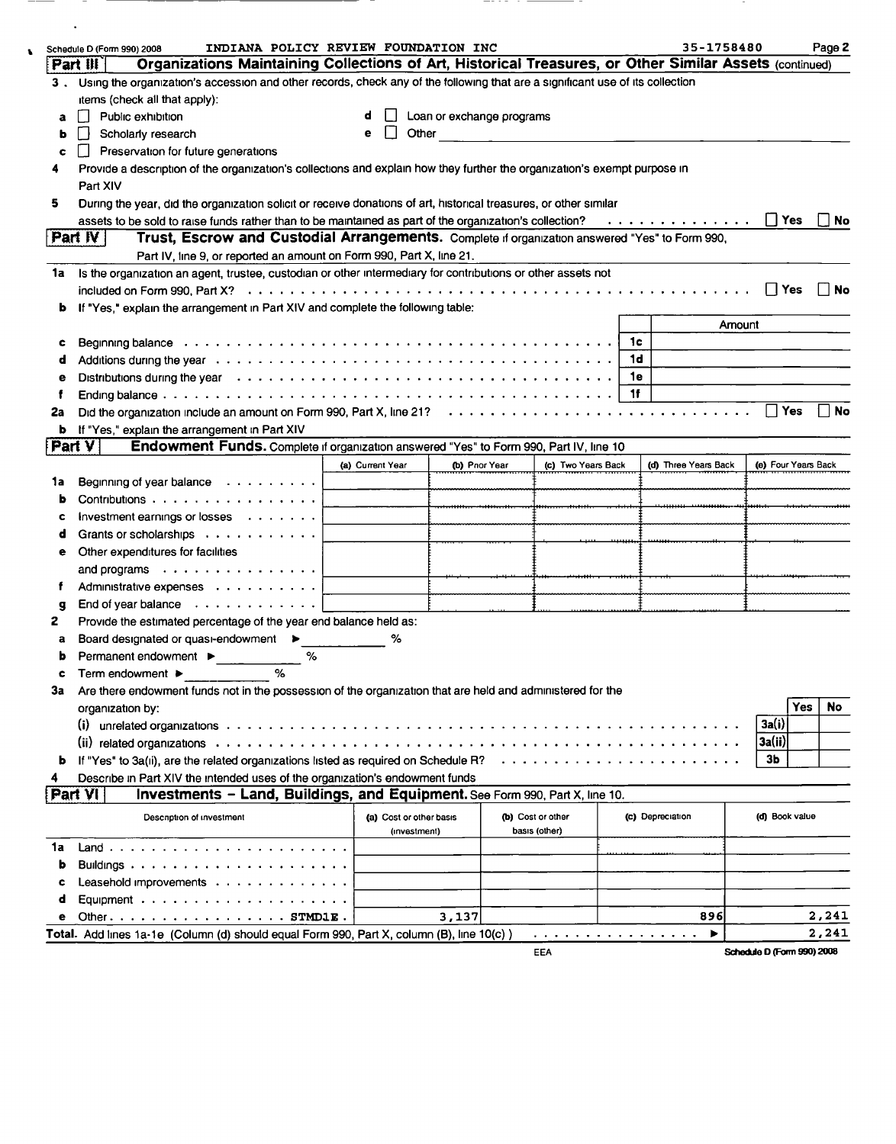|    | INDIANA POLICY REVIEW FOUNDATION INC<br>Schedule D (Form 990) 2008                                                                                                                                                             |                         |                           |               |                    |                | 35-1758480           |                            |                     | Page 2    |
|----|--------------------------------------------------------------------------------------------------------------------------------------------------------------------------------------------------------------------------------|-------------------------|---------------------------|---------------|--------------------|----------------|----------------------|----------------------------|---------------------|-----------|
|    | Organizations Maintaining Collections of Art, Historical Treasures, or Other Similar Assets (continued)<br>Part III                                                                                                            |                         |                           |               |                    |                |                      |                            |                     |           |
|    | 3. Using the organization's accession and other records, check any of the following that are a significant use of its collection                                                                                               |                         |                           |               |                    |                |                      |                            |                     |           |
|    | items (check all that apply):                                                                                                                                                                                                  |                         |                           |               |                    |                |                      |                            |                     |           |
| a  | Public exhibition                                                                                                                                                                                                              |                         | Loan or exchange programs |               |                    |                |                      |                            |                     |           |
| ь  | Scholarly research                                                                                                                                                                                                             | е                       | Other                     |               |                    |                |                      |                            |                     |           |
| c  | Preservation for future generations                                                                                                                                                                                            |                         |                           |               |                    |                |                      |                            |                     |           |
|    | Provide a description of the organization's collections and explain how they further the organization's exempt purpose in                                                                                                      |                         |                           |               |                    |                |                      |                            |                     |           |
|    | Part XIV                                                                                                                                                                                                                       |                         |                           |               |                    |                |                      |                            |                     |           |
| 5  | During the year, did the organization solicit or receive donations of art, historical treasures, or other similar                                                                                                              |                         |                           |               |                    |                |                      |                            |                     |           |
|    | assets to be sold to raise funds rather than to be maintained as part of the organization's collection? $\ldots \ldots \ldots \ldots$                                                                                          |                         |                           |               |                    |                |                      |                            |                     | $\Box$ No |
|    | Trust, Escrow and Custodial Arrangements. Complete if organization answered "Yes" to Form 990,<br>Part $W$                                                                                                                     |                         |                           |               |                    |                |                      |                            |                     |           |
|    | Part IV, line 9, or reported an amount on Form 990, Part X, line 21.                                                                                                                                                           |                         |                           |               |                    |                |                      |                            |                     |           |
| 1a | Is the organization an agent, trustee, custodian or other intermediary for contributions or other assets not                                                                                                                   |                         |                           |               |                    |                |                      |                            |                     |           |
|    | included on Form 990, Part X? (a) and some contact of the contract of the contract of the contract of the contract of the contract of the contract of the contract of the contract of the contract of the contract of the cont |                         |                           |               |                    |                |                      |                            | $\prod$ Yes         | ∣∣No      |
| b  | If "Yes," explain the arrangement in Part XIV and complete the following table:                                                                                                                                                |                         |                           |               |                    |                |                      |                            |                     |           |
|    |                                                                                                                                                                                                                                |                         |                           |               |                    |                |                      | Amount                     |                     |           |
| c  | Beginning balance www.communicationshipsers are contained as a series of the contact of the contact of the contact of the contact of the contact of the contact of the contact of the contact of the contact of the contact of |                         |                           |               |                    | 1с             |                      |                            |                     |           |
| d  |                                                                                                                                                                                                                                |                         |                           |               |                    | 1 <sub>d</sub> |                      |                            |                     |           |
| е  |                                                                                                                                                                                                                                |                         |                           |               |                    | 1e             |                      |                            |                     |           |
| f  |                                                                                                                                                                                                                                |                         |                           |               |                    | 1f             |                      |                            |                     |           |
| 2a |                                                                                                                                                                                                                                |                         |                           |               |                    |                |                      |                            | Π Yes               | ∣ i No    |
| b  | If "Yes," explain the arrangement in Part XIV                                                                                                                                                                                  |                         |                           |               |                    |                |                      |                            |                     |           |
|    | Endowment Funds. Complete if organization answered "Yes" to Form 990, Part IV, line 10<br>Part V                                                                                                                               |                         |                           |               |                    |                |                      |                            |                     |           |
|    |                                                                                                                                                                                                                                | (a) Current Year        |                           | (b) Pnor Year | (c) Two Years Back |                | (d) Three Years Back |                            | (e) Four Years Back |           |
| 1a | Beginning of year balance                                                                                                                                                                                                      |                         |                           |               |                    |                |                      |                            |                     |           |
| ь  | Contributions                                                                                                                                                                                                                  |                         |                           |               |                    |                |                      |                            |                     |           |
| c  | Investment earnings or losses                                                                                                                                                                                                  |                         |                           |               |                    |                |                      |                            |                     |           |
| d  | Grants or scholarships                                                                                                                                                                                                         |                         |                           |               |                    |                |                      |                            |                     |           |
| е  | Other expenditures for facilities                                                                                                                                                                                              |                         |                           |               |                    |                |                      |                            |                     |           |
|    | and programs $\cdots$ , $\cdots$ , $\cdots$                                                                                                                                                                                    |                         |                           |               |                    |                |                      |                            |                     |           |
| f  | Administrative expenses                                                                                                                                                                                                        |                         |                           |               |                    |                |                      |                            |                     |           |
| g  | End of year balance $\cdots \cdots \cdots$                                                                                                                                                                                     |                         |                           |               |                    |                |                      |                            |                     |           |
| 2  | Provide the estimated percentage of the year end balance held as:                                                                                                                                                              |                         |                           |               |                    |                |                      |                            |                     |           |
| a  | Board designated or quasi-endowment $\blacktriangleright$                                                                                                                                                                      | ℅                       |                           |               |                    |                |                      |                            |                     |           |
| b  | Permanent endowment ><br>%                                                                                                                                                                                                     |                         |                           |               |                    |                |                      |                            |                     |           |
| c  | %<br>Term endowment ▶                                                                                                                                                                                                          |                         |                           |               |                    |                |                      |                            |                     |           |
|    | Are there endowment funds not in the possession of the organization that are held and administered for the                                                                                                                     |                         |                           |               |                    |                |                      |                            |                     |           |
|    | organization by:                                                                                                                                                                                                               |                         |                           |               |                    |                |                      |                            | <b>Yes</b>          | No        |
|    |                                                                                                                                                                                                                                |                         |                           |               |                    |                |                      |                            | 3a(i)               |           |
|    |                                                                                                                                                                                                                                |                         |                           |               |                    |                |                      |                            | 3a(ii)              |           |
| b  | If "Yes" to 3a(ii), are the related organizations listed as required on Schedule R?                                                                                                                                            |                         |                           |               |                    |                |                      |                            | 3 <sub>b</sub>      |           |
|    | Describe in Part XIV the intended uses of the organization's endowment funds                                                                                                                                                   |                         |                           |               |                    |                |                      |                            |                     |           |
|    | Investments - Land, Buildings, and Equipment. See Form 990, Part X, line 10.<br><b>Part VI</b>                                                                                                                                 |                         |                           |               |                    |                |                      |                            |                     |           |
|    | Description of investment                                                                                                                                                                                                      | (a) Cost or other basis |                           |               | (b) Cost or other  |                | (c) Depreciation     |                            | (d) Book value      |           |
|    |                                                                                                                                                                                                                                | (investment)            |                           |               | basis (other)      |                |                      |                            |                     |           |
| 1a |                                                                                                                                                                                                                                |                         |                           |               |                    |                |                      |                            |                     |           |
| b  |                                                                                                                                                                                                                                |                         |                           |               |                    |                |                      |                            |                     |           |
| c  | Leasehold improvements $\ldots \ldots \ldots \ldots$                                                                                                                                                                           |                         |                           |               |                    |                |                      |                            |                     |           |
| d  | Equipment $\cdots$                                                                                                                                                                                                             |                         |                           |               |                    |                |                      |                            |                     |           |
| е  | Other. $STMD1E$ .                                                                                                                                                                                                              |                         | 3,137                     |               |                    |                | 896                  |                            |                     | 2,241     |
|    | Total. Add lines 1a-1e (Column (d) should equal Form 990, Part X, column (B), line 10(c))                                                                                                                                      |                         |                           |               | .                  |                | ▶                    |                            |                     | 2,241     |
|    |                                                                                                                                                                                                                                |                         |                           |               | EEA                |                |                      | Schedule D (Form 990) 2008 |                     |           |
|    |                                                                                                                                                                                                                                |                         |                           |               |                    |                |                      |                            |                     |           |

\_\_\_\_\_\_

 $\sim$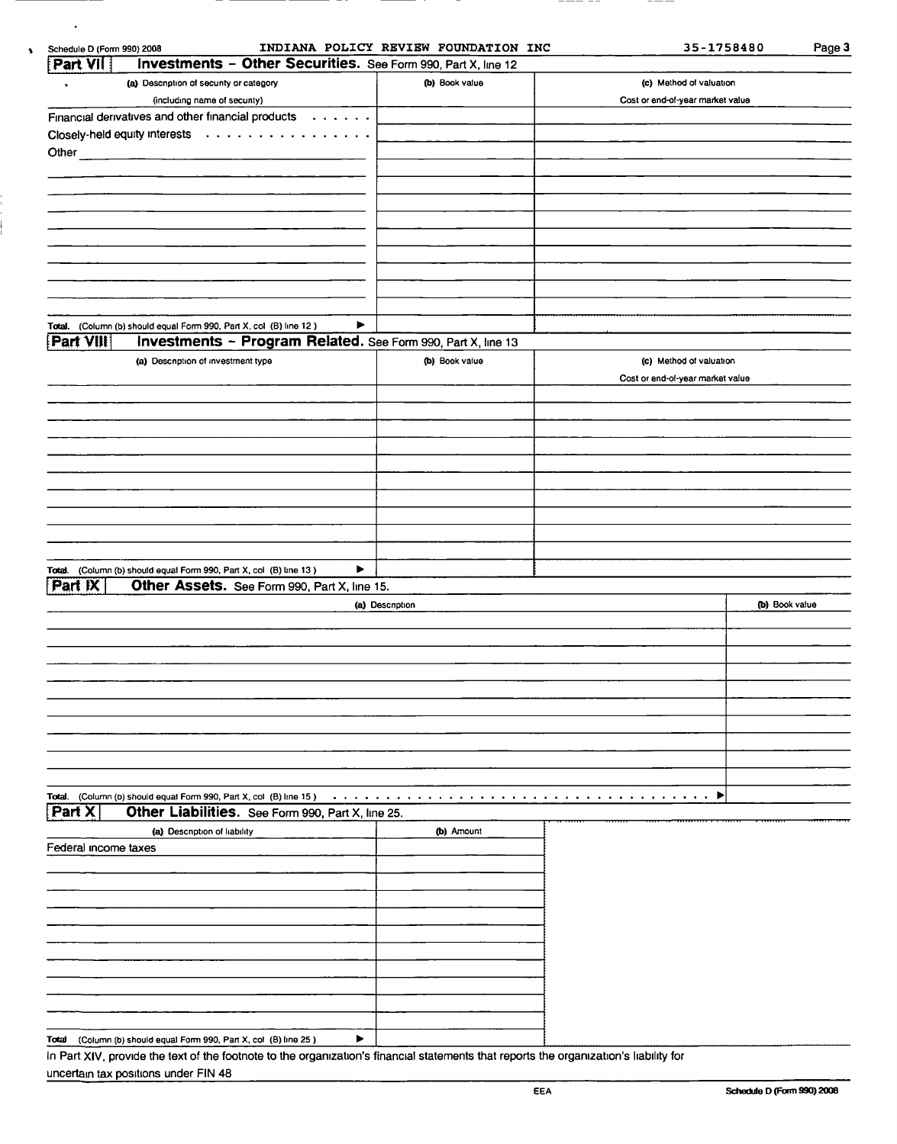| Schedule D (Form 990) 2008 |                                                                    |                                                                      | INDIANA POLICY REVIEW FOUNDATION INC | 35-1758480                                 | Page 3         |
|----------------------------|--------------------------------------------------------------------|----------------------------------------------------------------------|--------------------------------------|--------------------------------------------|----------------|
| Part VII                   |                                                                    | <b>Investments - Other Securities.</b> See Form 990, Part X, line 12 |                                      |                                            |                |
|                            | (a) Description of security or category                            |                                                                      | (b) Book value                       | (c) Method of valuation                    |                |
|                            | (including name of secunty)                                        |                                                                      |                                      | Cost or end-of-year market value           |                |
|                            |                                                                    | Financial derivatives and other financial products                   |                                      |                                            |                |
|                            | Closely-held equity interests                                      |                                                                      |                                      |                                            |                |
| Other                      |                                                                    |                                                                      |                                      |                                            |                |
|                            |                                                                    |                                                                      |                                      |                                            |                |
|                            |                                                                    |                                                                      |                                      |                                            |                |
|                            |                                                                    |                                                                      |                                      |                                            |                |
|                            |                                                                    |                                                                      |                                      |                                            |                |
|                            |                                                                    |                                                                      |                                      |                                            |                |
|                            |                                                                    |                                                                      |                                      |                                            |                |
|                            |                                                                    |                                                                      |                                      |                                            |                |
|                            |                                                                    |                                                                      |                                      |                                            |                |
|                            |                                                                    |                                                                      |                                      |                                            |                |
|                            |                                                                    |                                                                      |                                      |                                            |                |
|                            | Total. (Column (b) should equal Form 990, Part X, col (B) line 12) | ▶                                                                    |                                      |                                            |                |
| Part VIII                  |                                                                    | <b>Investments - Program Related.</b> See Form 990, Part X, line 13  |                                      |                                            |                |
|                            | (a) Description of investment type                                 |                                                                      | (b) Book value                       | (c) Method of valuation                    |                |
|                            |                                                                    |                                                                      |                                      | Cost or end-of-year market value           |                |
|                            |                                                                    |                                                                      |                                      |                                            |                |
|                            |                                                                    |                                                                      |                                      |                                            |                |
|                            |                                                                    |                                                                      |                                      |                                            |                |
|                            |                                                                    |                                                                      |                                      |                                            |                |
|                            |                                                                    |                                                                      |                                      |                                            |                |
|                            |                                                                    |                                                                      |                                      |                                            |                |
|                            |                                                                    |                                                                      |                                      |                                            |                |
|                            |                                                                    |                                                                      |                                      |                                            |                |
|                            |                                                                    |                                                                      |                                      |                                            |                |
|                            |                                                                    |                                                                      |                                      |                                            |                |
| Total.                     | (Column (b) should equal Form 990, Part X, col (B) line 13)        | ▶                                                                    |                                      |                                            |                |
| Part IX                    |                                                                    | Other Assets. See Form 990, Part X, line 15.                         |                                      |                                            |                |
|                            |                                                                    |                                                                      | (a) Description                      |                                            | (b) Book value |
|                            |                                                                    |                                                                      |                                      |                                            |                |
|                            |                                                                    |                                                                      |                                      |                                            |                |
|                            |                                                                    |                                                                      |                                      |                                            |                |
|                            |                                                                    |                                                                      |                                      |                                            |                |
|                            |                                                                    |                                                                      |                                      |                                            |                |
|                            |                                                                    |                                                                      |                                      |                                            |                |
|                            |                                                                    |                                                                      |                                      |                                            |                |
|                            |                                                                    |                                                                      |                                      |                                            |                |
|                            |                                                                    |                                                                      |                                      |                                            |                |
|                            |                                                                    |                                                                      |                                      |                                            |                |
|                            |                                                                    |                                                                      |                                      |                                            |                |
| Part X                     |                                                                    | Total. (Column (b) should equal Form 990, Part X, col (B) line 15 )  |                                      | ▶<br>$\mathbf{a}$ , and $\mathbf{a}$ , and |                |
|                            |                                                                    | Other Liabilities. See Form 990, Part X, line 25.                    |                                      |                                            |                |
|                            | (a) Description of liability                                       |                                                                      | (b) Amount                           |                                            |                |
| Federal income taxes       |                                                                    |                                                                      |                                      |                                            |                |
|                            |                                                                    |                                                                      |                                      |                                            |                |
|                            |                                                                    |                                                                      |                                      |                                            |                |
|                            |                                                                    |                                                                      |                                      |                                            |                |
|                            |                                                                    |                                                                      |                                      |                                            |                |

| (Column (b) should equal Form 990, Part X, col (B) line 25)<br>Total                                                   |  |  |  |
|------------------------------------------------------------------------------------------------------------------------|--|--|--|
| In Part XIV, provide the text of the footpote to the organization's financial statements that reports the organization |  |  |  |

 $\bullet$ 

In Part XIV, provide the text of the footnote to the organization's financial statements that reports the organization's liability for uncertain tax positions under FIN 48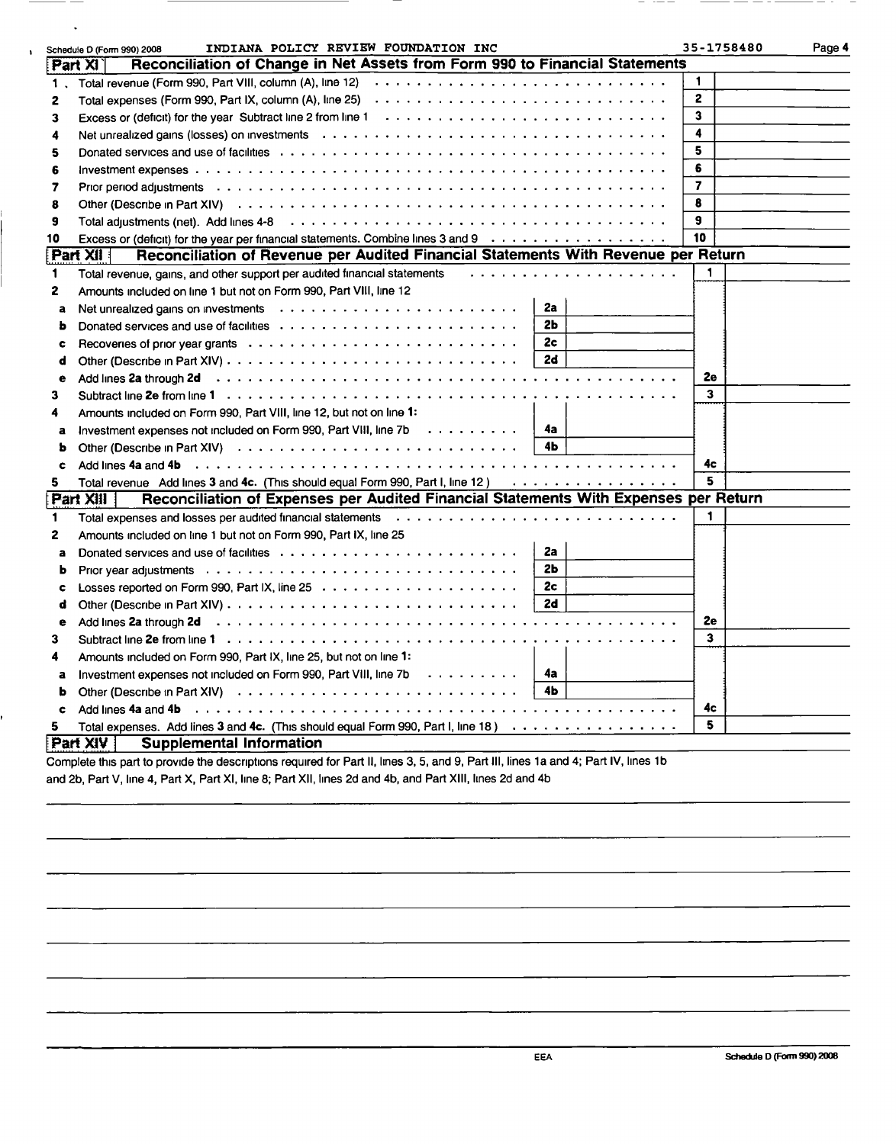|              | INDIANA POLICY REVIEW FOUNDATION INC<br>Schedule D (Form 990) 2008                                                                                                                                                             | 35-1758480              | Page 4 |
|--------------|--------------------------------------------------------------------------------------------------------------------------------------------------------------------------------------------------------------------------------|-------------------------|--------|
|              | Reconciliation of Change in Net Assets from Form 990 to Financial Statements<br>Part XI                                                                                                                                        |                         |        |
| 1.           |                                                                                                                                                                                                                                | $\mathbf{1}$            |        |
| 2            | Total expenses (Form 990, Part IX, column (A), line 25)                                                                                                                                                                        | $\overline{2}$          |        |
| 3            |                                                                                                                                                                                                                                | $\overline{\mathbf{3}}$ |        |
| 4            |                                                                                                                                                                                                                                | 4                       |        |
| 5            |                                                                                                                                                                                                                                | 5                       |        |
| 6            |                                                                                                                                                                                                                                | 6                       |        |
| 7            |                                                                                                                                                                                                                                | $\overline{7}$          |        |
| 8            |                                                                                                                                                                                                                                | 8                       |        |
| 9            |                                                                                                                                                                                                                                | $\mathbf{q}$            |        |
| 10           | Excess or (deficit) for the year per financial statements. Combine lines 3 and 9                                                                                                                                               | 10                      |        |
|              | Reconciliation of Revenue per Audited Financial Statements With Revenue per Return<br><b>Part XII</b>                                                                                                                          |                         |        |
| 1            | Total revenue, gains, and other support per audited financial statements                                                                                                                                                       | 1                       |        |
| 2            | Amounts included on line 1 but not on Form 990, Part VIII, line 12                                                                                                                                                             |                         |        |
| a            | 2a                                                                                                                                                                                                                             |                         |        |
| ь            | 2 <sub>b</sub>                                                                                                                                                                                                                 |                         |        |
| c            | 2 <sub>c</sub>                                                                                                                                                                                                                 |                         |        |
| d            | 2d                                                                                                                                                                                                                             |                         |        |
| е            |                                                                                                                                                                                                                                | 2e                      |        |
| 3            |                                                                                                                                                                                                                                | 3                       |        |
| 4            | Amounts included on Form 990, Part VIII, line 12, but not on line 1:                                                                                                                                                           |                         |        |
| a            | Investment expenses not included on Form 990, Part VIII, line 7b<br>-4a                                                                                                                                                        |                         |        |
| ь            | 4 <sub>b</sub>                                                                                                                                                                                                                 |                         |        |
| c            |                                                                                                                                                                                                                                | 4c                      |        |
| 5            | Total revenue Add lines 3 and 4c. (This should equal Form 990, Part I, line 12)                                                                                                                                                | 5                       |        |
|              | Reconciliation of Expenses per Audited Financial Statements With Expenses per Return<br>Part XIII                                                                                                                              |                         |        |
| 1            |                                                                                                                                                                                                                                | 1                       |        |
| $\mathbf{2}$ | Amounts included on line 1 but not on Form 990, Part IX, line 25                                                                                                                                                               |                         |        |
| a            | 2a                                                                                                                                                                                                                             |                         |        |
| ь            | 2 <sub>b</sub>                                                                                                                                                                                                                 |                         |        |
| c            | 2c                                                                                                                                                                                                                             |                         |        |
| d            | 2d                                                                                                                                                                                                                             |                         |        |
| е            |                                                                                                                                                                                                                                | 2e                      |        |
| 3            |                                                                                                                                                                                                                                | 3                       |        |
| 4            | Amounts included on Form 990, Part IX, line 25, but not on line 1:                                                                                                                                                             |                         |        |
| a            | Investment expenses not included on Form 990, Part VIII, line 7b<br>4a                                                                                                                                                         |                         |        |
| b            | 4 <b>b</b>                                                                                                                                                                                                                     |                         |        |
| c            | Add lines 4a and 4b protocoup and the contract of the contract of the contract of the contract of the contract of the contract of the contract of the contract of the contract of the contract of the contract of the contract | 4c                      |        |
| 5.           | Total expenses. Add lines 3 and 4c. (This should equal Form 990, Part I, line 18)                                                                                                                                              | 5                       |        |
|              | Part XIV<br><b>Supplemental Information</b>                                                                                                                                                                                    |                         |        |
|              | Complete this part to provide the descriptions required for Part II, lines 3, 5, and 9, Part III, lines 1a and 4; Part IV, lines 1b                                                                                            |                         |        |

 $\hspace{1.0cm} \overline{\phantom{0}}$  $\cdot$   $-$  \_\_\_\_\_

and 2b, Part V, line 4, Part X, Part XI, line 8; Part XII, lines 2d and 4b, and Part XIII, lines 2d and 4b

 $\ddot{\phantom{a}}$ 

 $\bar{\textbf{r}}$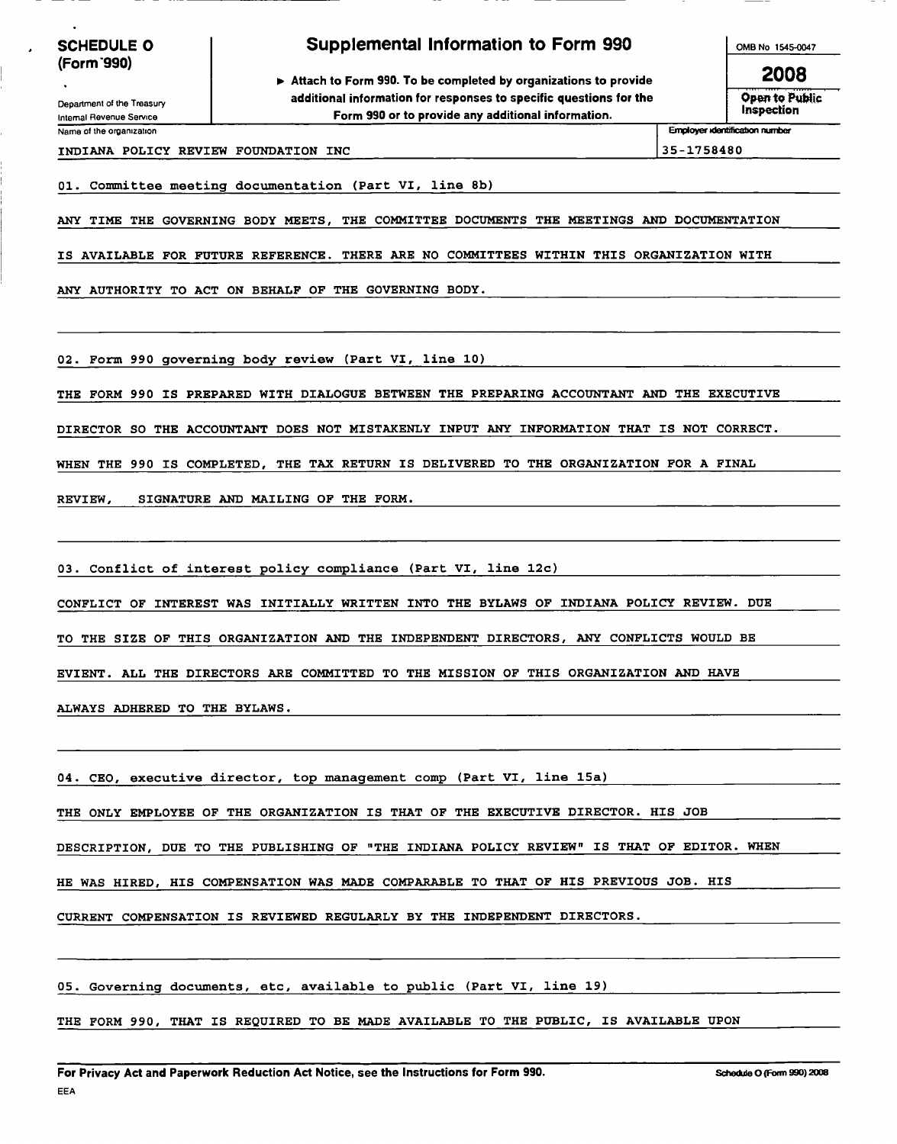Department of the Treasury Internal Revenue Service

## Supplemental Information to Form 990

► Attach to Form 990. To be completed by organizations to provide additional information for responses to specific questions for the Form 990 or to provide any additional information. Name of the organization **Employer Klerdification number** Employer Klerdification number

OMB No 1545-0047

2008 Open to Public Inspection

INDIANA POLICY REVIEW FOUNDATION INC 35-1758480

01. Committee meeting documentation (Part VI, line 8b)

ANY TIME THE GOVERNING BODY MEETS, THE COMMITTEE DOCUMENTS THE MEETINGS AND DOCUMENTATION

IS AVAILABLE FOR FUTURE REFERENCE. THERE ARE NO COMMITTEES WITHIN THIS ORGANIZATION WITH

ANY AUTHORITY TO ACT ON BEHALF OF THE GOVERNING BODY.

02. Form 990 governing body review (Part VI, line 10)

THE FORM 990 IS PREPARED WITH DIALOGUE BETWEEN THE PREPARING ACCOUNTANT AND THE EXECUTIVE

DIRECTOR SO THE ACCOUNTANT DOES NOT MISTAKENLY INPUT ANY INFORMATION THAT IS NOT CORRECT.

WHEN THE 990 IS COMPLETED, THE TAX RETURN IS DELIVERED TO THE ORGANIZATION FOR A FINAL

REVIEW, SIGNATURE AND MAILING OF THE FORM.

03. Conflict of interest policy compliance (Part VI, line 12c)

CONFLICT OF INTEREST WAS INITIALLY WRITTEN INTO THE BYLAWS OF INDIANA POLICY REVIEW. DUE

TO THE SIZE OF THIS ORGANIZATION AND THE INDEPENDENT DIRECTORS, ANY CONFLICTS WOULD BE

EVIENT. ALL THE DIRECTORS ARE COMMITTED TO THE MISSION OF THIS ORGANIZATION AND HAVE

ALWAYS ADHERED TO THE BYLAWS.

04. CEO, executive director, top management comp (Part VI, line 15a)

THE ONLY EMPLOYEE OF THE ORGANIZATION IS THAT OF THE EXECUTIVE DIRECTOR. HIS JOB

DESCRIPTION, DUE TO THE PUBLISHING OF "THE INDIANA POLICY REVIEW" IS THAT OF EDITOR. WHEN

HE WAS HIRED, HIS COMPENSATION WAS MADE COMPARABLE TO THAT OF HIS PREVIOUS JOB. HIS

CURRENT COMPENSATION IS REVIEWED REGULARLY BY THE INDEPENDENT DIRECTORS.

05. Governing documents, etc, available to public (Part VI, line 19)

THE FORM 990, THAT IS REQUIRED TO BE MADE AVAILABLE TO THE PUBLIC, IS AVAILABLE UPON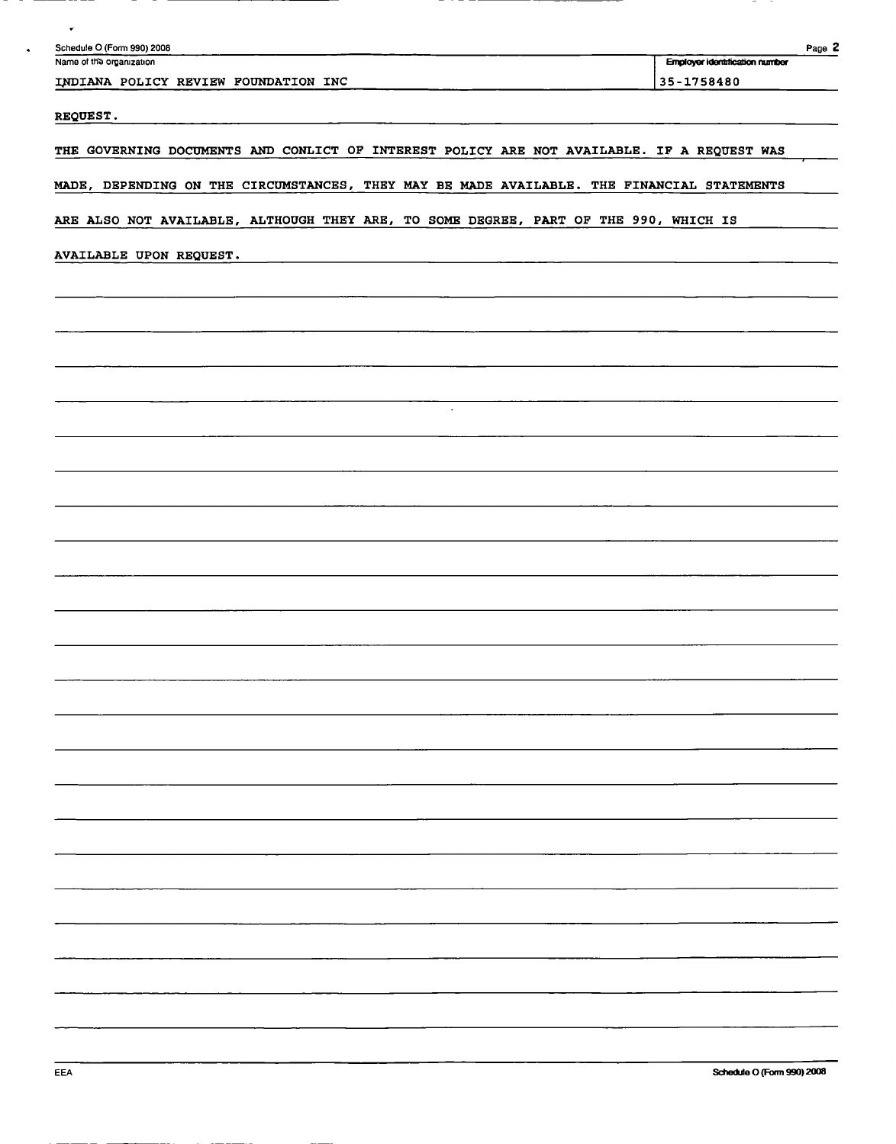| $\bullet$<br>Schedule O (Form 990) 2008                                                    | Page 2                                |
|--------------------------------------------------------------------------------------------|---------------------------------------|
| Name of the organization                                                                   | <b>Employer identification number</b> |
| INDIANA POLICY REVIEW FOUNDATION INC                                                       | 35-1758480                            |
| REQUEST.                                                                                   |                                       |
| THE GOVERNING DOCUMENTS AND CONLICT OF INTEREST POLICY ARE NOT AVAILABLE. IF A REQUEST WAS |                                       |
| MADE, DEPENDING ON THE CIRCUMSTANCES, THEY MAY BE MADE AVAILABLE. THE FINANCIAL STATEMENTS |                                       |
| ARE ALSO NOT AVAILABLE, ALTHOUGH THEY ARE, TO SOME DEGREE, PART OF THE 990, WHICH IS       |                                       |
|                                                                                            |                                       |
| AVAILABLE UPON REQUEST.                                                                    |                                       |
|                                                                                            |                                       |
|                                                                                            |                                       |
|                                                                                            |                                       |
|                                                                                            |                                       |
| $\sim$                                                                                     |                                       |
|                                                                                            |                                       |
|                                                                                            |                                       |
|                                                                                            |                                       |
|                                                                                            |                                       |
|                                                                                            |                                       |
|                                                                                            |                                       |
|                                                                                            |                                       |
|                                                                                            |                                       |
|                                                                                            |                                       |
|                                                                                            |                                       |
|                                                                                            |                                       |
|                                                                                            |                                       |
|                                                                                            |                                       |
|                                                                                            |                                       |
|                                                                                            |                                       |
|                                                                                            |                                       |
|                                                                                            |                                       |
|                                                                                            |                                       |
|                                                                                            |                                       |
|                                                                                            |                                       |
|                                                                                            |                                       |
|                                                                                            |                                       |
|                                                                                            |                                       |
|                                                                                            |                                       |
| <b>EEA</b>                                                                                 | Schedule O (Form 990) 2008            |

 $\ddot{\phantom{1}}$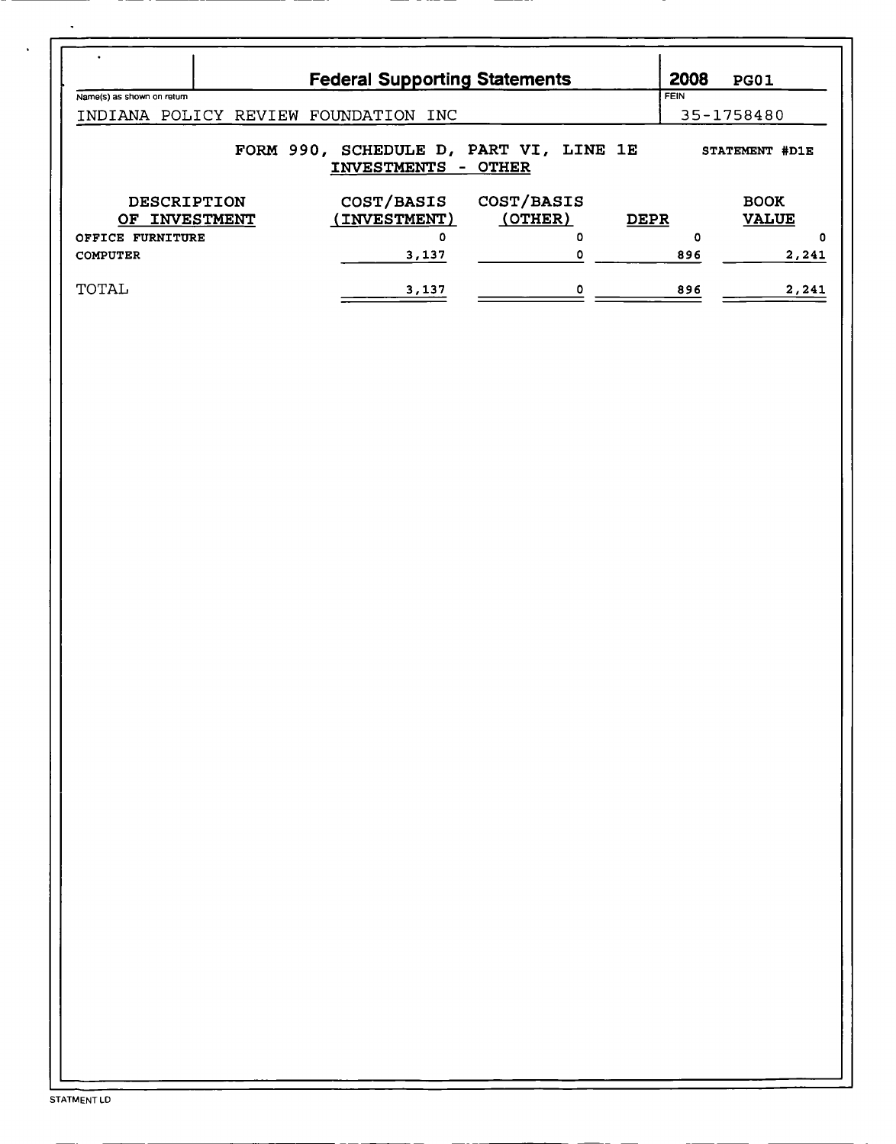|                                                                                 | <b>Federal Supporting Statements</b> |            | 2008        | PG01         |  |  |  |  |
|---------------------------------------------------------------------------------|--------------------------------------|------------|-------------|--------------|--|--|--|--|
| Name(s) as shown on return                                                      |                                      |            | <b>FEIN</b> |              |  |  |  |  |
| INDIANA POLICY<br>REVIEW                                                        | FOUNDATION INC                       |            |             | 35-1758480   |  |  |  |  |
| FORM 990, SCHEDULE D, PART VI, LINE 1E<br>STATEMENT #D1E<br>INVESTMENTS - OTHER |                                      |            |             |              |  |  |  |  |
| <b>DESCRIPTION</b>                                                              | COST/BASIS                           | COST/BASIS |             | <b>BOOK</b>  |  |  |  |  |
| <b>INVESTMENT</b><br>OF .                                                       | (INVESTMENT)                         | (OTHER)    | <b>DEPR</b> | <b>VALUE</b> |  |  |  |  |
| OFFICE FURNITURE                                                                | 0                                    | 0          | Ω           | 0            |  |  |  |  |
| <b>COMPUTER</b>                                                                 | 3,137                                |            | 896         | 2,241        |  |  |  |  |
| TOTAL                                                                           | 3,137                                |            | 896         | 2,241        |  |  |  |  |

 $\hat{\textbf{v}}$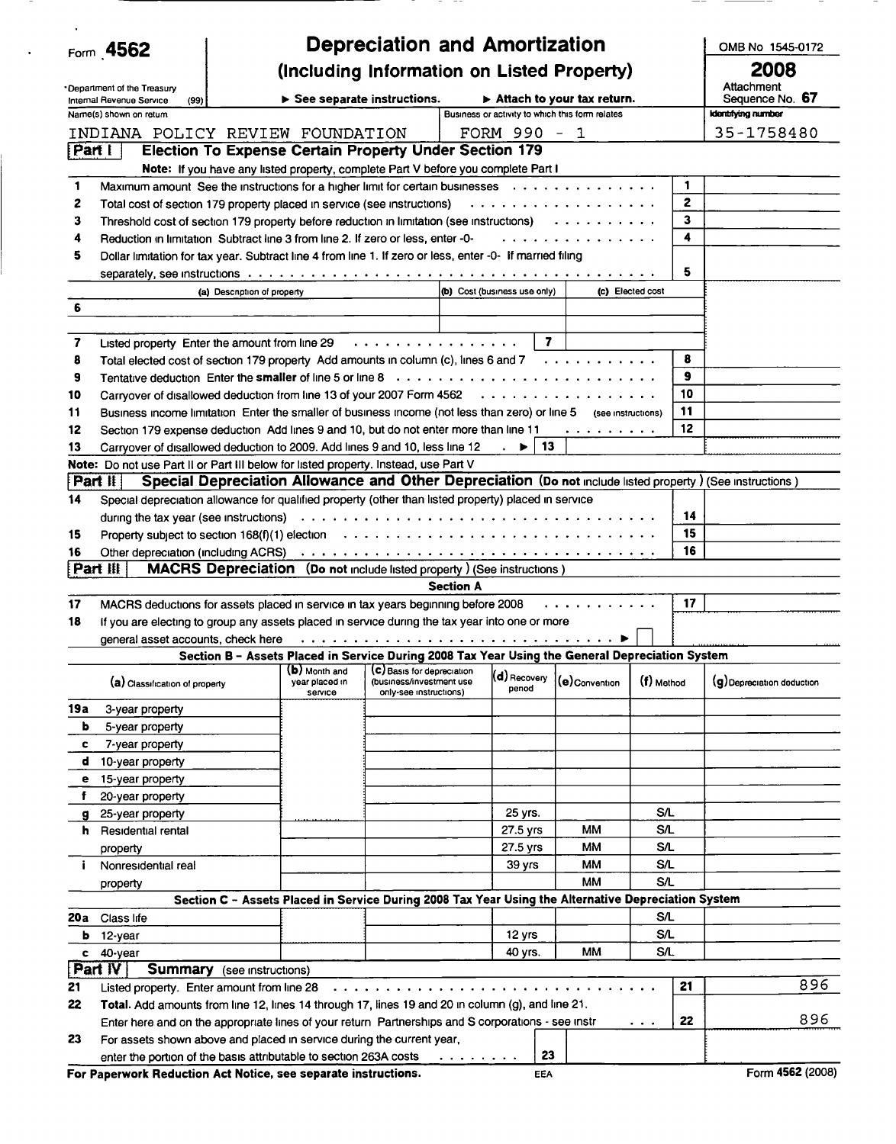|        | Form 4562                            |                                                                                                                                                                                                                                |                            |                                                                                                                                                         |                         |                                                                                                                                                      |                  |      | OMB No 1545-0172           |
|--------|--------------------------------------|--------------------------------------------------------------------------------------------------------------------------------------------------------------------------------------------------------------------------------|----------------------------|---------------------------------------------------------------------------------------------------------------------------------------------------------|-------------------------|------------------------------------------------------------------------------------------------------------------------------------------------------|------------------|------|----------------------------|
|        |                                      | <b>Depreciation and Amortization</b><br>(Including Information on Listed Property)                                                                                                                                             |                            |                                                                                                                                                         |                         |                                                                                                                                                      |                  | 2008 |                            |
|        | Department of the Treasury           |                                                                                                                                                                                                                                |                            |                                                                                                                                                         |                         |                                                                                                                                                      |                  |      | Attachment                 |
|        | (99)<br>Internal Revenue Service     |                                                                                                                                                                                                                                | See separate instructions. |                                                                                                                                                         |                         | $\triangleright$ Attach to your tax return.                                                                                                          |                  |      | Sequence No. 67            |
|        | Name(s) shown on retum               |                                                                                                                                                                                                                                |                            | Business or activity to which this form relates                                                                                                         |                         |                                                                                                                                                      |                  |      | <b>Identifying number</b>  |
| Part I |                                      | INDIANA POLICY REVIEW FOUNDATION<br><b>Election To Expense Certain Property Under Section 179</b>                                                                                                                              |                            | FORM 990 $-1$                                                                                                                                           |                         |                                                                                                                                                      |                  |      | 35-1758480                 |
|        |                                      | Note: If you have any listed property, complete Part V before you complete Part I                                                                                                                                              |                            |                                                                                                                                                         |                         |                                                                                                                                                      |                  |      |                            |
| 1      |                                      | Maximum amount See the instructions for a higher limit for certain businesses $\cdots \cdots \cdots \cdots$                                                                                                                    |                            |                                                                                                                                                         |                         |                                                                                                                                                      |                  | 1    |                            |
| 2      |                                      | Total cost of section 179 property placed in service (see instructions) $\cdots \cdots \cdots \cdots \cdots$                                                                                                                   |                            |                                                                                                                                                         |                         |                                                                                                                                                      |                  | 2    |                            |
| 3      |                                      | Threshold cost of section 179 property before reduction in limitation (see instructions) $\cdots \cdots \cdots$                                                                                                                |                            |                                                                                                                                                         |                         |                                                                                                                                                      |                  | 3    |                            |
| 4      |                                      | Reduction in limitation Subtract line 3 from line 2. If zero or less, enter -0-                                                                                                                                                |                            |                                                                                                                                                         |                         | .                                                                                                                                                    |                  | 4    |                            |
| 5      |                                      | Dollar limitation for tax year. Subtract line 4 from line 1. If zero or less, enter -0- If married filing                                                                                                                      |                            |                                                                                                                                                         |                         |                                                                                                                                                      |                  |      |                            |
|        |                                      |                                                                                                                                                                                                                                |                            |                                                                                                                                                         |                         |                                                                                                                                                      |                  | 5    |                            |
|        |                                      | (a) Description of property                                                                                                                                                                                                    |                            | (b) Cost (business use only)                                                                                                                            |                         |                                                                                                                                                      | (c) Elected cost |      |                            |
| 6      |                                      |                                                                                                                                                                                                                                |                            |                                                                                                                                                         |                         |                                                                                                                                                      |                  |      |                            |
|        |                                      |                                                                                                                                                                                                                                |                            |                                                                                                                                                         |                         |                                                                                                                                                      |                  |      |                            |
| 7      |                                      | Listed property Enter the amount from line 29                                                                                                                                                                                  | .                          |                                                                                                                                                         | 7                       |                                                                                                                                                      |                  |      |                            |
| 8      |                                      | Total elected cost of section 179 property Add amounts in column (c), lines 6 and 7                                                                                                                                            |                            |                                                                                                                                                         |                         |                                                                                                                                                      |                  | 8    |                            |
| 9      |                                      | Tentative deduction Enter the smaller of line 5 or line $8 \ldots \ldots \ldots \ldots \ldots \ldots \ldots$                                                                                                                   |                            |                                                                                                                                                         |                         |                                                                                                                                                      |                  | 9    |                            |
| 10     |                                      |                                                                                                                                                                                                                                |                            |                                                                                                                                                         |                         |                                                                                                                                                      |                  | 10   |                            |
| 11     |                                      | Business income limitation Enter the smaller of business income (not less than zero) or line 5 (see instructions)                                                                                                              |                            |                                                                                                                                                         |                         |                                                                                                                                                      |                  | 11   |                            |
| 12     |                                      | Section 179 expense deduction Add lines 9 and 10, but do not enter more than line 11                                                                                                                                           |                            |                                                                                                                                                         |                         | $\mathbf{a} \cdot \mathbf{a} \cdot \mathbf{a} \cdot \mathbf{a} \cdot \mathbf{a} \cdot \mathbf{a} \cdot \mathbf{a} \cdot \mathbf{a} \cdot \mathbf{a}$ |                  | 12   |                            |
| 13     |                                      | Carryover of disallowed deduction to 2009. Add lines 9 and 10, less line 12                                                                                                                                                    |                            |                                                                                                                                                         | 13                      |                                                                                                                                                      |                  |      |                            |
|        |                                      | Note: Do not use Part II or Part III below for listed property. Instead, use Part V                                                                                                                                            |                            |                                                                                                                                                         |                         |                                                                                                                                                      |                  |      |                            |
|        | i Part II i                          | Special Depreciation Allowance and Other Depreciation (Do not include listed property) (See instructions)                                                                                                                      |                            |                                                                                                                                                         |                         |                                                                                                                                                      |                  |      |                            |
| 14     |                                      | Special depreciation allowance for qualified property (other than listed property) placed in service                                                                                                                           |                            |                                                                                                                                                         |                         |                                                                                                                                                      |                  |      |                            |
|        |                                      |                                                                                                                                                                                                                                |                            |                                                                                                                                                         |                         |                                                                                                                                                      |                  | 14   |                            |
| 15     |                                      | Property subject to section 168(f)(1) election $\cdots \cdots \cdots \cdots \cdots \cdots \cdots \cdots \cdots \cdots \cdots \cdots$                                                                                           |                            |                                                                                                                                                         |                         |                                                                                                                                                      |                  | 15   |                            |
| 16     |                                      | Other depreciation (including ACRS) and contained a series of the contact of the contact of the contact of the contact of the contact of the contact of the contact of the contact of the contact of the contact of the contac |                            |                                                                                                                                                         |                         |                                                                                                                                                      |                  | 16   |                            |
|        | [Part III]                           | <b>MACRS Depreciation</b> (Do not include listed property) (See instructions)                                                                                                                                                  |                            |                                                                                                                                                         |                         |                                                                                                                                                      |                  |      |                            |
|        |                                      |                                                                                                                                                                                                                                |                            | <b>Section A</b>                                                                                                                                        |                         |                                                                                                                                                      |                  |      |                            |
| 17     |                                      | MACRS deductions for assets placed in service in tax years beginning before 2008                                                                                                                                               |                            |                                                                                                                                                         |                         |                                                                                                                                                      |                  | 17   |                            |
| 18     |                                      | If you are electing to group any assets placed in service during the tax year into one or more                                                                                                                                 |                            |                                                                                                                                                         |                         |                                                                                                                                                      |                  |      |                            |
|        | general asset accounts, check here   | Section B - Assets Placed in Service During 2008 Tax Year Using the General Depreciation System                                                                                                                                |                            |                                                                                                                                                         |                         |                                                                                                                                                      |                  |      |                            |
|        |                                      | $\overline{(\mathbf{b})}$ Month and $\overline{(\mathbf{c})}$ Basis for depreciation $\overline{(\mathbf{c})}$                                                                                                                 |                            |                                                                                                                                                         |                         |                                                                                                                                                      |                  |      |                            |
|        | (a) Classification of property       | year placed in                                                                                                                                                                                                                 | (business/investment use   |                                                                                                                                                         | $(d)$ Recovery<br>penod | (e) Convention                                                                                                                                       | (f) Method       |      | (g) Depreciation deduction |
|        |                                      | service                                                                                                                                                                                                                        | only-see instructions)     |                                                                                                                                                         |                         |                                                                                                                                                      |                  |      |                            |
| 19a    | 3-year property                      |                                                                                                                                                                                                                                |                            |                                                                                                                                                         |                         |                                                                                                                                                      |                  |      |                            |
| b      | 5-year property                      |                                                                                                                                                                                                                                |                            |                                                                                                                                                         |                         |                                                                                                                                                      |                  |      |                            |
| c<br>d | 7-year property                      |                                                                                                                                                                                                                                |                            |                                                                                                                                                         |                         |                                                                                                                                                      |                  |      |                            |
| е      | 10-year property<br>15-year property |                                                                                                                                                                                                                                |                            |                                                                                                                                                         |                         |                                                                                                                                                      |                  |      |                            |
| f.     | 20-year property                     |                                                                                                                                                                                                                                |                            |                                                                                                                                                         |                         |                                                                                                                                                      |                  |      |                            |
| g      | 25-year property                     |                                                                                                                                                                                                                                |                            |                                                                                                                                                         | 25 yrs.                 |                                                                                                                                                      | SÆ               |      |                            |
| h.     | Residential rental                   |                                                                                                                                                                                                                                |                            |                                                                                                                                                         | 27.5 yrs                | MМ                                                                                                                                                   | S/L              |      |                            |
|        | property                             |                                                                                                                                                                                                                                |                            |                                                                                                                                                         | 27.5 yrs                | ΜМ                                                                                                                                                   | S/L              |      |                            |
| j.     | Nonresidential real                  |                                                                                                                                                                                                                                |                            |                                                                                                                                                         | 39 yrs                  | ΜМ                                                                                                                                                   | S/L              |      |                            |
|        | property                             |                                                                                                                                                                                                                                |                            |                                                                                                                                                         |                         | <b>MM</b>                                                                                                                                            | S/L              |      |                            |
|        |                                      | Section C - Assets Placed in Service During 2008 Tax Year Using the Alternative Depreciation System                                                                                                                            |                            |                                                                                                                                                         |                         |                                                                                                                                                      |                  |      |                            |
|        | 20a Class life                       |                                                                                                                                                                                                                                |                            |                                                                                                                                                         |                         |                                                                                                                                                      | <b>S/L</b>       |      |                            |
| b      | 12-year                              | S⁄L<br>12 yrs                                                                                                                                                                                                                  |                            |                                                                                                                                                         |                         |                                                                                                                                                      |                  |      |                            |
| c      | 40-year                              |                                                                                                                                                                                                                                |                            |                                                                                                                                                         | 40 yrs.                 | МM                                                                                                                                                   | <b>S/L</b>       |      |                            |
|        | Part IV                              | <b>Summary</b> (see instructions)                                                                                                                                                                                              |                            |                                                                                                                                                         |                         |                                                                                                                                                      |                  |      |                            |
| 21     |                                      | Listed property. Enter amount from line 28                                                                                                                                                                                     | .                          |                                                                                                                                                         |                         |                                                                                                                                                      |                  | 21   | 896                        |
| 22     |                                      | Total. Add amounts from line 12, lines 14 through 17, lines 19 and 20 in column (g), and line 21.                                                                                                                              |                            |                                                                                                                                                         |                         |                                                                                                                                                      |                  |      |                            |
|        |                                      | Enter here and on the appropriate lines of your return Partnerships and S corporations - see instr                                                                                                                             |                            |                                                                                                                                                         |                         |                                                                                                                                                      | $\sim$ $\sim$    | 22   | 896                        |
| 23     |                                      | For assets shown above and placed in service during the current year,                                                                                                                                                          |                            |                                                                                                                                                         |                         |                                                                                                                                                      |                  |      |                            |
|        |                                      | enter the portion of the basis attributable to section 263A costs                                                                                                                                                              |                            | $\begin{array}{cccccccccccccc} \bullet & \bullet & \bullet & \bullet & \bullet & \bullet & \bullet & \bullet & \bullet & \bullet & \bullet \end{array}$ | 23                      |                                                                                                                                                      |                  |      |                            |
|        |                                      | For Paperwork Reduction Act Notice, see separate instructions.                                                                                                                                                                 |                            |                                                                                                                                                         | EEA                     |                                                                                                                                                      |                  |      | Form 4562 (2008)           |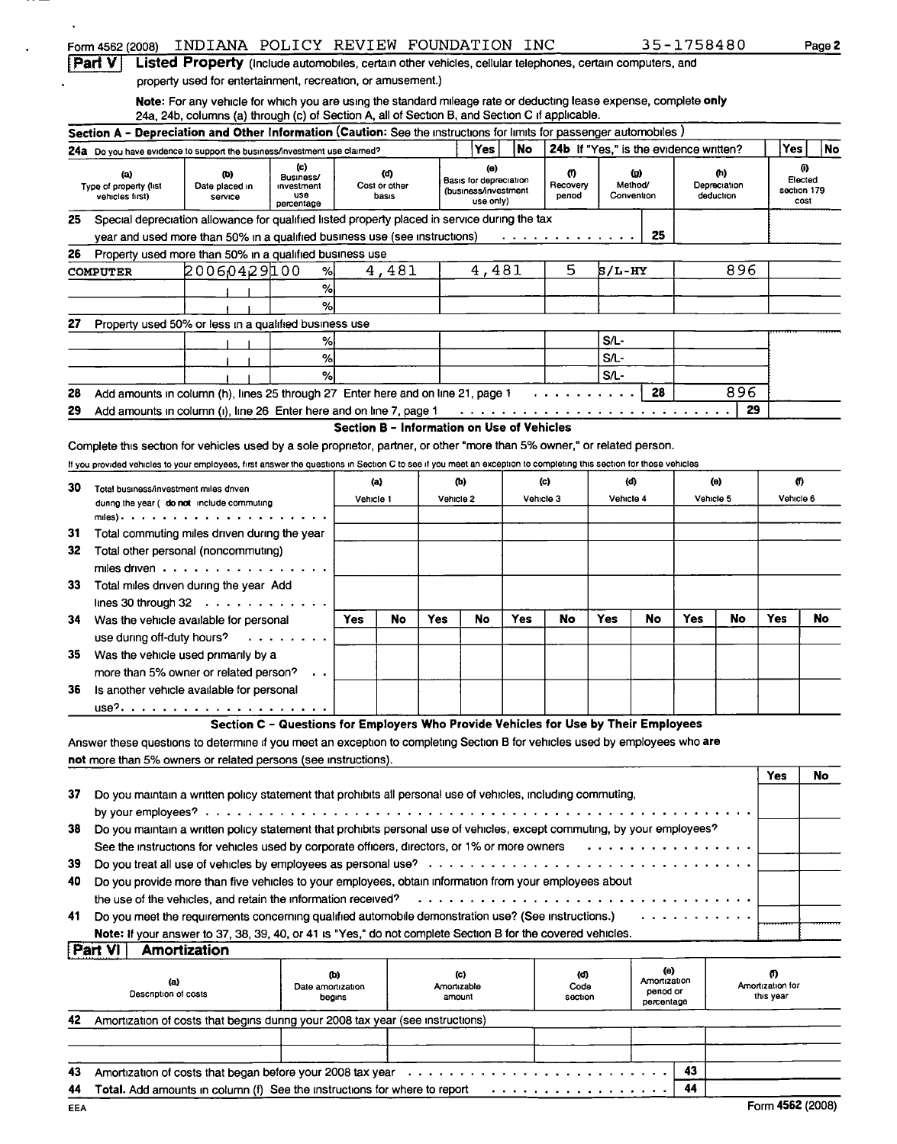|     | Form 4562 (2008)                                                                                                                                                  | INDIANA POLICY REVIEW FOUNDATION INC                                                                              |                   |           |                                            |           |                                                |      |                                        |           |                          | 35-1758480 |                |                  | Page 2                 |
|-----|-------------------------------------------------------------------------------------------------------------------------------------------------------------------|-------------------------------------------------------------------------------------------------------------------|-------------------|-----------|--------------------------------------------|-----------|------------------------------------------------|------|----------------------------------------|-----------|--------------------------|------------|----------------|------------------|------------------------|
|     | Part V                                                                                                                                                            | Listed Property (Include automobiles, certain other vehicles, cellular telephones, certain computers, and         |                   |           |                                            |           |                                                |      |                                        |           |                          |            |                |                  |                        |
|     |                                                                                                                                                                   | property used for entertainment, recreation, or amusement.)                                                       |                   |           |                                            |           |                                                |      |                                        |           |                          |            |                |                  |                        |
|     |                                                                                                                                                                   | Note: For any vehicle for which you are using the standard mileage rate or deducting lease expense, complete only |                   |           |                                            |           |                                                |      |                                        |           |                          |            |                |                  |                        |
|     |                                                                                                                                                                   | 24a, 24b, columns (a) through (c) of Section A, all of Section B, and Section C if applicable.                    |                   |           |                                            |           |                                                |      |                                        |           |                          |            |                |                  |                        |
|     | Section A - Depreciation and Other Information (Caution: See the instructions for limits for passenger automobiles)                                               |                                                                                                                   |                   |           |                                            |           |                                                |      |                                        |           |                          |            |                |                  |                        |
|     | 24a Do you have evidence to support the business/investment use claimed?                                                                                          |                                                                                                                   |                   |           |                                            |           | Yes                                            | l No | 24b If "Yes," is the evidence written? |           |                          |            |                | Yes              | No                     |
|     | (a)                                                                                                                                                               | (b)                                                                                                               | (c)<br>Business/  |           | (d)                                        |           | $\langle 0 \rangle$                            |      | 0                                      |           | ω                        |            | $(\mathbf{h})$ |                  | 0                      |
|     | Type of property (list                                                                                                                                            | Date placed in                                                                                                    | investment        |           | Cost or other                              |           | Basis for depreciation<br>(business/investment |      | Recovery                               |           | Method/                  |            | Depreciation   |                  | Elected<br>section 179 |
|     | vehicles first)                                                                                                                                                   | service                                                                                                           | use<br>percentage |           | basis                                      |           | use only)                                      |      | penod                                  |           | Convention               |            | deduction      |                  | cost                   |
| 25  | Special depreciation allowance for qualified listed property placed in service during the tax                                                                     |                                                                                                                   |                   |           |                                            |           |                                                |      |                                        |           |                          |            |                |                  |                        |
|     | year and used more than 50% in a qualified business use (see instructions)                                                                                        |                                                                                                                   |                   |           |                                            |           |                                                |      | . <i>.</i>                             |           | 25                       |            |                |                  |                        |
| 26  | Property used more than 50% in a qualified business use                                                                                                           |                                                                                                                   |                   |           |                                            |           |                                                |      |                                        |           |                          |            |                |                  |                        |
|     | <b>COMPUTER</b>                                                                                                                                                   | 20060429100                                                                                                       | %                 |           | 4,481                                      |           | 4,481                                          |      | 5                                      | 5/L-HY    |                          |            | 896            |                  |                        |
|     |                                                                                                                                                                   |                                                                                                                   | %                 |           |                                            |           |                                                |      |                                        |           |                          |            |                |                  |                        |
|     |                                                                                                                                                                   |                                                                                                                   | $\%$              |           |                                            |           |                                                |      |                                        |           |                          |            |                |                  |                        |
| 27  | Property used 50% or less in a qualified business use                                                                                                             |                                                                                                                   |                   |           |                                            |           |                                                |      |                                        |           |                          |            |                |                  |                        |
|     |                                                                                                                                                                   |                                                                                                                   | %                 |           |                                            |           |                                                |      |                                        | S/L-      |                          |            |                |                  |                        |
|     |                                                                                                                                                                   |                                                                                                                   | %                 |           |                                            |           |                                                |      |                                        | $S/L$ -   |                          |            |                |                  |                        |
|     |                                                                                                                                                                   |                                                                                                                   | %                 |           |                                            |           |                                                |      |                                        | $S/L$ -   |                          |            |                |                  |                        |
| 28  | Add amounts in column (h), lines 25 through 27 Enter here and on line 21, page 1                                                                                  |                                                                                                                   |                   |           |                                            |           |                                                |      |                                        |           | 28                       |            | 896            |                  |                        |
| 29  | Add amounts in column (i), line 26 Enter here and on line 7, page 1                                                                                               |                                                                                                                   |                   |           |                                            |           |                                                |      |                                        |           |                          |            | 29             |                  |                        |
|     |                                                                                                                                                                   |                                                                                                                   |                   |           | Section B - Information on Use of Vehicles |           |                                                |      |                                        |           |                          |            |                |                  |                        |
|     | Complete this section for vehicles used by a sole proprietor, partner, or other "more than 5% owner," or related person.                                          |                                                                                                                   |                   |           |                                            |           |                                                |      |                                        |           |                          |            |                |                  |                        |
|     | If you provided vehicles to your employees, first answer the questions in Section C to see if you meet an exception to completing this section for those vehicles |                                                                                                                   |                   |           |                                            |           |                                                |      |                                        |           |                          |            |                |                  |                        |
|     |                                                                                                                                                                   |                                                                                                                   |                   |           |                                            |           |                                                |      |                                        |           |                          |            |                |                  | 0                      |
| 30  | Total business/investment miles driven                                                                                                                            |                                                                                                                   |                   |           | (a)                                        |           | (b)                                            |      | (c)                                    | (d)       |                          |            | (e)            |                  |                        |
|     | dunng the year ( do not include commuting                                                                                                                         |                                                                                                                   |                   | Vehicle 1 |                                            | Vehicle 2 |                                                |      | Vehicle 3                              | Vehicle 4 |                          | Vehicle 5  |                | Vehicle 6        |                        |
|     | miles).                                                                                                                                                           |                                                                                                                   |                   |           |                                            |           |                                                |      |                                        |           |                          |            |                |                  |                        |
| 31  | Total commuting miles driven during the year                                                                                                                      |                                                                                                                   |                   |           |                                            |           |                                                |      |                                        |           |                          |            |                |                  |                        |
| 32  | Total other personal (noncommuting)                                                                                                                               |                                                                                                                   |                   |           |                                            |           |                                                |      |                                        |           |                          |            |                |                  |                        |
|     | miles driven $\cdots$ $\cdots$ $\cdots$                                                                                                                           |                                                                                                                   |                   |           |                                            |           |                                                |      |                                        |           |                          |            |                |                  |                        |
| 33  | Total miles driven during the year Add                                                                                                                            |                                                                                                                   |                   |           |                                            |           |                                                |      |                                        |           |                          |            |                |                  |                        |
|     | lines 30 through $32 \cdot \cdot \cdot \cdot \cdot \cdot$                                                                                                         |                                                                                                                   |                   |           |                                            |           |                                                |      |                                        |           |                          |            |                |                  |                        |
| 34  | Was the vehicle available for personal                                                                                                                            |                                                                                                                   |                   | Yes       | No                                         | Yes       | No                                             | Yes  | No                                     | Yes       | No                       | Yes        | No             | Yes              | No                     |
|     | use during off-duty hours?                                                                                                                                        |                                                                                                                   |                   |           |                                            |           |                                                |      |                                        |           |                          |            |                |                  |                        |
| 35. | Was the vehicle used primarily by a                                                                                                                               |                                                                                                                   |                   |           |                                            |           |                                                |      |                                        |           |                          |            |                |                  |                        |
|     | more than 5% owner or related person?                                                                                                                             |                                                                                                                   |                   |           |                                            |           |                                                |      |                                        |           |                          |            |                |                  |                        |
| 36  | Is another vehicle available for personal                                                                                                                         |                                                                                                                   |                   |           |                                            |           |                                                |      |                                        |           |                          |            |                |                  |                        |
|     |                                                                                                                                                                   |                                                                                                                   |                   |           |                                            |           |                                                |      |                                        |           |                          |            |                |                  |                        |
|     |                                                                                                                                                                   | Section C - Questions for Employers Who Provide Vehicles for Use by Their Employees                               |                   |           |                                            |           |                                                |      |                                        |           |                          |            |                |                  |                        |
|     | Answer these questions to determine if you meet an exception to completing Section B for vehicles used by employees who are                                       |                                                                                                                   |                   |           |                                            |           |                                                |      |                                        |           |                          |            |                |                  |                        |
|     | not more than 5% owners or related persons (see instructions).                                                                                                    |                                                                                                                   |                   |           |                                            |           |                                                |      |                                        |           |                          |            |                |                  |                        |
|     |                                                                                                                                                                   |                                                                                                                   |                   |           |                                            |           |                                                |      |                                        |           |                          |            |                | <b>Yes</b>       | No                     |
| 37  | Do you maintain a written policy statement that prohibits all personal use of vehicles, including commuting,                                                      |                                                                                                                   |                   |           |                                            |           |                                                |      |                                        |           |                          |            |                |                  |                        |
|     |                                                                                                                                                                   |                                                                                                                   |                   |           |                                            |           |                                                |      |                                        |           |                          |            |                |                  |                        |
| 38  | Do you maintain a written policy statement that prohibits personal use of vehicles, except commuting, by your employees?                                          |                                                                                                                   |                   |           |                                            |           |                                                |      |                                        |           |                          |            |                |                  |                        |
|     | See the instructions for vehicles used by corporate officers, directors, or 1% or more owners                                                                     |                                                                                                                   |                   |           |                                            |           |                                                |      |                                        |           |                          | . <i>.</i> |                |                  |                        |
|     |                                                                                                                                                                   |                                                                                                                   |                   |           |                                            |           |                                                |      |                                        |           |                          |            |                |                  |                        |
| 39  |                                                                                                                                                                   |                                                                                                                   |                   |           |                                            |           |                                                |      |                                        |           |                          |            |                |                  |                        |
|     | Do you provide more than five vehicles to your employees, obtain information from your employees about                                                            |                                                                                                                   |                   |           |                                            |           |                                                |      |                                        |           |                          |            |                |                  |                        |
|     | the use of the vehicles, and retain the information received?                                                                                                     |                                                                                                                   |                   |           |                                            |           |                                                |      |                                        |           |                          |            |                |                  |                        |
| 40  |                                                                                                                                                                   |                                                                                                                   |                   |           |                                            |           |                                                |      |                                        |           |                          |            |                |                  |                        |
| 41  | Do you meet the requirements concerning qualified automobile demonstration use? (See instructions.)                                                               |                                                                                                                   |                   |           |                                            |           |                                                |      |                                        |           |                          |            |                |                  |                        |
|     | Note: If your answer to 37, 38, 39, 40, or 41 is "Yes," do not complete Section B for the covered vehicles.                                                       |                                                                                                                   |                   |           |                                            |           |                                                |      |                                        |           |                          |            |                |                  |                        |
|     | Part VI<br>Amortization                                                                                                                                           |                                                                                                                   |                   |           |                                            |           |                                                |      |                                        |           |                          |            |                |                  |                        |
|     |                                                                                                                                                                   |                                                                                                                   |                   | (b)       |                                            |           | (c)                                            |      | (d)                                    |           | (e)                      |            |                | (f)              |                        |
|     | (a)                                                                                                                                                               |                                                                                                                   | Date amortization |           |                                            |           | Amortizable                                    |      | Code                                   |           | Amortization<br>penod or |            |                | Amortization for |                        |
|     | Description of costs                                                                                                                                              |                                                                                                                   | begins            |           |                                            |           | amount                                         |      | section                                |           | percentage               |            |                | this year        |                        |
|     | Amortization of costs that begins during your 2008 tax year (see instructions)                                                                                    |                                                                                                                   |                   |           |                                            |           |                                                |      |                                        |           |                          |            |                |                  |                        |
| 42  |                                                                                                                                                                   |                                                                                                                   |                   |           |                                            |           |                                                |      |                                        |           |                          |            |                |                  |                        |

|     | 44 Total. Add amounts in column (f) See the instructions for where to report enter all conditions of a 44 |  |                  |
|-----|-----------------------------------------------------------------------------------------------------------|--|------------------|
| EEA |                                                                                                           |  | Form 4562 (2008) |

 $\ddot{\phantom{a}}$